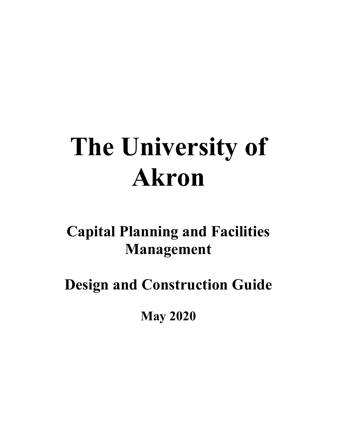# **The University of Akron**

**Capital Planning and Facilities Management**

**Design and Construction Guide**

**May 2020**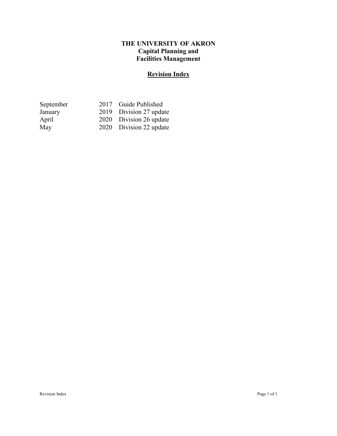#### **THE UNIVERSITY OF AKRON Capital Planning and Facilities Management**

### **Revision Index**

| September | 2017 Guide Published    |
|-----------|-------------------------|
| January   | 2019 Division 27 update |
| April     | 2020 Division 26 update |
| May       | 2020 Division 22 update |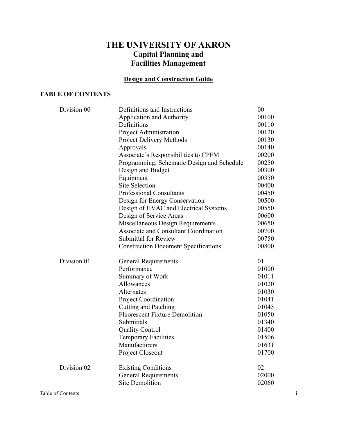### **THE UNIVERSITY OF AKRON Capital Planning and Facilities Management**

#### **Design and Construction Guide**

#### **TABLE OF CONTENTS**

| Division 00 | Definitions and Instructions                 | 00    |
|-------------|----------------------------------------------|-------|
|             | <b>Application and Authority</b>             | 00100 |
|             | Definitions                                  | 00110 |
|             | Project Administration                       | 00120 |
|             | <b>Project Delivery Methods</b>              | 00130 |
|             | Approvals                                    | 00140 |
|             | Associate's Responsibilities to CPFM         | 00200 |
|             | Programming, Schematic Design and Schedule   | 00250 |
|             | Design and Budget                            | 00300 |
|             | Equipment                                    | 00350 |
|             | <b>Site Selection</b>                        | 00400 |
|             | <b>Professional Consultants</b>              | 00450 |
|             | Design for Energy Conservation               | 00500 |
|             | Design of HVAC and Electrical Systems        | 00550 |
|             | Design of Service Areas                      | 00600 |
|             | Miscellaneous Design Requirements            | 00650 |
|             | <b>Associate and Consultant Coordination</b> | 00700 |
|             | <b>Submittal for Review</b>                  | 00750 |
|             | <b>Construction Document Specifications</b>  | 00800 |
| Division 01 | <b>General Requirements</b>                  | 01    |
|             | Performance                                  | 01000 |
|             | Summary of Work                              | 01011 |
|             | Allowances                                   | 01020 |
|             | Alternates                                   | 01030 |
|             | Project Coordination                         | 01041 |
|             | <b>Cutting and Patching</b>                  | 01045 |
|             | <b>Fluorescent Fixture Demolition</b>        | 01050 |
|             | Submittals                                   | 01340 |
|             | <b>Quality Control</b>                       | 01400 |
|             | <b>Temporary Facilities</b>                  | 01506 |
|             | Manufacturers                                | 01631 |
|             | Project Closeout                             | 01700 |
| Division 02 | <b>Existing Conditions</b>                   | 02    |
|             | <b>General Requirements</b>                  | 02000 |
|             | <b>Site Demolition</b>                       | 02060 |
|             |                                              |       |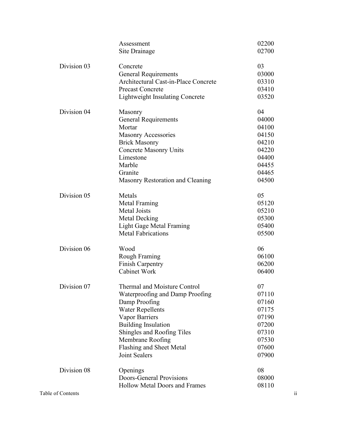|                   | Assessment                                  | 02200 |                         |
|-------------------|---------------------------------------------|-------|-------------------------|
|                   | Site Drainage                               | 02700 |                         |
|                   |                                             |       |                         |
| Division 03       | Concrete                                    | 03    |                         |
|                   | <b>General Requirements</b>                 | 03000 |                         |
|                   | <b>Architectural Cast-in-Place Concrete</b> | 03310 |                         |
|                   | <b>Precast Concrete</b>                     | 03410 |                         |
|                   | <b>Lightweight Insulating Concrete</b>      | 03520 |                         |
| Division 04       | Masonry                                     | 04    |                         |
|                   | <b>General Requirements</b>                 | 04000 |                         |
|                   | Mortar                                      | 04100 |                         |
|                   | <b>Masonry Accessories</b>                  | 04150 |                         |
|                   | <b>Brick Masonry</b>                        | 04210 |                         |
|                   | <b>Concrete Masonry Units</b>               | 04220 |                         |
|                   | Limestone                                   | 04400 |                         |
|                   | Marble                                      | 04455 |                         |
|                   | Granite                                     | 04465 |                         |
|                   | Masonry Restoration and Cleaning            | 04500 |                         |
|                   |                                             |       |                         |
| Division 05       | Metals                                      | 05    |                         |
|                   | Metal Framing                               | 05120 |                         |
|                   | <b>Metal Joists</b>                         | 05210 |                         |
|                   | <b>Metal Decking</b>                        | 05300 |                         |
|                   | <b>Light Gage Metal Framing</b>             | 05400 |                         |
|                   | <b>Metal Fabrications</b>                   | 05500 |                         |
| Division 06       | Wood                                        | 06    |                         |
|                   | Rough Framing                               | 06100 |                         |
|                   | <b>Finish Carpentry</b>                     | 06200 |                         |
|                   | Cabinet Work                                | 06400 |                         |
|                   |                                             |       |                         |
| Division 07       | Thermal and Moisture Control                | 07    |                         |
|                   | Waterproofing and Damp Proofing             | 07110 |                         |
|                   | Damp Proofing                               | 07160 |                         |
|                   | <b>Water Repellents</b>                     | 07175 |                         |
|                   | Vapor Barriers                              | 07190 |                         |
|                   | <b>Building Insulation</b>                  | 07200 |                         |
|                   | Shingles and Roofing Tiles                  | 07310 |                         |
|                   | Membrane Roofing                            | 07530 |                         |
|                   | Flashing and Sheet Metal                    | 07600 |                         |
|                   | Joint Sealers                               | 07900 |                         |
| Division 08       | Openings                                    | 08    |                         |
|                   | Doors-General Provisions                    | 08000 |                         |
|                   | <b>Hollow Metal Doors and Frames</b>        | 08110 |                         |
| Table of Contents |                                             |       | $\overline{\mathbf{u}}$ |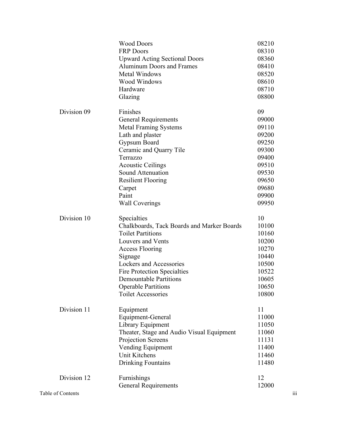|                   | <b>Wood Doors</b>                          | 08210 |                         |
|-------------------|--------------------------------------------|-------|-------------------------|
|                   | <b>FRP Doors</b>                           | 08310 |                         |
|                   | <b>Upward Acting Sectional Doors</b>       | 08360 |                         |
|                   | <b>Aluminum Doors and Frames</b>           | 08410 |                         |
|                   | Metal Windows                              | 08520 |                         |
|                   | <b>Wood Windows</b>                        | 08610 |                         |
|                   | Hardware                                   | 08710 |                         |
|                   | Glazing                                    | 08800 |                         |
| Division 09       | Finishes                                   | 09    |                         |
|                   | <b>General Requirements</b>                | 09000 |                         |
|                   | <b>Metal Framing Systems</b>               | 09110 |                         |
|                   | Lath and plaster                           | 09200 |                         |
|                   | Gypsum Board                               | 09250 |                         |
|                   | Ceramic and Quarry Tile                    | 09300 |                         |
|                   | Terrazzo                                   | 09400 |                         |
|                   | <b>Acoustic Ceilings</b>                   | 09510 |                         |
|                   | Sound Attenuation                          | 09530 |                         |
|                   | <b>Resilient Flooring</b>                  | 09650 |                         |
|                   | Carpet                                     | 09680 |                         |
|                   | Paint                                      | 09900 |                         |
|                   | <b>Wall Coverings</b>                      | 09950 |                         |
| Division 10       | Specialties                                | 10    |                         |
|                   | Chalkboards, Tack Boards and Marker Boards | 10100 |                         |
|                   | <b>Toilet Partitions</b>                   | 10160 |                         |
|                   | Louvers and Vents                          | 10200 |                         |
|                   | Access Flooring                            | 10270 |                         |
|                   | Signage                                    | 10440 |                         |
|                   | Lockers and Accessories                    | 10500 |                         |
|                   | <b>Fire Protection Specialties</b>         | 10522 |                         |
|                   | <b>Demountable Partitions</b>              | 10605 |                         |
|                   | <b>Operable Partitions</b>                 | 10650 |                         |
|                   | <b>Toilet Accessories</b>                  | 10800 |                         |
| Division 11       | Equipment                                  | 11    |                         |
|                   | Equipment-General                          | 11000 |                         |
|                   | Library Equipment                          | 11050 |                         |
|                   | Theater, Stage and Audio Visual Equipment  | 11060 |                         |
|                   | Projection Screens                         | 11131 |                         |
|                   | Vending Equipment                          | 11400 |                         |
|                   | Unit Kitchens                              | 11460 |                         |
|                   | <b>Drinking Fountains</b>                  | 11480 |                         |
| Division 12       | Furnishings                                | 12    |                         |
|                   | <b>General Requirements</b>                | 12000 |                         |
| Table of Contents |                                            |       | $\overline{\text{iii}}$ |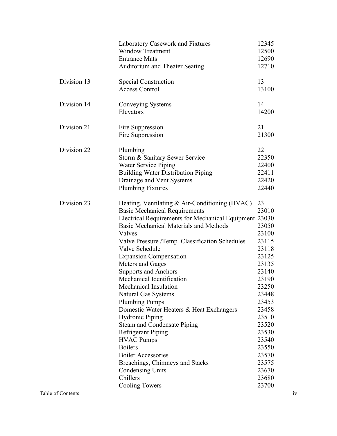|             | Laboratory Casework and Fixtures<br><b>Window Treatment</b><br><b>Entrance Mats</b><br><b>Auditorium and Theater Seating</b>                                                                                                                                                                                                                                                                                                                                                                                                                                                                                                                                                                                                                                                              | 12345<br>12500<br>12690<br>12710                                                                                                                                                                                  |
|-------------|-------------------------------------------------------------------------------------------------------------------------------------------------------------------------------------------------------------------------------------------------------------------------------------------------------------------------------------------------------------------------------------------------------------------------------------------------------------------------------------------------------------------------------------------------------------------------------------------------------------------------------------------------------------------------------------------------------------------------------------------------------------------------------------------|-------------------------------------------------------------------------------------------------------------------------------------------------------------------------------------------------------------------|
| Division 13 | <b>Special Construction</b><br><b>Access Control</b>                                                                                                                                                                                                                                                                                                                                                                                                                                                                                                                                                                                                                                                                                                                                      | 13<br>13100                                                                                                                                                                                                       |
| Division 14 | Conveying Systems<br>Elevators                                                                                                                                                                                                                                                                                                                                                                                                                                                                                                                                                                                                                                                                                                                                                            | 14<br>14200                                                                                                                                                                                                       |
| Division 21 | Fire Suppression<br>Fire Suppression                                                                                                                                                                                                                                                                                                                                                                                                                                                                                                                                                                                                                                                                                                                                                      | 21<br>21300                                                                                                                                                                                                       |
| Division 22 | Plumbing<br>Storm & Sanitary Sewer Service<br><b>Water Service Piping</b><br><b>Building Water Distribution Piping</b><br>Drainage and Vent Systems<br><b>Plumbing Fixtures</b>                                                                                                                                                                                                                                                                                                                                                                                                                                                                                                                                                                                                           | 22<br>22350<br>22400<br>22411<br>22420<br>22440                                                                                                                                                                   |
| Division 23 | Heating, Ventilating & Air-Conditioning (HVAC)<br><b>Basic Mechanical Requirements</b><br>Electrical Requirements for Mechanical Equipment 23030<br>Basic Mechanical Materials and Methods<br>Valves<br>Valve Pressure /Temp. Classification Schedules<br>Valve Schedule<br><b>Expansion Compensation</b><br>Meters and Gages<br><b>Supports and Anchors</b><br>Mechanical Identification<br>Mechanical Insulation<br><b>Natural Gas Systems</b><br><b>Plumbing Pumps</b><br>Domestic Water Heaters & Heat Exchangers<br><b>Hydronic Piping</b><br><b>Steam and Condensate Piping</b><br><b>Refrigerant Piping</b><br><b>HVAC Pumps</b><br><b>Boilers</b><br><b>Boiler Accessories</b><br>Breachings, Chimneys and Stacks<br><b>Condensing Units</b><br>Chillers<br><b>Cooling Towers</b> | 23<br>23010<br>23050<br>23100<br>23115<br>23118<br>23125<br>23135<br>23140<br>23190<br>23250<br>23448<br>23453<br>23458<br>23510<br>23520<br>23530<br>23540<br>23550<br>23570<br>23575<br>23670<br>23680<br>23700 |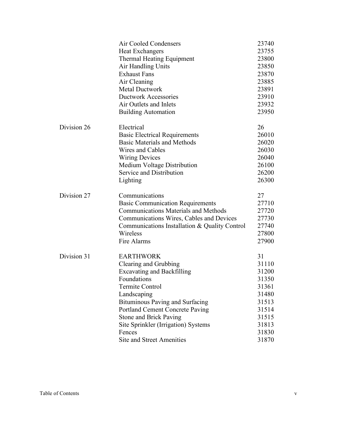|             | <b>Air Cooled Condensers</b>                  | 23740 |
|-------------|-----------------------------------------------|-------|
|             | <b>Heat Exchangers</b>                        | 23755 |
|             | Thermal Heating Equipment                     | 23800 |
|             | Air Handling Units                            | 23850 |
|             | <b>Exhaust Fans</b>                           | 23870 |
|             | Air Cleaning                                  | 23885 |
|             | <b>Metal Ductwork</b>                         | 23891 |
|             | <b>Ductwork Accessories</b>                   | 23910 |
|             | Air Outlets and Inlets                        | 23932 |
|             | <b>Building Automation</b>                    | 23950 |
| Division 26 | Electrical                                    | 26    |
|             | <b>Basic Electrical Requirements</b>          | 26010 |
|             | <b>Basic Materials and Methods</b>            | 26020 |
|             | Wires and Cables                              | 26030 |
|             | <b>Wiring Devices</b>                         | 26040 |
|             | Medium Voltage Distribution                   | 26100 |
|             | Service and Distribution                      | 26200 |
|             | Lighting                                      | 26300 |
| Division 27 | Communications                                | 27    |
|             | <b>Basic Communication Requirements</b>       | 27710 |
|             | <b>Communications Materials and Methods</b>   | 27720 |
|             | Communications Wires, Cables and Devices      | 27730 |
|             | Communications Installation & Quality Control | 27740 |
|             | Wireless                                      | 27800 |
|             | Fire Alarms                                   | 27900 |
| Division 31 | <b>EARTHWORK</b>                              | 31    |
|             | Clearing and Grubbing                         | 31110 |
|             | <b>Excavating and Backfilling</b>             | 31200 |
|             | Foundations                                   | 31350 |
|             | Termite Control                               | 31361 |
|             | Landscaping                                   | 31480 |
|             | <b>Bituminous Paving and Surfacing</b>        | 31513 |
|             | <b>Portland Cement Concrete Paving</b>        | 31514 |
|             | <b>Stone and Brick Paving</b>                 | 31515 |
|             | Site Sprinkler (Irrigation) Systems           | 31813 |
|             | Fences                                        | 31830 |
|             | <b>Site and Street Amenities</b>              | 31870 |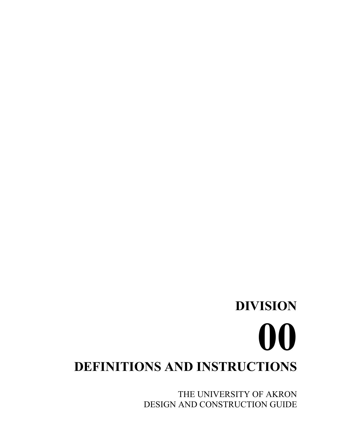THE UNIVERSITY OF AKRON DESIGN AND CONSTRUCTION GUIDE

**DIVISION**

# **00 DEFINITIONS AND INSTRUCTIONS**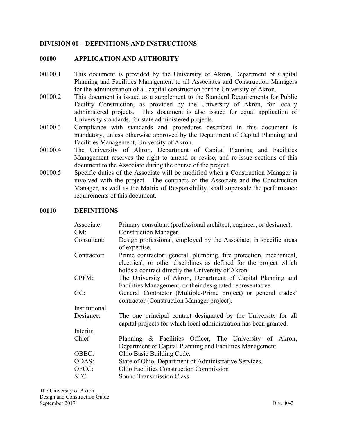#### **DIVISION 00 – DEFINITIONS AND INSTRUCTIONS**

#### **00100 APPLICATION AND AUTHORITY**

- 00100.1 This document is provided by the University of Akron, Department of Capital Planning and Facilities Management to all Associates and Construction Managers for the administration of all capital construction for the University of Akron.
- 00100.2 This document is issued as a supplement to the Standard Requirements for Public Facility Construction, as provided by the University of Akron, for locally administered projects. This document is also issued for equal application of University standards, for state administered projects.
- 00100.3 Compliance with standards and procedures described in this document is mandatory, unless otherwise approved by the Department of Capital Planning and Facilities Management, University of Akron.
- 00100.4 The University of Akron, Department of Capital Planning and Facilities Management reserves the right to amend or revise, and re-issue sections of this document to the Associate during the course of the project.
- 00100.5 Specific duties of the Associate will be modified when a Construction Manager is involved with the project. The contracts of the Associate and the Construction Manager, as well as the Matrix of Responsibility, shall supersede the performance requirements of this document.

#### **00110 DEFINITIONS**

| Associate:    | Primary consultant (professional architect, engineer, or designer).                                                                                                                          |  |
|---------------|----------------------------------------------------------------------------------------------------------------------------------------------------------------------------------------------|--|
| CM:           | <b>Construction Manager.</b>                                                                                                                                                                 |  |
| Consultant:   | Design professional, employed by the Associate, in specific areas<br>of expertise.                                                                                                           |  |
| Contractor:   | Prime contractor: general, plumbing, fire protection, mechanical,<br>electrical, or other disciplines as defined for the project which<br>holds a contract directly the University of Akron. |  |
| CPFM:         | The University of Akron, Department of Capital Planning and<br>Facilities Management, or their designated representative.                                                                    |  |
| GC:           | General Contractor (Multiple-Prime project) or general trades'<br>contractor (Construction Manager project).                                                                                 |  |
| Institutional |                                                                                                                                                                                              |  |
| Designee:     | The one principal contact designated by the University for all<br>capital projects for which local administration has been granted.                                                          |  |
| Interim       |                                                                                                                                                                                              |  |
| Chief         | Planning & Facilities Officer, The University of Akron,<br>Department of Capital Planning and Facilities Management                                                                          |  |
| OBBC:         | Ohio Basic Building Code.                                                                                                                                                                    |  |
| <b>ODAS:</b>  | State of Ohio, Department of Administrative Services.                                                                                                                                        |  |
| OFCC:         | <b>Ohio Facilities Construction Commission</b>                                                                                                                                               |  |
| <b>STC</b>    | <b>Sound Transmission Class</b>                                                                                                                                                              |  |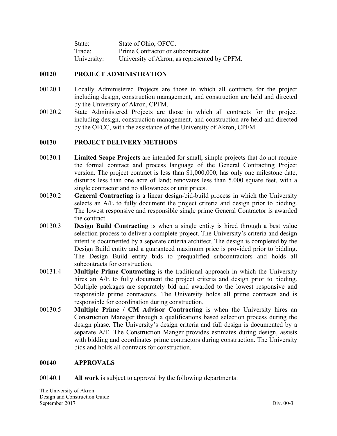| State:      | State of Ohio, OFCC.                         |
|-------------|----------------------------------------------|
| Trade:      | Prime Contractor or subcontractor.           |
| University: | University of Akron, as represented by CPFM. |

#### **00120 PROJECT ADMINISTRATION**

- 00120.1 Locally Administered Projects are those in which all contracts for the project including design, construction management, and construction are held and directed by the University of Akron, CPFM.
- 00120.2 State Administered Projects are those in which all contracts for the project including design, construction management, and construction are held and directed by the OFCC, with the assistance of the University of Akron, CPFM.

#### **00130 PROJECT DELIVERY METHODS**

- 00130.1 **Limited Scope Projects** are intended for small, simple projects that do not require the formal contract and process language of the General Contracting Project version. The project contract is less than \$1,000,000, has only one milestone date, disturbs less than one acre of land; renovates less than 5,000 square feet, with a single contractor and no allowances or unit prices.
- 00130.2 **General Contracting** is a linear design-bid-build process in which the University selects an A/E to fully document the project criteria and design prior to bidding. The lowest responsive and responsible single prime General Contractor is awarded the contract.
- 00130.3 **Design Build Contracting** is when a single entity is hired through a best value selection process to deliver a complete project. The University's criteria and design intent is documented by a separate criteria architect. The design is completed by the Design Build entity and a guaranteed maximum price is provided prior to bidding. The Design Build entity bids to prequalified subcontractors and holds all subcontracts for construction.
- 00131.4 **Multiple Prime Contracting** is the traditional approach in which the University hires an A/E to fully document the project criteria and design prior to bidding. Multiple packages are separately bid and awarded to the lowest responsive and responsible prime contractors. The University holds all prime contracts and is responsible for coordination during construction.
- 00130.5 **Multiple Prime / CM Advisor Contracting** is when the University hires an Construction Manager through a qualifications based selection process during the design phase. The University's design criteria and full design is documented by a separate A/E. The Construction Manger provides estimates during design, assists with bidding and coordinates prime contractors during construction. The University bids and holds all contracts for construction.

#### **00140 APPROVALS**

#### 00140.1 **All work** is subject to approval by the following departments: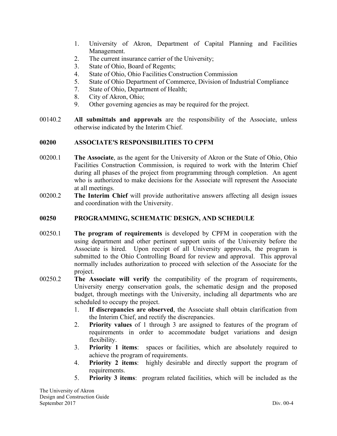- 1. University of Akron, Department of Capital Planning and Facilities Management.
- 2. The current insurance carrier of the University;
- 3. State of Ohio, Board of Regents;
- 4. State of Ohio, Ohio Facilities Construction Commission
- 5. State of Ohio Department of Commerce, Division of Industrial Compliance
- 7. State of Ohio, Department of Health;
- 8. City of Akron, Ohio;
- 9. Other governing agencies as may be required for the project.
- 00140.2 **All submittals and approvals** are the responsibility of the Associate, unless otherwise indicated by the Interim Chief.

#### **00200 ASSOCIATE'S RESPONSIBILITIES TO CPFM**

- 00200.1 **The Associate**, as the agent for the University of Akron or the State of Ohio, Ohio Facilities Construction Commission, is required to work with the Interim Chief during all phases of the project from programming through completion. An agent who is authorized to make decisions for the Associate will represent the Associate at all meetings.
- 00200.2 **The Interim Chief** will provide authoritative answers affecting all design issues and coordination with the University.

#### **00250 PROGRAMMING, SCHEMATIC DESIGN, AND SCHEDULE**

- 00250.1 **The program of requirements** is developed by CPFM in cooperation with the using department and other pertinent support units of the University before the Associate is hired. Upon receipt of all University approvals, the program is submitted to the Ohio Controlling Board for review and approval. This approval normally includes authorization to proceed with selection of the Associate for the project.
- 00250.2 **The Associate will verify** the compatibility of the program of requirements, University energy conservation goals, the schematic design and the proposed budget, through meetings with the University, including all departments who are scheduled to occupy the project.
	- 1. **If discrepancies are observed**, the Associate shall obtain clarification from the Interim Chief, and rectify the discrepancies.
	- 2. **Priority values** of 1 through 3 are assigned to features of the program of requirements in order to accommodate budget variations and design flexibility.
	- 3. **Priority 1 items**: spaces or facilities, which are absolutely required to achieve the program of requirements.
	- 4. **Priority 2 items**: highly desirable and directly support the program of requirements.
	- 5. **Priority 3 items**: program related facilities, which will be included as the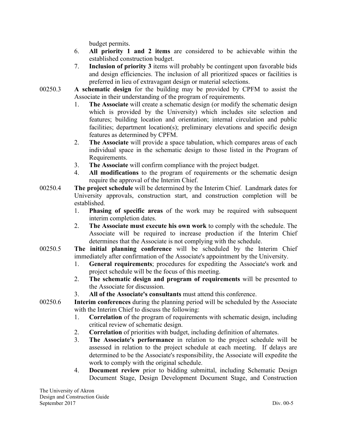budget permits.

- 6. **All priority 1 and 2 items** are considered to be achievable within the established construction budget.
- 7. **Inclusion of priority 3** items will probably be contingent upon favorable bids and design efficiencies. The inclusion of all prioritized spaces or facilities is preferred in lieu of extravagant design or material selections.
- 00250.3 **A schematic design** for the building may be provided by CPFM to assist the Associate in their understanding of the program of requirements.
	- 1. **The Associate** will create a schematic design (or modify the schematic design which is provided by the University) which includes site selection and features; building location and orientation; internal circulation and public facilities; department location(s); preliminary elevations and specific design features as determined by CPFM.
	- 2. **The Associate** will provide a space tabulation, which compares areas of each individual space in the schematic design to those listed in the Program of Requirements.
	- 3. **The Associate** will confirm compliance with the project budget.
	- 4. **All modifications** to the program of requirements or the schematic design require the approval of the Interim Chief.
- 00250.4 **The project schedule** will be determined by the Interim Chief. Landmark dates for University approvals, construction start, and construction completion will be established.
	- 1. **Phasing of specific areas** of the work may be required with subsequent interim completion dates.
	- 2. **The Associate must execute his own work** to comply with the schedule. The Associate will be required to increase production if the Interim Chief determines that the Associate is not complying with the schedule.
- 00250.5 **The initial planning conference** will be scheduled by the Interim Chief immediately after confirmation of the Associate's appointment by the University.
	- 1. **General requirements**; procedures for expediting the Associate's work and project schedule will be the focus of this meeting.
	- 2. **The schematic design and program of requirements** will be presented to the Associate for discussion.
	- 3. **All of the Associate's consultants** must attend this conference.
- 00250.6 **Interim conferences** during the planning period will be scheduled by the Associate with the Interim Chief to discuss the following:
	- 1. **Correlation** of the program of requirements with schematic design, including critical review of schematic design.
	- 2. **Correlation** of priorities with budget, including definition of alternates.
	- 3. **The Associate's performance** in relation to the project schedule will be assessed in relation to the project schedule at each meeting. If delays are determined to be the Associate's responsibility, the Associate will expedite the work to comply with the original schedule.
	- 4. **Document review** prior to bidding submittal, including Schematic Design Document Stage, Design Development Document Stage, and Construction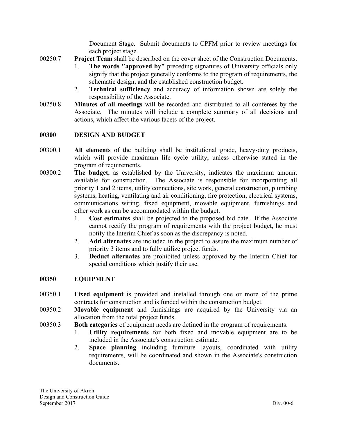Document Stage. Submit documents to CPFM prior to review meetings for each project stage.

- 00250.7 **Project Team** shall be described on the cover sheet of the Construction Documents.
	- 1. **The words "approved by"** preceding signatures of University officials only signify that the project generally conforms to the program of requirements, the schematic design, and the established construction budget.
	- 2. **Technical sufficiency** and accuracy of information shown are solely the responsibility of the Associate.
- 00250.8 **Minutes of all meetings** will be recorded and distributed to all conferees by the Associate. The minutes will include a complete summary of all decisions and actions, which affect the various facets of the project.

#### **00300 DESIGN AND BUDGET**

- 00300.1 **All elements** of the building shall be institutional grade, heavy-duty products, which will provide maximum life cycle utility, unless otherwise stated in the program of requirements.
- 00300.2 **The budget**, as established by the University, indicates the maximum amount available for construction. The Associate is responsible for incorporating all priority 1 and 2 items, utility connections, site work, general construction, plumbing systems, heating, ventilating and air conditioning, fire protection, electrical systems, communications wiring, fixed equipment, movable equipment, furnishings and other work as can be accommodated within the budget.
	- 1. **Cost estimates** shall be projected to the proposed bid date. If the Associate cannot rectify the program of requirements with the project budget, he must notify the Interim Chief as soon as the discrepancy is noted.
	- 2. **Add alternates** are included in the project to assure the maximum number of priority 3 items and to fully utilize project funds.
	- 3. **Deduct alternates** are prohibited unless approved by the Interim Chief for special conditions which justify their use.

#### **00350 EQUIPMENT**

- 00350.1 **Fixed equipment** is provided and installed through one or more of the prime contracts for construction and is funded within the construction budget.
- 00350.2 **Movable equipment** and furnishings are acquired by the University via an allocation from the total project funds.
- 00350.3 **Both categories** of equipment needs are defined in the program of requirements.
	- 1. **Utility requirements** for both fixed and movable equipment are to be included in the Associate's construction estimate.
	- 2. **Space planning** including furniture layouts, coordinated with utility requirements, will be coordinated and shown in the Associate's construction documents.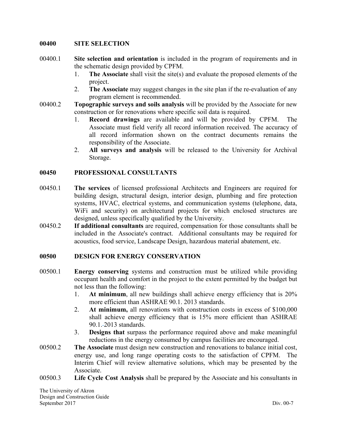#### **00400 SITE SELECTION**

- 00400.1 **Site selection and orientation** is included in the program of requirements and in the schematic design provided by CPFM.
	- 1. **The Associate** shall visit the site(s) and evaluate the proposed elements of the project.
	- 2. **The Associate** may suggest changes in the site plan if the re-evaluation of any program element is recommended.
- 00400.2 **Topographic surveys and soils analysis** will be provided by the Associate for new construction or for renovations where specific soil data is required.
	- 1. **Record drawings** are available and will be provided by CPFM. The Associate must field verify all record information received. The accuracy of all record information shown on the contract documents remains the responsibility of the Associate.
	- 2. **All surveys and analysis** will be released to the University for Archival Storage.

#### **00450 PROFESSIONAL CONSULTANTS**

- 00450.1 **The services** of licensed professional Architects and Engineers are required for building design, structural design, interior design, plumbing and fire protection systems, HVAC, electrical systems, and communication systems (telephone, data, WiFi and security) on architectural projects for which enclosed structures are designed, unless specifically qualified by the University.
- 00450.2 **If additional consultants** are required, compensation for those consultants shall be included in the Associate's contract. Additional consultants may be required for acoustics, food service, Landscape Design, hazardous material abatement, etc.

#### **00500 DESIGN FOR ENERGY CONSERVATION**

- 00500.1 **Energy conserving** systems and construction must be utilized while providing occupant health and comfort in the project to the extent permitted by the budget but not less than the following:
	- 1. **At minimum**, all new buildings shall achieve energy efficiency that is 20% more efficient than ASHRAE 90.1. 2013 standards.
	- 2. **At minimum,** all renovations with construction costs in excess of \$100,000 shall achieve energy efficiency that is 15% more efficient than ASHRAE 90.1. 2013 standards.
	- 3. **Designs that** surpass the performance required above and make meaningful reductions in the energy consumed by campus facilities are encouraged.
- 00500.2 **The Associate** must design new construction and renovations to balance initial cost, energy use, and long range operating costs to the satisfaction of CPFM. The Interim Chief will review alternative solutions, which may be presented by the Associate.
- 00500.3 **Life Cycle Cost Analysis** shall be prepared by the Associate and his consultants in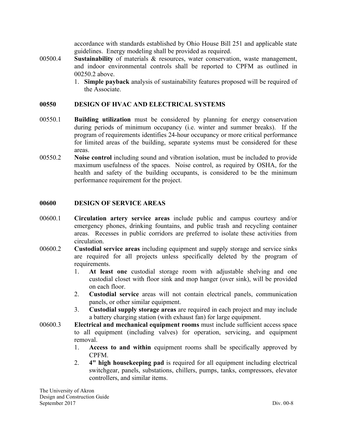accordance with standards established by Ohio House Bill 251 and applicable state guidelines. Energy modeling shall be provided as required.

- 00500.4 **Sustainability** of materials & resources, water conservation, waste management, and indoor environmental controls shall be reported to CPFM as outlined in 00250.2 above.
	- 1. **Simple payback** analysis of sustainability features proposed will be required of the Associate.

#### **00550 DESIGN OF HVAC AND ELECTRICAL SYSTEMS**

- 00550.1 **Building utilization** must be considered by planning for energy conservation during periods of minimum occupancy (i.e. winter and summer breaks). If the program of requirements identifies 24-hour occupancy or more critical performance for limited areas of the building, separate systems must be considered for these areas.
- 00550.2 **Noise control** including sound and vibration isolation, must be included to provide maximum usefulness of the spaces. Noise control, as required by OSHA, for the health and safety of the building occupants, is considered to be the minimum performance requirement for the project.

#### **00600 DESIGN OF SERVICE AREAS**

- 00600.1 **Circulation artery service areas** include public and campus courtesy and/or emergency phones, drinking fountains, and public trash and recycling container areas. Recesses in public corridors are preferred to isolate these activities from circulation.
- 00600.2 **Custodial service areas** including equipment and supply storage and service sinks are required for all projects unless specifically deleted by the program of requirements.
	- 1. **At least one** custodial storage room with adjustable shelving and one custodial closet with floor sink and mop hanger (over sink), will be provided on each floor.
	- 2. **Custodial service** areas will not contain electrical panels, communication panels, or other similar equipment.
	- 3. **Custodial supply storage areas** are required in each project and may include a battery charging station (with exhaust fan) for large equipment.
- 00600.3 **Electrical and mechanical equipment rooms** must include sufficient access space to all equipment (including valves) for operation, servicing, and equipment removal.
	- 1. **Access to and within** equipment rooms shall be specifically approved by CPFM.
	- 2. **4" high housekeeping pad** is required for all equipment including electrical switchgear, panels, substations, chillers, pumps, tanks, compressors, elevator controllers, and similar items.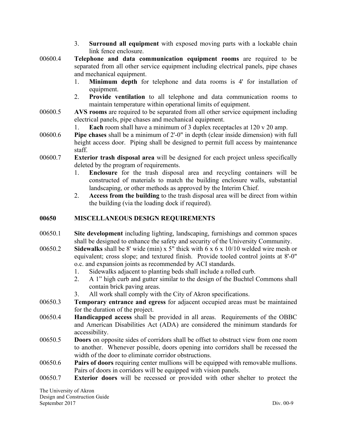- 3. **Surround all equipment** with exposed moving parts with a lockable chain link fence enclosure.
- 00600.4 **Telephone and data communication equipment rooms** are required to be separated from all other service equipment including electrical panels, pipe chases and mechanical equipment.
	- 1. **Minimum depth** for telephone and data rooms is 4' for installation of equipment.
	- 2. **Provide ventilation** to all telephone and data communication rooms to maintain temperature within operational limits of equipment.
- 00600.5 **AVS rooms** are required to be separated from all other service equipment including electrical panels, pipe chases and mechanical equipment.
	- 1. **Each** room shall have a minimum of 3 duplex receptacles at 120 v 20 amp.
- 00600.6 **Pipe chases** shall be a minimum of 2'-0" in depth (clear inside dimension) with full height access door. Piping shall be designed to permit full access by maintenance staff.
- 00600.7 **Exterior trash disposal area** will be designed for each project unless specifically deleted by the program of requirements.
	- 1. **Enclosure** for the trash disposal area and recycling containers will be constructed of materials to match the building enclosure walls, substantial landscaping, or other methods as approved by the Interim Chief.
	- 2. **Access from the building** to the trash disposal area will be direct from within the building (via the loading dock if required).

#### **00650 MISCELLANEOUS DESIGN REQUIREMENTS**

- 00650.1 **Site development** including lighting, landscaping, furnishings and common spaces shall be designed to enhance the safety and security of the University Community.
- 00650.2 **Sidewalks** shall be 8' wide (min) x 5" thick with 6 x 6 x 10/10 welded wire mesh or equivalent; cross slope; and textured finish. Provide tooled control joints at 8'-0" o.c. and expansion joints as recommended by ACI standards.
	- 1. Sidewalks adjacent to planting beds shall include a rolled curb.
	- 2. A 1" high curb and gutter similar to the design of the Buchtel Commons shall contain brick paving areas.
	- 3. All work shall comply with the City of Akron specifications.
- 00650.3 **Temporary entrance and egress** for adjacent occupied areas must be maintained for the duration of the project.
- 00650.4 **Handicapped access** shall be provided in all areas. Requirements of the OBBC and American Disabilities Act (ADA) are considered the minimum standards for accessibility.
- 00650.5 **Doors** on opposite sides of corridors shall be offset to obstruct view from one room to another. Whenever possible, doors opening into corridors shall be recessed the width of the door to eliminate corridor obstructions.
- 00650.6 **Pairs of doors** requiring center mullions will be equipped with removable mullions. Pairs of doors in corridors will be equipped with vision panels.
- 00650.7 **Exterior doors** will be recessed or provided with other shelter to protect the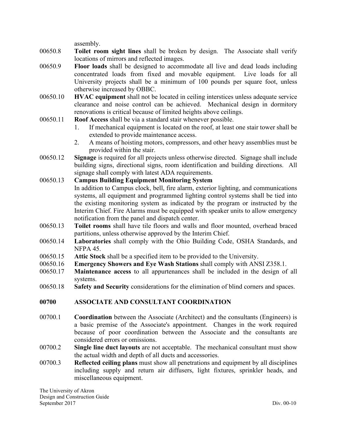assembly.

- 00650.8 **Toilet room sight lines** shall be broken by design. The Associate shall verify locations of mirrors and reflected images.
- 00650.9 **Floor loads** shall be designed to accommodate all live and dead loads including concentrated loads from fixed and movable equipment. Live loads for all University projects shall be a minimum of 100 pounds per square foot, unless otherwise increased by OBBC.
- 00650.10 **HVAC equipment** shall not be located in ceiling interstices unless adequate service clearance and noise control can be achieved. Mechanical design in dormitory renovations is critical because of limited heights above ceilings.
- 00650.11 **Roof Access** shall be via a standard stair whenever possible.
	- 1. If mechanical equipment is located on the roof, at least one stair tower shall be extended to provide maintenance access.
	- 2. A means of hoisting motors, compressors, and other heavy assemblies must be provided within the stair.
- 00650.12 **Signage** is required for all projects unless otherwise directed. Signage shall include building signs, directional signs, room identification and building directions. All signage shall comply with latest ADA requirements.
- 00650.13 **Campus Building Equipment Monitoring System** In addition to Campus clock, bell, fire alarm, exterior lighting, and communications systems, all equipment and programmed lighting control systems shall be tied into the existing monitoring system as indicated by the program or instructed by the Interim Chief. Fire Alarms must be equipped with speaker units to allow emergency notification from the panel and dispatch center.
- 00650.13 **Toilet rooms** shall have tile floors and walls and floor mounted, overhead braced partitions, unless otherwise approved by the Interim Chief.
- 00650.14 **Laboratories** shall comply with the Ohio Building Code, OSHA Standards, and NFPA 45.
- 00650.15 **Attic Stock** shall be a specified item to be provided to the University.
- 00650.16 **Emergency Showers and Eye Wash Stations** shall comply with ANSI Z358.1.
- 00650.17 **Maintenance access** to all appurtenances shall be included in the design of all systems.
- 00650.18 **Safety and Security** considerations for the elimination of blind corners and spaces.

#### **00700 ASSOCIATE AND CONSULTANT COORDINATION**

- 00700.1 **Coordination** between the Associate (Architect) and the consultants (Engineers) is a basic premise of the Associate's appointment. Changes in the work required because of poor coordination between the Associate and the consultants are considered errors or omissions.
- 00700.2 **Single line duct layouts** are not acceptable. The mechanical consultant must show the actual width and depth of all ducts and accessories.
- 00700.3 **Reflected ceiling plans** must show all penetrations and equipment by all disciplines including supply and return air diffusers, light fixtures, sprinkler heads, and miscellaneous equipment.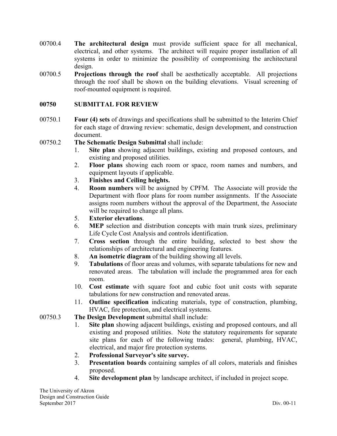- 00700.4 **The architectural design** must provide sufficient space for all mechanical, electrical, and other systems. The architect will require proper installation of all systems in order to minimize the possibility of compromising the architectural design.
- 00700.5 **Projections through the roof** shall be aesthetically acceptable. All projections through the roof shall be shown on the building elevations. Visual screening of roof-mounted equipment is required.

#### **00750 SUBMITTAL FOR REVIEW**

00750.1 **Four (4) sets** of drawings and specifications shall be submitted to the Interim Chief for each stage of drawing review: schematic, design development, and construction document.

00750.2 **The Schematic Design Submittal** shall include:

- 1. **Site plan** showing adjacent buildings, existing and proposed contours, and existing and proposed utilities.
- 2. **Floor plans** showing each room or space, room names and numbers, and equipment layouts if applicable.
- 3. **Finishes and Ceiling heights.**
- 4. **Room numbers** will be assigned by CPFM. The Associate will provide the Department with floor plans for room number assignments. If the Associate assigns room numbers without the approval of the Department, the Associate will be required to change all plans.
- 5. **Exterior elevations**.
- 6. **MEP** selection and distribution concepts with main trunk sizes, preliminary Life Cycle Cost Analysis and controls identification.
- 7. **Cross section** through the entire building, selected to best show the relationships of architectural and engineering features.
- 8. **An isometric diagram** of the building showing all levels.
- 9. **Tabulations** of floor areas and volumes, with separate tabulations for new and renovated areas. The tabulation will include the programmed area for each room.
- 10. **Cost estimate** with square foot and cubic foot unit costs with separate tabulations for new construction and renovated areas.
- 11. **Outline specification** indicating materials, type of construction, plumbing, HVAC, fire protection, and electrical systems.
- 00750.3 **The Design Development** submittal shall include:
	- 1. **Site plan** showing adjacent buildings, existing and proposed contours, and all existing and proposed utilities. Note the statutory requirements for separate site plans for each of the following trades: general, plumbing, HVAC, electrical, and major fire protection systems.
	- 2. **Professional Surveyor's site survey.**
	- 3. **Presentation boards** containing samples of all colors, materials and finishes proposed.
	- 4. **Site development plan** by landscape architect, if included in project scope.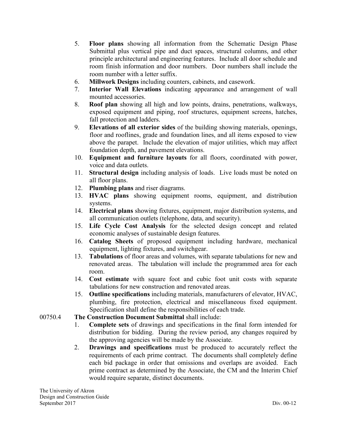- 5. **Floor plans** showing all information from the Schematic Design Phase Submittal plus vertical pipe and duct spaces, structural columns, and other principle architectural and engineering features. Include all door schedule and room finish information and door numbers. Door numbers shall include the room number with a letter suffix.
- 6. **Millwork Designs** including counters, cabinets, and casework.
- 7. **Interior Wall Elevations** indicating appearance and arrangement of wall mounted accessories.
- 8. **Roof plan** showing all high and low points, drains, penetrations, walkways, exposed equipment and piping, roof structures, equipment screens, hatches, fall protection and ladders.
- 9. **Elevations of all exterior sides** of the building showing materials, openings, floor and rooflines, grade and foundation lines, and all items exposed to view above the parapet. Include the elevation of major utilities, which may affect foundation depth, and pavement elevations.
- 10. **Equipment and furniture layouts** for all floors, coordinated with power, voice and data outlets.
- 11. **Structural design** including analysis of loads. Live loads must be noted on all floor plans.
- 12. **Plumbing plans** and riser diagrams.
- 13. **HVAC plans** showing equipment rooms, equipment, and distribution systems.
- 14. **Electrical plans** showing fixtures, equipment, major distribution systems, and all communication outlets (telephone, data, and security).
- 15. **Life Cycle Cost Analysis** for the selected design concept and related economic analyses of sustainable design features.
- 16. **Catalog Sheets** of proposed equipment including hardware, mechanical equipment, lighting fixtures, and switchgear.
- 13. **Tabulations** of floor areas and volumes, with separate tabulations for new and renovated areas. The tabulation will include the programmed area for each room.
- 14. **Cost estimate** with square foot and cubic foot unit costs with separate tabulations for new construction and renovated areas.
- 15. **Outline specifications** including materials, manufacturers of elevator, HVAC, plumbing, fire protection, electrical and miscellaneous fixed equipment. Specification shall define the responsibilities of each trade.
- 00750.4 **The Construction Document Submittal** shall include:
	- 1. **Complete sets** of drawings and specifications in the final form intended for distribution for bidding. During the review period, any changes required by the approving agencies will be made by the Associate.
	- 2. **Drawings and specifications** must be produced to accurately reflect the requirements of each prime contract. The documents shall completely define each bid package in order that omissions and overlaps are avoided. Each prime contract as determined by the Associate, the CM and the Interim Chief would require separate, distinct documents.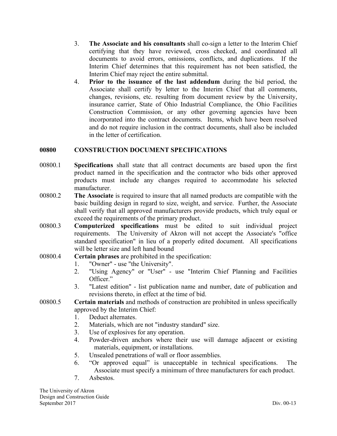- 3. **The Associate and his consultants** shall co-sign a letter to the Interim Chief certifying that they have reviewed, cross checked, and coordinated all documents to avoid errors, omissions, conflicts, and duplications. If the Interim Chief determines that this requirement has not been satisfied, the Interim Chief may reject the entire submittal.
- 4. **Prior to the issuance of the last addendum** during the bid period, the Associate shall certify by letter to the Interim Chief that all comments, changes, revisions, etc. resulting from document review by the University, insurance carrier, State of Ohio Industrial Compliance, the Ohio Facilities Construction Commission, or any other governing agencies have been incorporated into the contract documents. Items, which have been resolved and do not require inclusion in the contract documents, shall also be included in the letter of certification.

#### **00800 CONSTRUCTION DOCUMENT SPECIFICATIONS**

- 00800.1 **Specifications** shall state that all contract documents are based upon the first product named in the specification and the contractor who bids other approved products must include any changes required to accommodate his selected manufacturer.
- 00800.2 **The Associate** is required to insure that all named products are compatible with the basic building design in regard to size, weight, and service. Further, the Associate shall verify that all approved manufacturers provide products, which truly equal or exceed the requirements of the primary product.
- 00800.3 **Computerized specifications** must be edited to suit individual project requirements. The University of Akron will not accept the Associate's "office standard specification" in lieu of a properly edited document. All specifications will be letter size and left hand bound

#### 00800.4 **Certain phrases** are prohibited in the specification:

- 1. "Owner" use "the University".
- 2. "Using Agency" or "User" use "Interim Chief Planning and Facilities Officer."
- 3. "Latest edition" list publication name and number, date of publication and revisions thereto, in effect at the time of bid.
- 00800.5 **Certain materials** and methods of construction are prohibited in unless specifically approved by the Interim Chief:
	- 1. Deduct alternates.
	- 2. Materials, which are not "industry standard" size.
	- 3. Use of explosives for any operation.
	- 4. Powder-driven anchors where their use will damage adjacent or existing materials, equipment, or installations.
	- 5. Unsealed penetrations of wall or floor assemblies.
	- 6. "Or approved equal" is unacceptable in technical specifications. The Associate must specify a minimum of three manufacturers for each product.
	- 7. Asbestos.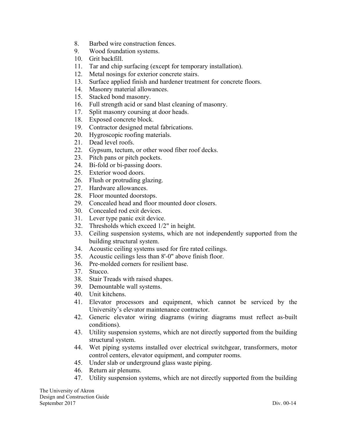- 8. Barbed wire construction fences.
- 9. Wood foundation systems.
- 10. Grit backfill.
- 11. Tar and chip surfacing (except for temporary installation).
- 12. Metal nosings for exterior concrete stairs.
- 13. Surface applied finish and hardener treatment for concrete floors.
- 14. Masonry material allowances.
- 15. Stacked bond masonry.
- 16. Full strength acid or sand blast cleaning of masonry.
- 17. Split masonry coursing at door heads.
- 18. Exposed concrete block.
- 19. Contractor designed metal fabrications.
- 20. Hygroscopic roofing materials.
- 21. Dead level roofs.
- 22. Gypsum, tectum, or other wood fiber roof decks.
- 23. Pitch pans or pitch pockets.
- 24. Bi-fold or bi-passing doors.
- 25. Exterior wood doors.
- 26. Flush or protruding glazing.
- 27. Hardware allowances.
- 28. Floor mounted doorstops.
- 29. Concealed head and floor mounted door closers.
- 30. Concealed rod exit devices.
- 31. Lever type panic exit device.
- 32. Thresholds which exceed 1/2" in height.
- 33. Ceiling suspension systems, which are not independently supported from the building structural system.
- 34. Acoustic ceiling systems used for fire rated ceilings.
- 35. Acoustic ceilings less than 8'-0" above finish floor.
- 36. Pre-molded corners for resilient base.
- 37. Stucco.
- 38. Stair Treads with raised shapes.
- 39. Demountable wall systems.
- 40. Unit kitchens.
- 41. Elevator processors and equipment, which cannot be serviced by the University's elevator maintenance contractor.
- 42. Generic elevator wiring diagrams (wiring diagrams must reflect as-built conditions).
- 43. Utility suspension systems, which are not directly supported from the building structural system.
- 44. Wet piping systems installed over electrical switchgear, transformers, motor control centers, elevator equipment, and computer rooms.
- 45. Under slab or underground glass waste piping.
- 46. Return air plenums.
- 47. Utility suspension systems, which are not directly supported from the building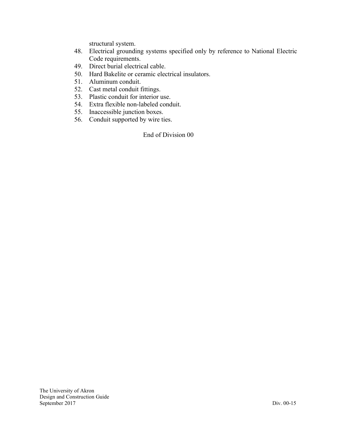structural system.

- 48. Electrical grounding systems specified only by reference to National Electric Code requirements.
- 49. Direct burial electrical cable.
- 50. Hard Bakelite or ceramic electrical insulators.
- 51. Aluminum conduit.
- 52. Cast metal conduit fittings.
- 53. Plastic conduit for interior use.
- 54. Extra flexible non-labeled conduit.
- 55. Inaccessible junction boxes.
- 56. Conduit supported by wire ties.

End of Division 00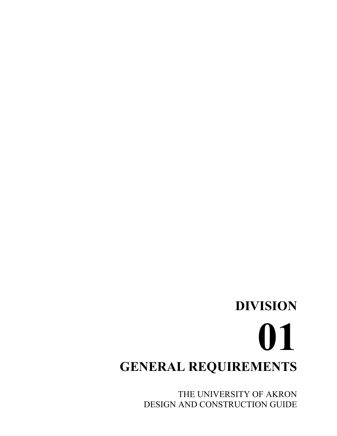## **DIVISION 01 GENERAL REQUIREMENTS**

THE UNIVERSITY OF AKRON DESIGN AND CONSTRUCTION GUIDE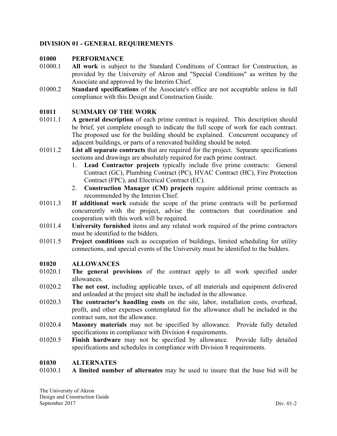#### **DIVISION 01 - GENERAL REQUIREMENTS**

#### **01000 PERFORMANCE**

- 01000.1 **All work** is subject to the Standard Conditions of Contract for Construction, as provided by the University of Akron and "Special Conditions" as written by the Associate and approved by the Interim Chief.
- 01000.2 **Standard specifications** of the Associate's office are not acceptable unless in full compliance with this Design and Construction Guide.

#### **01011 SUMMARY OF THE WORK**

- 01011.1 **A general description** of each prime contract is required. This description should be brief, yet complete enough to indicate the full scope of work for each contract. The proposed use for the building should be explained. Concurrent occupancy of adjacent buildings, or parts of a renovated building should be noted.
- 01011.2 **List all separate contracts** that are required for the project. Separate specifications sections and drawings are absolutely required for each prime contract.
	- 1. **Lead Contractor projects** typically include five prime contracts: General Contract (GC), Plumbing Contract (PC), HVAC Contract (HC), Fire Protection Contract (FPC), and Electrical Contract (EC).
	- 2. **Construction Manager (CM) projects** require additional prime contracts as recommended by the Interim Chief.
- 01011.3 **If additional work** outside the scope of the prime contracts will be performed concurrently with the project, advise the contractors that coordination and cooperation with this work will be required.
- 01011.4 **University furnished** items and any related work required of the prime contractors must be identified to the bidders.
- 01011.5 **Project conditions** such as occupation of buildings, limited scheduling for utility connections, and special events of the University must be identified to the bidders.

#### **01020 ALLOWANCES**

- 01020.1 **The general provisions** of the contract apply to all work specified under allowances.
- 01020.2 **The net cost**, including applicable taxes, of all materials and equipment delivered and unloaded at the project site shall be included in the allowance.
- 01020.3 **The contractor's handling costs** on the site, labor, installation costs, overhead, profit, and other expenses contemplated for the allowance shall be included in the contract sum, not the allowance.
- 01020.4 **Masonry materials** may not be specified by allowance. Provide fully detailed specifications in compliance with Division 4 requirements.
- 01020.5 **Finish hardware** may not be specified by allowance. Provide fully detailed specifications and schedules in compliance with Division 8 requirements.

#### **01030 ALTERNATES**

01030.1 **A limited number of alternates** may be used to insure that the base bid will be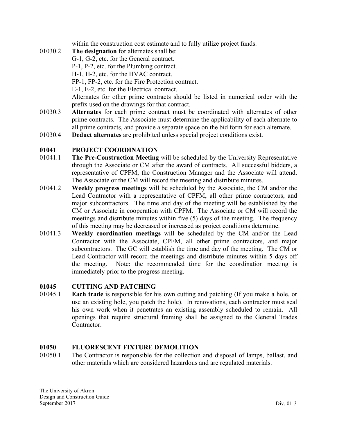within the construction cost estimate and to fully utilize project funds.

- 01030.2 **The designation** for alternates shall be: G-1, G-2, etc. for the General contract. P-1, P-2, etc. for the Plumbing contract. H-1, H-2, etc. for the HVAC contract. FP-1, FP-2, etc. for the Fire Protection contract. E-1, E-2, etc. for the Electrical contract. Alternates for other prime contracts should be listed in numerical order with the prefix used on the drawings for that contract.
- 01030.3 **Alternates** for each prime contract must be coordinated with alternates of other prime contracts. The Associate must determine the applicability of each alternate to all prime contracts, and provide a separate space on the bid form for each alternate.
- 01030.4 **Deduct alternates** are prohibited unless special project conditions exist.

#### **01041 PROJECT COORDINATION**

- 01041.1 **The Pre-Construction Meeting** will be scheduled by the University Representative through the Associate or CM after the award of contracts. All successful bidders, a representative of CPFM, the Construction Manager and the Associate will attend. The Associate or the CM will record the meeting and distribute minutes.
- 01041.2 **Weekly progress meetings** will be scheduled by the Associate, the CM and/or the Lead Contractor with a representative of CPFM, all other prime contractors, and major subcontractors. The time and day of the meeting will be established by the CM or Associate in cooperation with CPFM. The Associate or CM will record the meetings and distribute minutes within five (5) days of the meeting. The frequency of this meeting may be decreased or increased as project conditions determine.
- 01041.3 **Weekly coordination meetings** will be scheduled by the CM and/or the Lead Contractor with the Associate, CPFM, all other prime contractors, and major subcontractors. The GC will establish the time and day of the meeting. The CM or Lead Contractor will record the meetings and distribute minutes within 5 days off the meeting. Note: the recommended time for the coordination meeting is immediately prior to the progress meeting.

#### **01045 CUTTING AND PATCHING**

01045.1 **Each trade** is responsible for his own cutting and patching (If you make a hole, or use an existing hole, you patch the hole). In renovations, each contractor must seal his own work when it penetrates an existing assembly scheduled to remain. All openings that require structural framing shall be assigned to the General Trades Contractor.

#### **01050 FLUORESCENT FIXTURE DEMOLITION**

01050.1 The Contractor is responsible for the collection and disposal of lamps, ballast, and other materials which are considered hazardous and are regulated materials.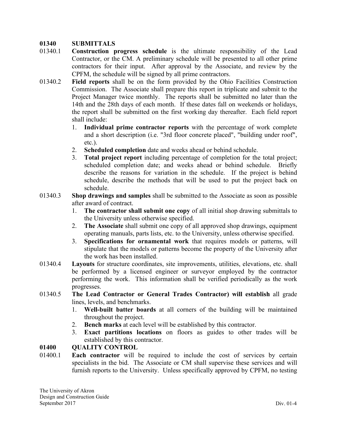#### **01340 SUBMITTALS**

- 01340.1 **Construction progress schedule** is the ultimate responsibility of the Lead Contractor, or the CM. A preliminary schedule will be presented to all other prime contractors for their input. After approval by the Associate, and review by the CPFM, the schedule will be signed by all prime contractors.
- 01340.2 **Field reports** shall be on the form provided by the Ohio Facilities Construction Commission. The Associate shall prepare this report in triplicate and submit to the Project Manager twice monthly. The reports shall be submitted no later than the 14th and the 28th days of each month. If these dates fall on weekends or holidays, the report shall be submitted on the first working day thereafter. Each field report shall include:
	- 1. **Individual prime contractor reports** with the percentage of work complete and a short description (i.e. "3rd floor concrete placed", "building under roof", etc.).
	- 2. **Scheduled completion** date and weeks ahead or behind schedule.
	- 3. **Total project report** including percentage of completion for the total project; scheduled completion date; and weeks ahead or behind schedule. Briefly describe the reasons for variation in the schedule. If the project is behind schedule, describe the methods that will be used to put the project back on schedule.
- 01340.3 **Shop drawings and samples** shall be submitted to the Associate as soon as possible after award of contract.
	- 1. **The contractor shall submit one copy** of all initial shop drawing submittals to the University unless otherwise specified.
	- 2. **The Associate** shall submit one copy of all approved shop drawings, equipment operating manuals, parts lists, etc. to the University, unless otherwise specified.
	- 3. **Specifications for ornamental work** that requires models or patterns, will stipulate that the models or patterns become the property of the University after the work has been installed.
- 01340.4 **Layouts** for structure coordinates, site improvements, utilities, elevations, etc. shall be performed by a licensed engineer or surveyor employed by the contractor performing the work. This information shall be verified periodically as the work progresses.
- 01340.5 **The Lead Contractor or General Trades Contractor) will establish** all grade lines, levels, and benchmarks.
	- 1. **Well-built batter boards** at all corners of the building will be maintained throughout the project.
	- 2. **Bench marks** at each level will be established by this contractor.
	- 3. **Exact partitions locations** on floors as guides to other trades will be established by this contractor.

#### **01400 QUALITY CONTROL**

01400.1 **Each contractor** will be required to include the cost of services by certain specialists in the bid. The Associate or CM shall supervise these services and will furnish reports to the University. Unless specifically approved by CPFM, no testing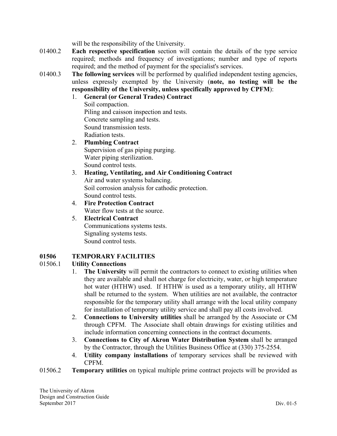will be the responsibility of the University.

- 01400.2 **Each respective specification** section will contain the details of the type service required; methods and frequency of investigations; number and type of reports required; and the method of payment for the specialist's services.
- 01400.3 **The following services** will be performed by qualified independent testing agencies, unless expressly exempted by the University (**note, no testing will be the responsibility of the University, unless specifically approved by CPFM**):
	- 1. **General (or General Trades) Contract**

Soil compaction. Piling and caisson inspection and tests. Concrete sampling and tests. Sound transmission tests. Radiation tests.

- 2. **Plumbing Contract** Supervision of gas piping purging. Water piping sterilization. Sound control tests.
- 3. **Heating, Ventilating, and Air Conditioning Contract** Air and water systems balancing. Soil corrosion analysis for cathodic protection. Sound control tests.
- 4. **Fire Protection Contract** Water flow tests at the source.
- 5. **Electrical Contract** Communications systems tests. Signaling systems tests. Sound control tests.

#### **01506 TEMPORARY FACILITIES**

#### 01506.1 **Utility Connections**

- 1. **The University** will permit the contractors to connect to existing utilities when they are available and shall not charge for electricity, water, or high temperature hot water (HTHW) used. If HTHW is used as a temporary utility, all HTHW shall be returned to the system. When utilities are not available, the contractor responsible for the temporary utility shall arrange with the local utility company for installation of temporary utility service and shall pay all costs involved.
- 2. **Connections to University utilities** shall be arranged by the Associate or CM through CPFM. The Associate shall obtain drawings for existing utilities and include information concerning connections in the contract documents.
- 3. **Connections to City of Akron Water Distribution System** shall be arranged by the Contractor, through the Utilities Business Office at (330) 375-2554.
- 4. **Utility company installations** of temporary services shall be reviewed with CPFM.

01506.2 **Temporary utilities** on typical multiple prime contract projects will be provided as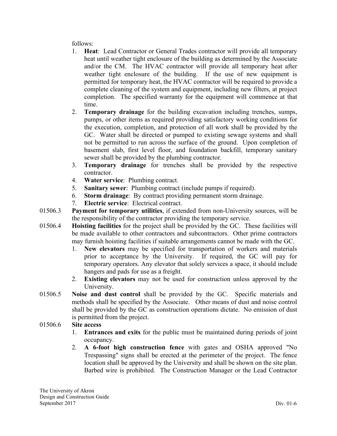follows:

- 1. **Heat**: Lead Contractor or General Trades contractor will provide all temporary heat until weather tight enclosure of the building as determined by the Associate and/or the CM. The HVAC contractor will provide all temporary heat after weather tight enclosure of the building. If the use of new equipment is permitted for temporary heat, the HVAC contractor will be required to provide a complete cleaning of the system and equipment, including new filters, at project completion. The specified warranty for the equipment will commence at that time.
- 2. **Temporary drainage** for the building excavation including trenches, sumps, pumps, or other items as required providing satisfactory working conditions for the execution, completion, and protection of all work shall be provided by the GC. Water shall be directed or pumped to existing sewage systems and shall not be permitted to run across the surface of the ground. Upon completion of basement slab, first level floor, and foundation backfill, temporary sanitary sewer shall be provided by the plumbing contractor.
- 3. **Temporary drainage** for trenches shall be provided by the respective contractor.
- 4. **Water service**: Plumbing contract.
- 5. **Sanitary sewer**: Plumbing contract (include pumps if required).
- 6. **Storm drainage**: By contract providing permanent storm drainage.
- 7. **Electric service**: Electrical contract.
- 01506.3 **Payment for temporary utilities**, if extended from non-University sources, will be the responsibility of the contractor providing the temporary service.
- 01506.4 **Hoisting facilities** for the project shall be provided by the GC. These facilities will be made available to other contractors and subcontractors. Other prime contractors may furnish hoisting facilities if suitable arrangements cannot be made with the GC.
	- 1. **New elevators** may be specified for transportation of workers and materials prior to acceptance by the University. If required, the GC will pay for temporary operators. Any elevator that solely services a space, it should include hangers and pads for use as a freight.
	- 2. **Existing elevators** may not be used for construction unless approved by the University.
- 01506.5 **Noise and dust control** shall be provided by the GC. Specific materials and methods shall be specified by the Associate. Other means of dust and noise control shall be provided by the GC as construction operations dictate. No emission of dust is permitted from the project.

#### 01506.6 **Site access**

- 1. **Entrances and exits** for the public must be maintained during periods of joint occupancy.
- 2. **A 6-foot high construction fence** with gates and OSHA approved "No Trespassing" signs shall be erected at the perimeter of the project. The fence location shall be approved by the University and shall be shown on the site plan. Barbed wire is prohibited. The Construction Manager or the Lead Contractor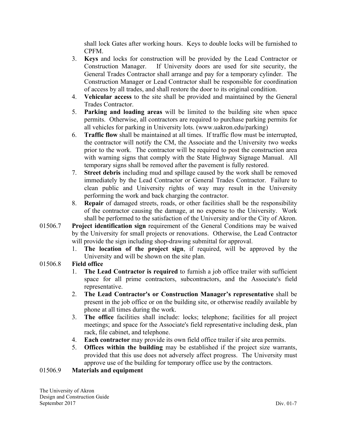shall lock Gates after working hours. Keys to double locks will be furnished to CPFM.

- 3. **Keys** and locks for construction will be provided by the Lead Contractor or Construction Manager. If University doors are used for site security, the General Trades Contractor shall arrange and pay for a temporary cylinder. The Construction Manager or Lead Contractor shall be responsible for coordination of access by all trades, and shall restore the door to its original condition.
- 4. **Vehicular access** to the site shall be provided and maintained by the General Trades Contractor.
- 5. **Parking and loading areas** will be limited to the building site when space permits. Otherwise, all contractors are required to purchase parking permits for all vehicles for parking in University lots. (www.uakron.edu/parking)
- 6. **Traffic flow** shall be maintained at all times. If traffic flow must be interrupted, the contractor will notify the CM, the Associate and the University two weeks prior to the work. The contractor will be required to post the construction area with warning signs that comply with the State Highway Signage Manual. All temporary signs shall be removed after the pavement is fully restored.
- 7. **Street debris** including mud and spillage caused by the work shall be removed immediately by the Lead Contractor or General Trades Contractor. Failure to clean public and University rights of way may result in the University performing the work and back charging the contractor.
- 8. **Repair** of damaged streets, roads, or other facilities shall be the responsibility of the contractor causing the damage, at no expense to the University. Work shall be performed to the satisfaction of the University and/or the City of Akron.
- 01506.7 **Project identification sign** requirement of the General Conditions may be waived by the University for small projects or renovations. Otherwise, the Lead Contractor will provide the sign including shop-drawing submittal for approval.
	- 1. **The location of the project sign**, if required, will be approved by the University and will be shown on the site plan.

#### 01506.8 **Field office**

- 1. **The Lead Contractor is required** to furnish a job office trailer with sufficient space for all prime contractors, subcontractors, and the Associate's field representative.
- 2. **The Lead Contractor's or Construction Manager's representative** shall be present in the job office or on the building site, or otherwise readily available by phone at all times during the work.
- 3. **The office** facilities shall include: locks; telephone; facilities for all project meetings; and space for the Associate's field representative including desk, plan rack, file cabinet, and telephone.
- 4. **Each contractor** may provide its own field office trailer if site area permits.
- 5. **Offices within the building** may be established if the project size warrants, provided that this use does not adversely affect progress. The University must approve use of the building for temporary office use by the contractors.

#### 01506.9 **Materials and equipment**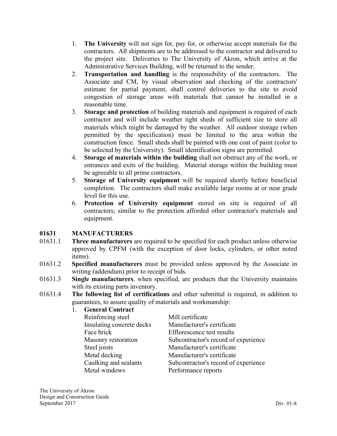- 1. **The University** will not sign for, pay for, or otherwise accept materials for the contractors. All shipments are to be addressed to the contractor and delivered to the project site. Deliveries to The University of Akron, which arrive at the Administrative Services Building, will be returned to the sender.
- 2. **Transportation and handling** is the responsibility of the contractors. The Associate and CM, by visual observation and checking of the contractors' estimate for partial payment, shall control deliveries to the site to avoid congestion of storage areas with materials that cannot be installed in a reasonable time.
- 3. **Storage and protection** of building materials and equipment is required of each contractor and will include weather tight sheds of sufficient size to store all materials which might be damaged by the weather. All outdoor storage (when permitted by the specification) must be limited to the area within the construction fence. Small sheds shall be painted with one coat of paint (color to be selected by the University). Small identification signs are permitted.
- 4. **Storage of materials within the building** shall not obstruct any of the work, or entrances and exits of the building. Material storage within the building must be agreeable to all prime contractors.
- 5. **Storage of University equipment** will be required shortly before beneficial completion. The contractors shall make available large rooms at or near grade level for this use.
- 6. **Protection of University equipment** stored on site is required of all contractors; similar to the protection afforded other contractor's materials and equipment.

#### **01631 MANUFACTURERS**

- 01631.1 **Three manufacturers** are required to be specified for each product unless otherwise approved by CPFM (with the exception of door locks, cylinders, or other noted items).
- 01631.2 **Specified manufacturers** must be provided unless approved by the Associate in writing (addendum) prior to receipt of bids.
- 01631.3 **Single manufacturers**, when specified, are products that the University maintains with its existing parts inventory.
- 01631.4 **The following list of certifications** and other submittal is required, in addition to guarantees, to assure quality of materials and workmanship:

| <b>General Contract</b>   |                                      |
|---------------------------|--------------------------------------|
| Reinforcing steel         | Mill certificate                     |
| Insulating concrete decks | Manufacturer's certificate           |
| Face brick                | Efflorescence test results           |
| Masonry restoration       | Subcontractor's record of experience |
| Steel joists              | Manufacturer's certificate           |
| Metal decking             | Manufacturer's certificate           |
| Caulking and sealants     | Subcontractor's record of experience |
| Metal windows             | Performance reports                  |
|                           |                                      |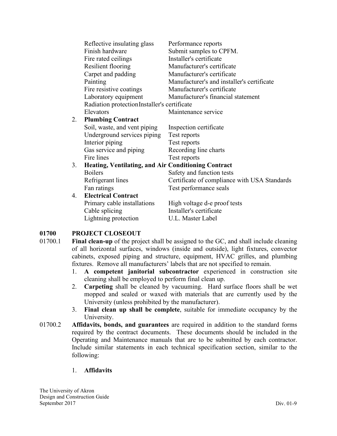|    | Reflective insulating glass                                | Performance reports                          |
|----|------------------------------------------------------------|----------------------------------------------|
|    | Finish hardware                                            | Submit samples to CPFM.                      |
|    | Fire rated ceilings                                        | Installer's certificate                      |
|    | Resilient flooring                                         | Manufacturer's certificate                   |
|    | Carpet and padding                                         | Manufacturer's certificate                   |
|    | Painting                                                   | Manufacturer's and installer's certificate   |
|    | Fire resistive coatings                                    | Manufacturer's certificate                   |
|    | Laboratory equipment                                       | Manufacturer's financial statement           |
|    | Radiation protection Installer's certificate               |                                              |
|    | Elevators                                                  | Maintenance service                          |
| 2. | <b>Plumbing Contract</b>                                   |                                              |
|    | Soil, waste, and vent piping                               | Inspection certificate                       |
|    | Underground services piping                                | Test reports                                 |
|    | Interior piping                                            | Test reports                                 |
|    | Gas service and piping                                     | Recording line charts                        |
|    | Fire lines                                                 | Test reports                                 |
| 3. | <b>Heating, Ventilating, and Air Conditioning Contract</b> |                                              |
|    | <b>Boilers</b>                                             | Safety and function tests                    |
|    | Refrigerant lines                                          | Certificate of compliance with USA Standards |
|    | Fan ratings                                                | Test performance seals                       |
| 4. | <b>Electrical Contract</b>                                 |                                              |
|    | Primary cable installations                                | High voltage d-e proof tests                 |
|    | Cable splicing                                             | Installer's certificate                      |
|    | Lightning protection                                       | U.L. Master Label                            |

#### **01700 PROJECT CLOSEOUT**

- 01700.1 **Final clean-up** of the project shall be assigned to the GC, and shall include cleaning of all horizontal surfaces, windows (inside and outside), light fixtures, convector cabinets, exposed piping and structure, equipment, HVAC grilles, and plumbing fixtures. Remove all manufacturers' labels that are not specified to remain.
	- 1. **A competent janitorial subcontractor** experienced in construction site cleaning shall be employed to perform final clean up.
	- 2. **Carpeting** shall be cleaned by vacuuming. Hard surface floors shall be wet mopped and sealed or waxed with materials that are currently used by the University (unless prohibited by the manufacturer).
	- 3. **Final clean up shall be complete**, suitable for immediate occupancy by the University.
- 01700.2 **Affidavits, bonds, and guarantees** are required in addition to the standard forms required by the contract documents. These documents should be included in the Operating and Maintenance manuals that are to be submitted by each contractor. Include similar statements in each technical specification section, similar to the following:

#### 1. **Affidavits**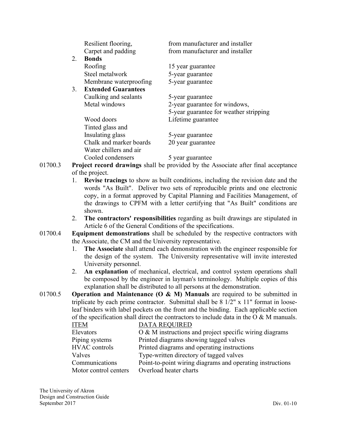|    | Resilient flooring,        | from manufacturer and installer        |
|----|----------------------------|----------------------------------------|
|    | Carpet and padding         | from manufacturer and installer        |
| 2. | <b>Bonds</b>               |                                        |
|    | Roofing                    | 15 year guarantee                      |
|    | Steel metalwork            | 5-year guarantee                       |
|    | Membrane waterproofing     | 5-year guarantee                       |
| 3. | <b>Extended Guarantees</b> |                                        |
|    | Caulking and sealants      | 5-year guarantee                       |
|    | Metal windows              | 2-year guarantee for windows,          |
|    |                            | 5-year guarantee for weather stripping |
|    | Wood doors                 | Lifetime guarantee                     |
|    | Tinted glass and           |                                        |
|    | Insulating glass           | 5-year guarantee                       |
|    | Chalk and marker boards    | 20 year guarantee                      |
|    | Water chillers and air     |                                        |
|    | Cooled condensers          | 5 year guarantee                       |

- 01700.3 **Project record drawings** shall be provided by the Associate after final acceptance of the project.
	- 1. **Revise tracings** to show as built conditions, including the revision date and the words "As Built". Deliver two sets of reproducible prints and one electronic copy, in a format approved by Capital Planning and Facilities Management, of the drawings to CPFM with a letter certifying that "As Built" conditions are shown.
	- 2. **The contractors' responsibilities** regarding as built drawings are stipulated in Article 6 of the General Conditions of the specifications.
- 01700.4 **Equipment demonstrations** shall be scheduled by the respective contractors with the Associate, the CM and the University representative.
	- 1. **The Associate** shall attend each demonstration with the engineer responsible for the design of the system. The University representative will invite interested University personnel.
	- 2. **An explanation** of mechanical, electrical, and control system operations shall be composed by the engineer in layman's terminology. Multiple copies of this explanation shall be distributed to all persons at the demonstration.
- 01700.5 **Operation and Maintenance (O & M) Manuals** are required to be submitted in triplicate by each prime contractor. Submittal shall be 8 1/2" x 11" format in looseleaf binders with label pockets on the front and the binding. Each applicable section of the specification shall direct the contractors to include data in the  $\overline{O} \& M$  manuals.

| <b>ITEM</b>           | <b>DATA REQUIRED</b>                                      |
|-----------------------|-----------------------------------------------------------|
| Elevators             | O & M instructions and project specific wiring diagrams   |
| Piping systems        | Printed diagrams showing tagged valves                    |
| <b>HVAC</b> controls  | Printed diagrams and operating instructions               |
| Valves                | Type-written directory of tagged valves                   |
| Communications        | Point-to-point wiring diagrams and operating instructions |
| Motor control centers | Overload heater charts                                    |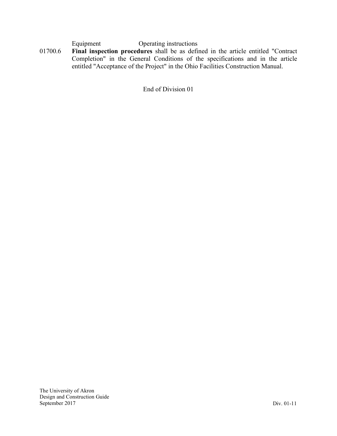Equipment Operating instructions

01700.6 **Final inspection procedures** shall be as defined in the article entitled "Contract Completion" in the General Conditions of the specifications and in the article entitled "Acceptance of the Project" in the Ohio Facilities Construction Manual.

End of Division 01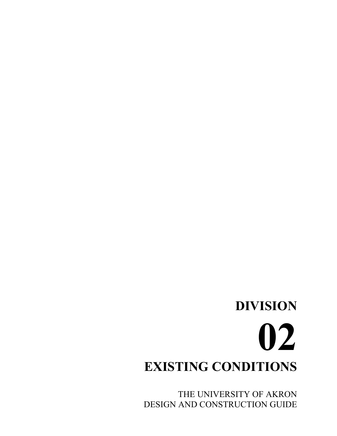## **DIVISION 02 EXISTING CONDITIONS**

THE UNIVERSITY OF AKRON DESIGN AND CONSTRUCTION GUIDE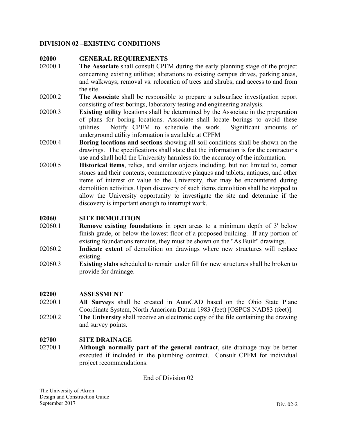#### **DIVISION 02 –EXISTING CONDITIONS**

#### **02000 GENERAL REQUIREMENTS**

- 02000.1 **The Associate** shall consult CPFM during the early planning stage of the project concerning existing utilities; alterations to existing campus drives, parking areas, and walkways; removal vs. relocation of trees and shrubs; and access to and from the site.
- 02000.2 **The Associate** shall be responsible to prepare a subsurface investigation report consisting of test borings, laboratory testing and engineering analysis.
- 02000.3 **Existing utility** locations shall be determined by the Associate in the preparation of plans for boring locations. Associate shall locate borings to avoid these utilities. Notify CPFM to schedule the work. Significant amounts of underground utility information is available at CPFM
- 02000.4 **Boring locations and sections** showing all soil conditions shall be shown on the drawings. The specifications shall state that the information is for the contractor's use and shall hold the University harmless for the accuracy of the information.
- 02000.5 **Historical items**, relics, and similar objects including, but not limited to, corner stones and their contents, commemorative plaques and tablets, antiques, and other items of interest or value to the University, that may be encountered during demolition activities. Upon discovery of such items demolition shall be stopped to allow the University opportunity to investigate the site and determine if the discovery is important enough to interrupt work.

#### **02060 SITE DEMOLITION**

- 02060.1 **Remove existing foundations** in open areas to a minimum depth of 3' below finish grade, or below the lowest floor of a proposed building. If any portion of existing foundations remains, they must be shown on the "As Built" drawings.
- 02060.2 **Indicate extent** of demolition on drawings where new structures will replace existing.
- 02060.3 **Existing slabs** scheduled to remain under fill for new structures shall be broken to provide for drainage.

#### **02200 ASSESSMENT**

- 02200.1 **All Surveys** shall be created in AutoCAD based on the Ohio State Plane Coordinate System, North American Datum 1983 (feet) [OSPCS NAD83 (feet)].
- 02200.2 **The University** shall receive an electronic copy of the file containing the drawing and survey points.

#### **02700 SITE DRAINAGE**

02700.1 **Although normally part of the general contract**, site drainage may be better executed if included in the plumbing contract. Consult CPFM for individual project recommendations.

End of Division 02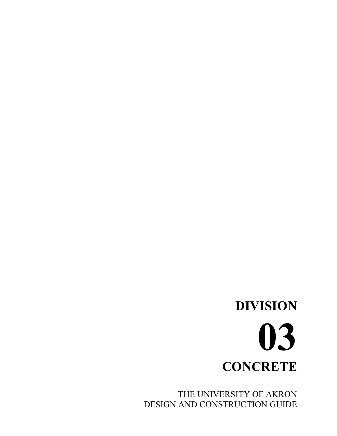THE UNIVERSITY OF AKRON DESIGN AND CONSTRUCTION GUIDE

## **DIVISION 03 CONCRETE**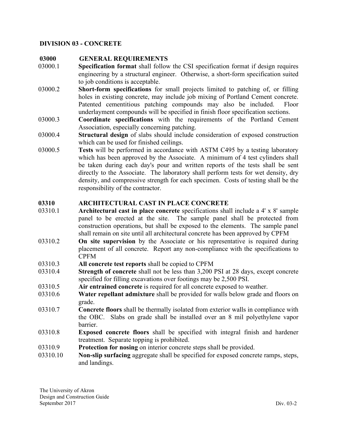### **DIVISION 03 - CONCRETE**

### **03000 GENERAL REQUIREMENTS**

- 03000.1 **Specification format** shall follow the CSI specification format if design requires engineering by a structural engineer. Otherwise, a short-form specification suited to job conditions is acceptable.
- 03000.2 **Short-form specifications** for small projects limited to patching of, or filling holes in existing concrete, may include job mixing of Portland Cement concrete. Patented cementitious patching compounds may also be included. Floor underlayment compounds will be specified in finish floor specification sections.
- 03000.3 **Coordinate specifications** with the requirements of the Portland Cement Association, especially concerning patching.
- 03000.4 **Structural design** of slabs should include consideration of exposed construction which can be used for finished ceilings.
- 03000.5 **Tests** will be performed in accordance with ASTM C495 by a testing laboratory which has been approved by the Associate. A minimum of 4 test cylinders shall be taken during each day's pour and written reports of the tests shall be sent directly to the Associate. The laboratory shall perform tests for wet density, dry density, and compressive strength for each specimen. Costs of testing shall be the responsibility of the contractor.

### **03310 ARCHITECTURAL CAST IN PLACE CONCRETE**

- 03310.1 **Architectural cast in place concrete** specifications shall include a 4' x 8' sample panel to be erected at the site. The sample panel shall be protected from construction operations, but shall be exposed to the elements. The sample panel shall remain on site until all architectural concrete has been approved by CPFM
- 03310.2 **On site supervision** by the Associate or his representative is required during placement of all concrete. Report any non-compliance with the specifications to CPFM
- 03310.3 **All concrete test reports** shall be copied to CPFM
- 03310.4 **Strength of concrete** shall not be less than 3,200 PSI at 28 days, except concrete specified for filling excavations over footings may be 2,500 PSI.
- 03310.5 **Air entrained concrete** is required for all concrete exposed to weather.
- 03310.6 **Water repellant admixture** shall be provided for walls below grade and floors on grade.
- 03310.7 **Concrete floors** shall be thermally isolated from exterior walls in compliance with the OBC. Slabs on grade shall be installed over an 8 mil polyethylene vapor barrier.
- 03310.8 **Exposed concrete floors** shall be specified with integral finish and hardener treatment. Separate topping is prohibited.
- 03310.9 **Protection for nosing** on interior concrete steps shall be provided.
- 03310.10 **Non-slip surfacing** aggregate shall be specified for exposed concrete ramps, steps, and landings.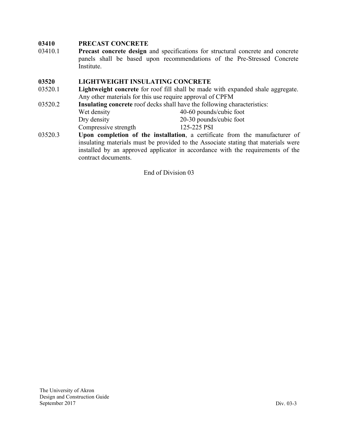# **03410 PRECAST CONCRETE**

03410.1 **Precast concrete design** and specifications for structural concrete and concrete panels shall be based upon recommendations of the Pre-Stressed Concrete Institute.

# **03520 LIGHTWEIGHT INSULATING CONCRETE**

- 03520.1 **Lightweight concrete** for roof fill shall be made with expanded shale aggregate. Any other materials for this use require approval of CPFM
- 03520.2 **Insulating concrete** roof decks shall have the following characteristics: Wet density  $40-60$  pounds/cubic foot Dry density 20-30 pounds/cubic foot Compressive strength 125-225 PSI
- 03520.3 **Upon completion of the installation**, a certificate from the manufacturer of insulating materials must be provided to the Associate stating that materials were installed by an approved applicator in accordance with the requirements of the contract documents.

End of Division 03

The University of Akron Design and Construction Guide September 2017 Div. 03-3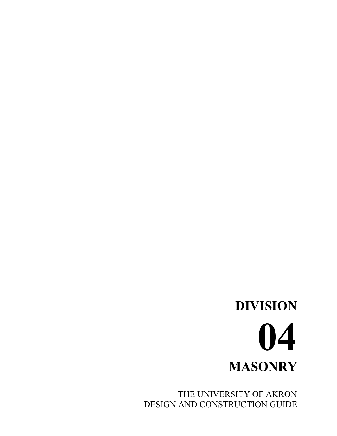# **DIVISION 04 MASONRY**

THE UNIVERSITY OF AKRON DESIGN AND CONSTRUCTION GUIDE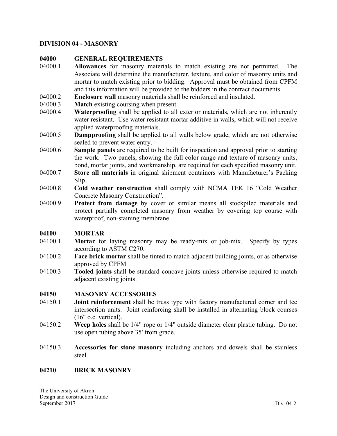### **DIVISION 04 - MASONRY**

### **04000 GENERAL REQUIREMENTS**

- 04000.1 **Allowances** for masonry materials to match existing are not permitted. The Associate will determine the manufacturer, texture, and color of masonry units and mortar to match existing prior to bidding. Approval must be obtained from CPFM and this information will be provided to the bidders in the contract documents.
- 04000.2 **Enclosure wall** masonry materials shall be reinforced and insulated.<br>04000.3 **Match** existing coursing when present.
- **Match** existing coursing when present.
- 04000.4 **Waterproofing** shall be applied to all exterior materials, which are not inherently water resistant. Use water resistant mortar additive in walls, which will not receive applied waterproofing materials.
- 04000.5 **Dampproofing** shall be applied to all walls below grade, which are not otherwise sealed to prevent water entry.
- 04000.6 **Sample panels** are required to be built for inspection and approval prior to starting the work. Two panels, showing the full color range and texture of masonry units, bond, mortar joints, and workmanship, are required for each specified masonry unit.
- 04000.7 **Store all materials** in original shipment containers with Manufacturer's Packing Slip.
- 04000.8 **Cold weather construction** shall comply with NCMA TEK 16 "Cold Weather Concrete Masonry Construction".
- 04000.9 **Protect from damage** by cover or similar means all stockpiled materials and protect partially completed masonry from weather by covering top course with waterproof, non-staining membrane.

### **04100 MORTAR**

- 04100.1 **Mortar** for laying masonry may be ready-mix or job-mix. Specify by types according to ASTM C270.
- 04100.2 **Face brick mortar** shall be tinted to match adjacent building joints, or as otherwise approved by CPFM
- 04100.3 **Tooled joints** shall be standard concave joints unless otherwise required to match adjacent existing joints.

### **04150 MASONRY ACCESSORIES**

- 04150.1 **Joint reinforcement** shall be truss type with factory manufactured corner and tee intersection units. Joint reinforcing shall be installed in alternating block courses (16" o.c. vertical).
- 04150.2 **Weep holes** shall be 1/4" rope or 1/4" outside diameter clear plastic tubing. Do not use open tubing above 35' from grade.
- 04150.3 **Accessories for stone masonry** including anchors and dowels shall be stainless steel.

### **04210 BRICK MASONRY**

The University of Akron Design and construction Guide September 2017 Div. 04-2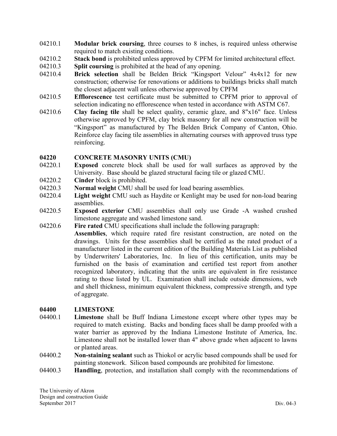- 04210.1 **Modular brick coursing**, three courses to 8 inches, is required unless otherwise required to match existing conditions.
- 04210.2 **Stack bond** is prohibited unless approved by CPFM for limited architectural effect.
- 04210.3 **Split coursing** is prohibited at the head of any opening.
- 04210.4 **Brick selection** shall be Belden Brick "Kingsport Velour" 4x4x12 for new construction; otherwise for renovations or additions to buildings bricks shall match the closest adjacent wall unless otherwise approved by CPFM
- 04210.5 **Efflorescence** test certificate must be submitted to CPFM prior to approval of selection indicating no efflorescence when tested in accordance with ASTM C67.
- 04210.6 **Clay facing tile** shall be select quality, ceramic glaze, and 8"x16" face. Unless otherwise approved by CPFM, clay brick masonry for all new construction will be "Kingsport" as manufactured by The Belden Brick Company of Canton, Ohio. Reinforce clay facing tile assemblies in alternating courses with approved truss type reinforcing.

### **04220 CONCRETE MASONRY UNITS (CMU)**

- 04220.1 **Exposed** concrete block shall be used for wall surfaces as approved by the University. Base should be glazed structural facing tile or glazed CMU.
- 04220.2 **Cinder** block is prohibited.
- 04220.3 **Normal weight** CMU shall be used for load bearing assemblies.
- 04220.4 **Light weight** CMU such as Haydite or Kenlight may be used for non-load bearing assemblies.
- 04220.5 **Exposed exterior** CMU assemblies shall only use Grade -A washed crushed limestone aggregate and washed limestone sand.
- 04220.6 **Fire rated** CMU specifications shall include the following paragraph:
	- **Assemblies**, which require rated fire resistant construction, are noted on the drawings. Units for these assemblies shall be certified as the rated product of a manufacturer listed in the current edition of the Building Materials List as published by Underwriters' Laboratories, Inc. In lieu of this certification, units may be furnished on the basis of examination and certified test report from another recognized laboratory, indicating that the units are equivalent in fire resistance rating to those listed by UL. Examination shall include outside dimensions, web and shell thickness, minimum equivalent thickness, compressive strength, and type of aggregate.

# **04400 LIMESTONE**

- 04400.1 **Limestone** shall be Buff Indiana Limestone except where other types may be required to match existing. Backs and bonding faces shall be damp proofed with a water barrier as approved by the Indiana Limestone Institute of America, Inc. Limestone shall not be installed lower than 4" above grade when adjacent to lawns or planted areas.
- 04400.2 **Non-staining sealant** such as Thiokol or acrylic based compounds shall be used for painting stonework. Silicon based compounds are prohibited for limestone.
- 04400.3 **Handling**, protection, and installation shall comply with the recommendations of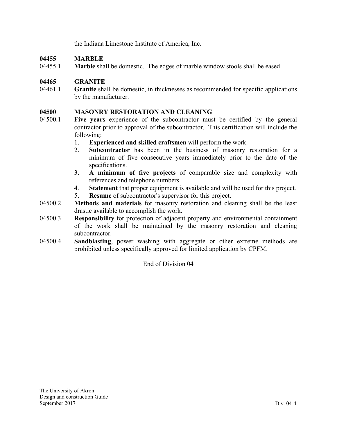the Indiana Limestone Institute of America, Inc.

# **04455 MARBLE**

04455.1 **Marble** shall be domestic. The edges of marble window stools shall be eased.

# **04465 GRANITE**

04461.1 **Granite** shall be domestic, in thicknesses as recommended for specific applications by the manufacturer.

# **04500 MASONRY RESTORATION AND CLEANING**

- 04500.1 **Five years** experience of the subcontractor must be certified by the general contractor prior to approval of the subcontractor. This certification will include the following:
	- 1. **Experienced and skilled craftsmen** will perform the work.
	- 2. **Subcontractor** has been in the business of masonry restoration for a minimum of five consecutive years immediately prior to the date of the specifications.
	- 3. **A minimum of five projects** of comparable size and complexity with references and telephone numbers.
	- 4. **Statement** that proper equipment is available and will be used for this project.
	- 5. **Resume** of subcontractor's supervisor for this project.
- 04500.2 **Methods and materials** for masonry restoration and cleaning shall be the least drastic available to accomplish the work.
- 04500.3 **Responsibility** for protection of adjacent property and environmental containment of the work shall be maintained by the masonry restoration and cleaning subcontractor.
- 04500.4 **Sandblasting**, power washing with aggregate or other extreme methods are prohibited unless specifically approved for limited application by CPFM.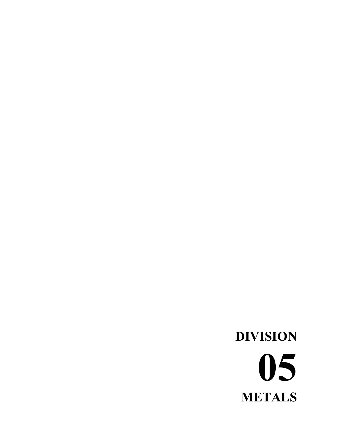# **DIVISION 05 METALS**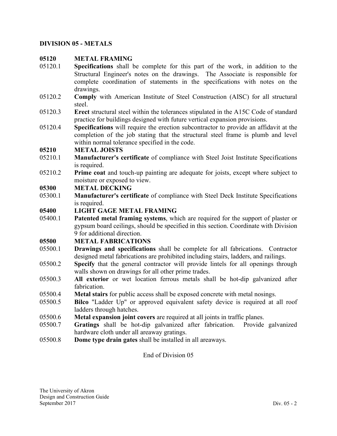### **DIVISION 05 - METALS**

### **05120 METAL FRAMING**

- 05120.1 **Specifications** shall be complete for this part of the work, in addition to the Structural Engineer's notes on the drawings. The Associate is responsible for complete coordination of statements in the specifications with notes on the drawings.
- 05120.2 **Comply** with American Institute of Steel Construction (AISC) for all structural steel.
- 05120.3 **Erect** structural steel within the tolerances stipulated in the A15C Code of standard practice for buildings designed with future vertical expansion provisions.
- 05120.4 **Specifications** will require the erection subcontractor to provide an affidavit at the completion of the job stating that the structural steel frame is plumb and level within normal tolerance specified in the code.

### **05210 METAL JOISTS**

- 05210.1 **Manufacturer's certificate** of compliance with Steel Joist Institute Specifications is required.
- 05210.2 **Prime coat** and touch-up painting are adequate for joists, except where subject to moisture or exposed to view.

### **05300 METAL DECKING**

05300.1 **Manufacturer's certificate** of compliance with Steel Deck Institute Specifications is required.

### **05400 LIGHT GAGE METAL FRAMING**

05400.1 **Patented metal framing systems**, which are required for the support of plaster or gypsum board ceilings, should be specified in this section. Coordinate with Division 9 for additional direction.

### **05500 METAL FABRICATIONS**

- 05500.1 **Drawings and specifications** shall be complete for all fabrications. Contractor designed metal fabrications are prohibited including stairs, ladders, and railings.
- 05500.2 **Specify** that the general contractor will provide lintels for all openings through walls shown on drawings for all other prime trades.
- 05500.3 **All exterior** or wet location ferrous metals shall be hot-dip galvanized after fabrication.
- 05500.4 **Metal stairs** for public access shall be exposed concrete with metal nosings.
- 05500.5 **Bilco** "Ladder Up" or approved equivalent safety device is required at all roof ladders through hatches.
- 05500.6 **Metal expansion joint covers** are required at all joints in traffic planes.
- 05500.7 **Gratings** shall be hot-dip galvanized after fabrication. Provide galvanized hardware cloth under all areaway gratings.
- 05500.8 **Dome type drain gates** shall be installed in all areaways.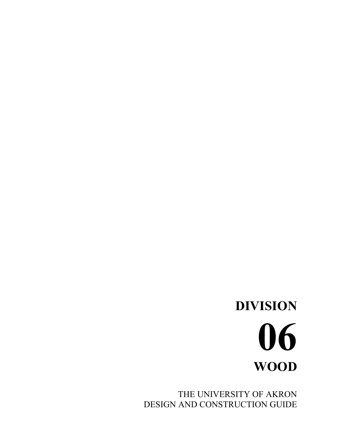THE UNIVERSITY OF AKRON DESIGN AND CONSTRUCTION GUIDE

# **DIVISION 06 WOOD**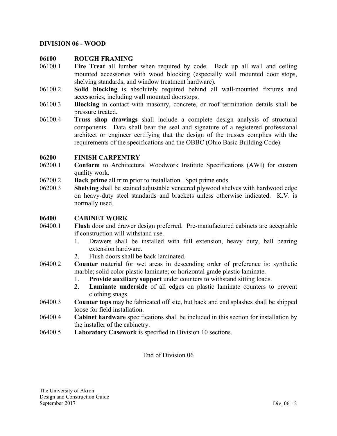#### **DIVISION 06 - WOOD**

#### **06100 ROUGH FRAMING**

- 06100.1 **Fire Treat** all lumber when required by code. Back up all wall and ceiling mounted accessories with wood blocking (especially wall mounted door stops, shelving standards, and window treatment hardware).
- 06100.2 **Solid blocking** is absolutely required behind all wall-mounted fixtures and accessories, including wall mounted doorstops.
- 06100.3 **Blocking** in contact with masonry, concrete, or roof termination details shall be pressure treated.
- 06100.4 **Truss shop drawings** shall include a complete design analysis of structural components. Data shall bear the seal and signature of a registered professional architect or engineer certifying that the design of the trusses complies with the requirements of the specifications and the OBBC (Ohio Basic Building Code).

### **06200 FINISH CARPENTRY**

- 06200.1 **Conform** to Architectural Woodwork Institute Specifications (AWI) for custom quality work.
- 06200.2 **Back prime** all trim prior to installation. Spot prime ends.
- 06200.3 **Shelving** shall be stained adjustable veneered plywood shelves with hardwood edge on heavy-duty steel standards and brackets unless otherwise indicated. K.V. is normally used.

#### **06400 CABINET WORK**

- 06400.1 **Flush** door and drawer design preferred. Pre-manufactured cabinets are acceptable if construction will withstand use.
	- 1. Drawers shall be installed with full extension, heavy duty, ball bearing extension hardware.
	- 2. Flush doors shall be back laminated.
- 06400.2 **Counter** material for wet areas in descending order of preference is: synthetic marble; solid color plastic laminate; or horizontal grade plastic laminate.
	- 1. **Provide auxiliary support** under counters to withstand sitting loads.
	- 2. **Laminate underside** of all edges on plastic laminate counters to prevent clothing snags.
- 06400.3 **Counter tops** may be fabricated off site, but back and end splashes shall be shipped loose for field installation.
- 06400.4 **Cabinet hardware** specifications shall be included in this section for installation by the installer of the cabinetry.
- 06400.5 **Laboratory Casework** is specified in Division 10 sections.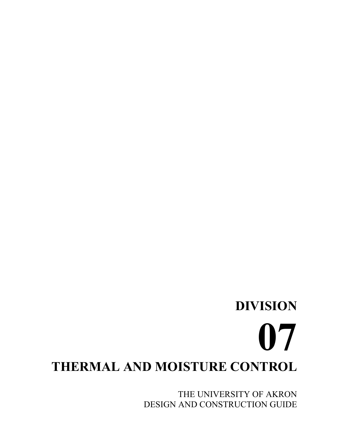# **DIVISION 07 THERMAL AND MOISTURE CONTROL**

THE UNIVERSITY OF AKRON DESIGN AND CONSTRUCTION GUIDE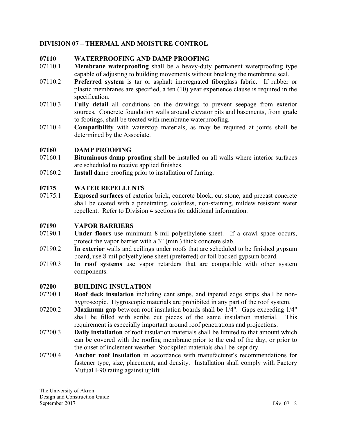# **DIVISION 07 – THERMAL AND MOISTURE CONTROL**

### **07110 WATERPROOFING AND DAMP PROOFING**

- 07110.1 **Membrane waterproofing** shall be a heavy-duty permanent waterproofing type capable of adjusting to building movements without breaking the membrane seal.
- 07110.2 **Preferred system** is tar or asphalt impregnated fiberglass fabric. If rubber or plastic membranes are specified, a ten (10) year experience clause is required in the specification.
- 07110.3 **Fully detail** all conditions on the drawings to prevent seepage from exterior sources. Concrete foundation walls around elevator pits and basements, from grade to footings, shall be treated with membrane waterproofing.
- 07110.4 **Compatibility** with waterstop materials, as may be required at joints shall be determined by the Associate.

### **07160 DAMP PROOFING**

- 07160.1 **Bituminous damp proofing** shall be installed on all walls where interior surfaces are scheduled to receive applied finishes.
- 07160.2 **Install** damp proofing prior to installation of furring.

# **07175 WATER REPELLENTS**

07175.1 **Exposed surfaces** of exterior brick, concrete block, cut stone, and precast concrete shall be coated with a penetrating, colorless, non-staining, mildew resistant water repellent. Refer to Division 4 sections for additional information.

### **07190 VAPOR BARRIERS**

- 07190.1 **Under floors** use minimum 8-mil polyethylene sheet. If a crawl space occurs, protect the vapor barrier with a 3" (min.) thick concrete slab.
- 07190.2 **In exterior** walls and ceilings under roofs that are scheduled to be finished gypsum board, use 8-mil polyethylene sheet (preferred) or foil backed gypsum board.
- 07190.3 **In roof systems** use vapor retarders that are compatible with other system components.

### **07200 BUILDING INSULATION**

- 07200.1 **Roof deck insulation** including cant strips, and tapered edge strips shall be nonhygroscopic. Hygroscopic materials are prohibited in any part of the roof system.
- 07200.2 **Maximum gap** between roof insulation boards shall be 1/4". Gaps exceeding 1/4" shall be filled with scribe cut pieces of the same insulation material. This requirement is especially important around roof penetrations and projections.
- 07200.3 **Daily installation** of roof insulation materials shall be limited to that amount which can be covered with the roofing membrane prior to the end of the day, or prior to the onset of inclement weather. Stockpiled materials shall be kept dry.
- 07200.4 **Anchor roof insulation** in accordance with manufacturer's recommendations for fastener type, size, placement, and density. Installation shall comply with Factory Mutual I-90 rating against uplift.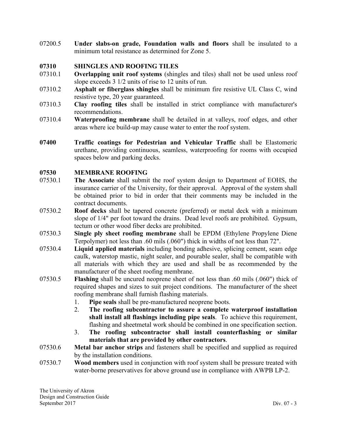07200.5 **Under slabs-on grade, Foundation walls and floors** shall be insulated to a minimum total resistance as determined for Zone 5.

### **07310 SHINGLES AND ROOFING TILES**

- 07310.1 **Overlapping unit roof systems** (shingles and tiles) shall not be used unless roof slope exceeds 3 1/2 units of rise to 12 units of run.
- 07310.2 **Asphalt or fiberglass shingles** shall be minimum fire resistive UL Class C, wind resistive type, 20 year guaranteed.
- 07310.3 **Clay roofing tiles** shall be installed in strict compliance with manufacturer's recommendations.
- 07310.4 **Waterproofing membrane** shall be detailed in at valleys, roof edges, and other areas where ice build-up may cause water to enter the roof system.
- **07400 Traffic coatings for Pedestrian and Vehicular Traffic** shall be Elastomeric urethane, providing continuous, seamless, waterproofing for rooms with occupied spaces below and parking decks.

### **07530 MEMBRANE ROOFING**

- 07530.1 **The Associate** shall submit the roof system design to Department of EOHS, the insurance carrier of the University, for their approval. Approval of the system shall be obtained prior to bid in order that their comments may be included in the contract documents.
- 07530.2 **Roof decks** shall be tapered concrete (preferred) or metal deck with a minimum slope of 1/4" per foot toward the drains. Dead level roofs are prohibited. Gypsum, tectum or other wood fiber decks are prohibited.
- 07530.3 **Single ply sheet roofing membrane** shall be EPDM (Ethylene Propylene Diene Terpolymer) not less than .60 mils (.060") thick in widths of not less than 72".
- 07530.4 **Liquid applied materials** including bonding adhesive, splicing cement, seam edge caulk, waterstop mastic, night sealer, and pourable sealer, shall be compatible with all materials with which they are used and shall be as recommended by the manufacturer of the sheet roofing membrane.
- 07530.5 **Flashing** shall be uncured neoprene sheet of not less than .60 mils (.060") thick of required shapes and sizes to suit project conditions. The manufacturer of the sheet roofing membrane shall furnish flashing materials.
	- 1. **Pipe seals** shall be pre-manufactured neoprene boots.
	- 2. **The roofing subcontractor to assure a complete waterproof installation shall install all flashings including pipe seals**. To achieve this requirement, flashing and sheetmetal work should be combined in one specification section.
	- 3. **The roofing subcontractor shall install counterflashing or similar materials that are provided by other contractors**.
- 07530.6 **Metal bar anchor strips** and fasteners shall be specified and supplied as required by the installation conditions.
- 07530.7 **Wood members** used in conjunction with roof system shall be pressure treated with water-borne preservatives for above ground use in compliance with AWPB LP-2.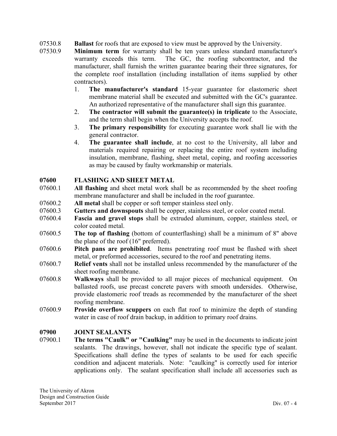- 07530.8 **Ballast** for roofs that are exposed to view must be approved by the University.
- 07530.9 **Minimum term** for warranty shall be ten years unless standard manufacturer's warranty exceeds this term. The GC, the roofing subcontractor, and the manufacturer, shall furnish the written guarantee bearing their three signatures, for the complete roof installation (including installation of items supplied by other contractors).
	- 1. **The manufacturer's standard** 15-year guarantee for elastomeric sheet membrane material shall be executed and submitted with the GC's guarantee. An authorized representative of the manufacturer shall sign this guarantee.
	- 2. **The contractor will submit the guarantee(s) in triplicate** to the Associate, and the term shall begin when the University accepts the roof.
	- 3. **The primary responsibility** for executing guarantee work shall lie with the general contractor.
	- 4. **The guarantee shall include**, at no cost to the University, all labor and materials required repairing or replacing the entire roof system including insulation, membrane, flashing, sheet metal, coping, and roofing accessories as may be caused by faulty workmanship or materials.

# **07600 FLASHING AND SHEET METAL**

- 07600.1 **All flashing** and sheet metal work shall be as recommended by the sheet roofing membrane manufacturer and shall be included in the roof guarantee.
- 07600.2 **All metal** shall be copper or soft temper stainless steel only.
- 07600.3 **Gutters and downspouts** shall be copper, stainless steel, or color coated metal.
- 07600.4 **Fascia and gravel stops** shall be extruded aluminum, copper, stainless steel, or color coated metal.
- 07600.5 **The top of flashing** (bottom of counterflashing) shall be a minimum of 8" above the plane of the roof (16" preferred).
- 07600.6 **Pitch pans are prohibited**. Items penetrating roof must be flashed with sheet metal, or preformed accessories, secured to the roof and penetrating items.
- 07600.7 **Relief vents** shall not be installed unless recommended by the manufacturer of the sheet roofing membrane.
- 07600.8 **Walkways** shall be provided to all major pieces of mechanical equipment. On ballasted roofs, use precast concrete pavers with smooth undersides. Otherwise, provide elastomeric roof treads as recommended by the manufacturer of the sheet roofing membrane.
- 07600.9 **Provide overflow scuppers** on each flat roof to minimize the depth of standing water in case of roof drain backup, in addition to primary roof drains.

# **07900 JOINT SEALANTS**

07900.1 **The terms "Caulk" or "Caulking"** may be used in the documents to indicate joint sealants. The drawings, however, shall not indicate the specific type of sealant. Specifications shall define the types of sealants to be used for each specific condition and adjacent materials. Note: "caulking" is correctly used for interior applications only. The sealant specification shall include all accessories such as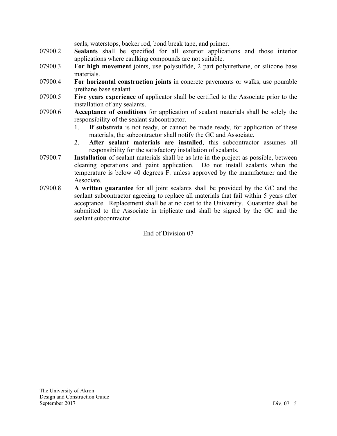seals, waterstops, backer rod, bond break tape, and primer.

- 07900.2 **Sealants** shall be specified for all exterior applications and those interior applications where caulking compounds are not suitable.
- 07900.3 **For high movement** joints, use polysulfide, 2 part polyurethane, or silicone base materials.
- 07900.4 **For horizontal construction joints** in concrete pavements or walks, use pourable urethane base sealant.
- 07900.5 **Five years experience** of applicator shall be certified to the Associate prior to the installation of any sealants.
- 07900.6 **Acceptance of conditions** for application of sealant materials shall be solely the responsibility of the sealant subcontractor.
	- 1. **If substrata** is not ready, or cannot be made ready, for application of these materials, the subcontractor shall notify the GC and Associate.
	- 2. **After sealant materials are installed**, this subcontractor assumes all responsibility for the satisfactory installation of sealants.
- 07900.7 **Installation** of sealant materials shall be as late in the project as possible, between cleaning operations and paint application. Do not install sealants when the temperature is below 40 degrees F. unless approved by the manufacturer and the Associate.
- 07900.8 **A written guarantee** for all joint sealants shall be provided by the GC and the sealant subcontractor agreeing to replace all materials that fail within 5 years after acceptance. Replacement shall be at no cost to the University. Guarantee shall be submitted to the Associate in triplicate and shall be signed by the GC and the sealant subcontractor.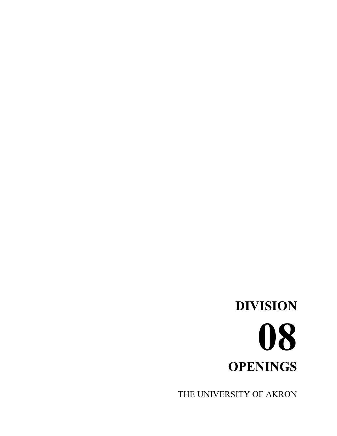# **DIVISION 08 OPENINGS**

THE UNIVERSITY OF AKRON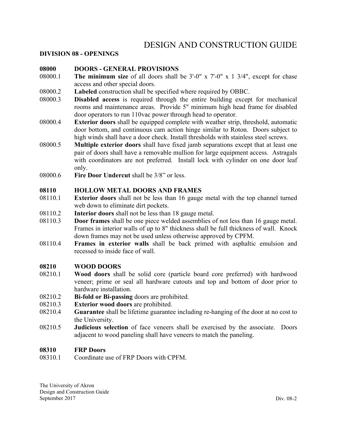# DESIGN AND CONSTRUCTION GUIDE

#### **DIVISION 08 - OPENINGS**

#### **08000 DOORS - GENERAL PROVISIONS**

- 08000.1 **The minimum size** of all doors shall be 3'-0" x 7'-0" x 1 3/4", except for chase access and other special doors.
- 08000.2 **Labeled** construction shall be specified where required by OBBC.
- 08000.3 **Disabled access** is required through the entire building except for mechanical rooms and maintenance areas. Provide 5" minimum high head frame for disabled door operators to run 110vac power through head to operator.
- 08000.4 **Exterior doors** shall be equipped complete with weather strip, threshold, automatic door bottom, and continuous cam action hinge similar to Roton. Doors subject to high winds shall have a door check. Install thresholds with stainless steel screws.
- 08000.5 **Multiple exterior doors** shall have fixed jamb separations except that at least one pair of doors shall have a removable mullion for large equipment access. Astragals with coordinators are not preferred. Install lock with cylinder on one door leaf only.
- 08000.6 **Fire Door Undercut** shall be 3/8" or less.

### **08110 HOLLOW METAL DOORS AND FRAMES**

- 08110.1 **Exterior doors** shall not be less than 16 gauge metal with the top channel turned web down to eliminate dirt pockets.
- 08110.2 **Interior doors** shall not be less than 18 gauge metal.
- 08110.3 **Door frames** shall be one piece welded assemblies of not less than 16 gauge metal. Frames in interior walls of up to 8" thickness shall be full thickness of wall. Knock down frames may not be used unless otherwise approved by CPFM.
- 08110.4 **Frames in exterior walls** shall be back primed with asphaltic emulsion and recessed to inside face of wall.

#### **08210 WOOD DOORS**

- 08210.1 **Wood doors** shall be solid core (particle board core preferred) with hardwood veneer; prime or seal all hardware cutouts and top and bottom of door prior to hardware installation.
- 08210.2 **Bi-fold or Bi-passing** doors are prohibited.
- 08210.3 **Exterior wood doors** are prohibited.
- 08210.4 **Guarantee** shall be lifetime guarantee including re-hanging of the door at no cost to the University.
- 08210.5 **Judicious selection** of face veneers shall be exercised by the associate. Doors adjacent to wood paneling shall have veneers to match the paneling.

#### **08310 FRP Doors**

08310.1 Coordinate use of FRP Doors with CPFM.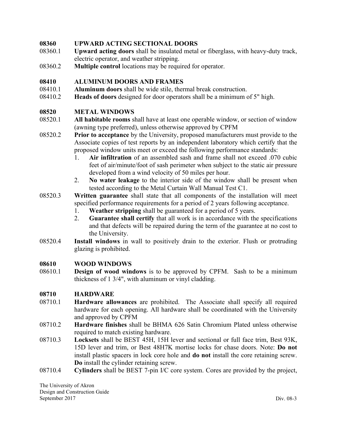### **08360 UPWARD ACTING SECTIONAL DOORS**

- 08360.1 **Upward acting doors** shall be insulated metal or fiberglass, with heavy-duty track, electric operator, and weather stripping.
- 08360.2 **Multiple control** locations may be required for operator.

### **08410 ALUMINUM DOORS AND FRAMES**

- 08410.1 **Aluminum doors** shall be wide stile, thermal break construction.
- 08410.2 **Heads of doors** designed for door operators shall be a minimum of 5" high.

### **08520 METAL WINDOWS**

- 08520.1 **All habitable rooms** shall have at least one operable window, or section of window (awning type preferred), unless otherwise approved by CPFM
- 08520.2 **Prior to acceptance** by the University, proposed manufacturers must provide to the Associate copies of test reports by an independent laboratory which certify that the proposed window units meet or exceed the following performance standards:
	- 1. **Air infiltration** of an assembled sash and frame shall not exceed .070 cubic feet of air/minute/foot of sash perimeter when subject to the static air pressure developed from a wind velocity of 50 miles per hour.
	- 2. **No water leakage** to the interior side of the window shall be present when tested according to the Metal Curtain Wall Manual Test C1.
- 08520.3 **Written guarantee** shall state that all components of the installation will meet specified performance requirements for a period of 2 years following acceptance.
	- 1. **Weather stripping** shall be guaranteed for a period of 5 years.
	- 2. **Guarantee shall certify** that all work is in accordance with the specifications and that defects will be repaired during the term of the guarantee at no cost to the University.
- 08520.4 **Install windows** in wall to positively drain to the exterior. Flush or protruding glazing is prohibited.

### **08610 WOOD WINDOWS**

08610.1 **Design of wood windows** is to be approved by CPFM. Sash to be a minimum thickness of 1 3/4", with aluminum or vinyl cladding.

### **08710 HARDWARE**

- 08710.1 **Hardware allowances** are prohibited. The Associate shall specify all required hardware for each opening. All hardware shall be coordinated with the University and approved by CPFM
- 08710.2 **Hardware finishes** shall be BHMA 626 Satin Chromium Plated unless otherwise required to match existing hardware.
- 08710.3 **Locksets** shall be BEST 45H, 15H lever and sectional or full face trim, Best 93K, 15D lever and trim, or Best 48H7K mortise locks for chase doors. Note: **Do not** install plastic spacers in lock core hole and **do not** install the core retaining screw. **Do** install the cylinder retaining screw.
- 08710.4 **Cylinders** shall be BEST 7-pin I/C core system. Cores are provided by the project,

The University of Akron Design and Construction Guide September 2017 Div. 08-3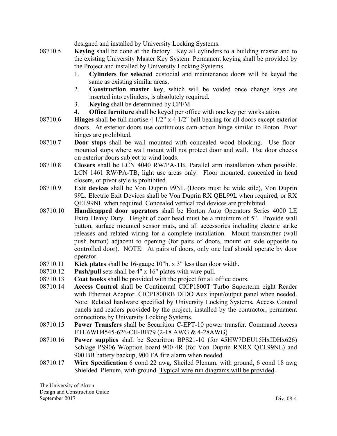designed and installed by University Locking Systems.

- 08710.5 **Keying** shall be done at the factory. Key all cylinders to a building master and to the existing University Master Key System. Permanent keying shall be provided by the Project and installed by University Locking Systems.
	- 1. **Cylinders for selected** custodial and maintenance doors will be keyed the same as existing similar areas.
	- 2. **Construction master key**, which will be voided once change keys are inserted into cylinders, is absolutely required.
	- 3. **Keying** shall be determined by CPFM.
	- 4. **Office furniture** shall be keyed per office with one key per workstation.
- 08710.6 **Hinges** shall be full mortise 4 1/2" x 4 1/2" ball bearing for all doors except exterior doors. At exterior doors use continuous cam-action hinge similar to Roton. Pivot hinges are prohibited.
- 08710.7 **Door stops** shall be wall mounted with concealed wood blocking. Use floormounted stops where wall mount will not protect door and wall. Use door checks on exterior doors subject to wind loads.
- 08710.8 **Closers** shall be LCN 4040 RW/PA-TB, Parallel arm installation when possible. LCN 1461 RW/PA-TB, light use areas only. Floor mounted, concealed in head closers, or pivot style is prohibited.
- 08710.9 **Exit devices** shall be Von Duprin 99NL (Doors must be wide stile), Von Duprin 99L. Electric Exit Devices shall be Von Duprin RX QEL99L when required, or RX QEL99NL when required. Concealed vertical rod devices are prohibited.
- 08710.10 **Handicapped door operators** shall be Horton Auto Operators Series 4000 LE Extra Heavy Duty. Height of door head must be a minimum of 5". Provide wall button, surface mounted sensor mats, and all accessories including electric strike releases and related wiring for a complete installation. Mount transmitter (wall push button) adjacent to opening (for pairs of doors, mount on side opposite to controlled door). NOTE: At pairs of doors, only one leaf should operate by door operator.
- 08710.11 **Kick plates** shall be 16-gauge 10"h. x 3" less than door width.
- 08710.12 **Push/pull** sets shall be 4" x 16" plates with wire pull.
- 08710.13 **Coat hooks** shall be provided with the project for all office doors.
- 08710.14 **Access Control** shall be Continental CICP1800T Turbo Superterm eight Reader with Ethernet Adaptor. CICP1800RB DIDO Aux input/output panel when needed. Note: Related hardware specified by University Locking Systems**.** Access Control panels and readers provided by the project, installed by the contractor, permanent connections by University Locking Systems.
- 08710.15 **Power Transfers** shall be Securition C-EPT-10 power transfer. Command Access ETH6WH4545-626-CH-BB79 (2-18 AWG & 4-28AWG)
- 08710.16 **Power supplies** shall be Securitron BPS21-10 (for 45HW7DEU15HxIDHx626) Schlage PS906 W/option board 900-4R (for Von Duprin RXRX QEL99NL) and 900 BB battery backup, 900 FA fire alarm when needed.
- 08710.17 **Wire Specification** 6 cond 22 awg, Sheiled Plenum, with ground, 6 cond 18 awg Shielded Plenum, with ground. Typical wire run diagrams will be provided.

The University of Akron Design and Construction Guide September 2017 Div. 08-4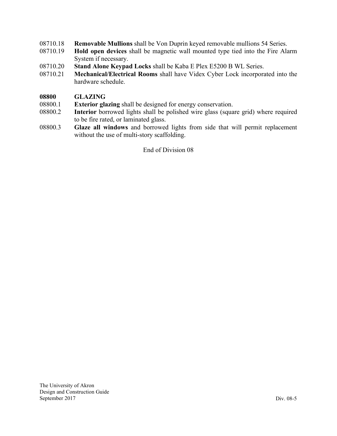- 08710.18 **Removable Mullions** shall be Von Duprin keyed removable mullions 54 Series.
- 08710.19 **Hold open devices** shall be magnetic wall mounted type tied into the Fire Alarm System if necessary.
- 08710.20 **Stand Alone Keypad Locks** shall be Kaba E Plex E5200 B WL Series.
- 08710.21 **Mechanical/Electrical Rooms** shall have Videx Cyber Lock incorporated into the hardware schedule.

### **08800 GLAZING**

- 08800.1 **Exterior glazing** shall be designed for energy conservation.
- 08800.2 **Interior** borrowed lights shall be polished wire glass (square grid) where required to be fire rated, or laminated glass.
- 08800.3 **Glaze all windows** and borrowed lights from side that will permit replacement without the use of multi-story scaffolding.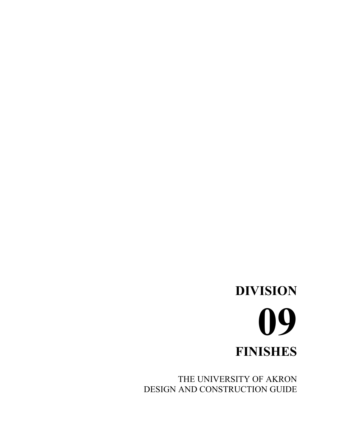# **DIVISION 09 FINISHES**

THE UNIVERSITY OF AKRON DESIGN AND CONSTRUCTION GUIDE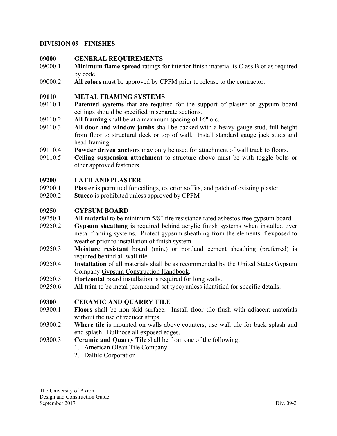### **DIVISION 09 - FINISHES**

### **09000 GENERAL REQUIREMENTS**

- 09000.1 **Minimum flame spread** ratings for interior finish material is Class B or as required by code.
- 09000.2 **All colors** must be approved by CPFM prior to release to the contractor.

### **09110 METAL FRAMING SYSTEMS**

- 09110.1 **Patented systems** that are required for the support of plaster or gypsum board ceilings should be specified in separate sections.
- 09110.2 **All framing** shall be at a maximum spacing of 16" o.c.
- 09110.3 **All door and window jambs** shall be backed with a heavy gauge stud, full height from floor to structural deck or top of wall. Install standard gauge jack studs and head framing.
- 09110.4 **Powder driven anchors** may only be used for attachment of wall track to floors.
- 09110.5 **Ceiling suspension attachment** to structure above must be with toggle bolts or other approved fasteners.

### **09200 LATH AND PLASTER**

- 09200.1 **Plaster** is permitted for ceilings, exterior soffits, and patch of existing plaster.
- 09200.2 **Stucco** is prohibited unless approved by CPFM

### **09250 GYPSUM BOARD**

- 09250.1 **All material** to be minimum 5/8" fire resistance rated asbestos free gypsum board.
- 09250.2 **Gypsum sheathing** is required behind acrylic finish systems when installed over metal framing systems. Protect gypsum sheathing from the elements if exposed to weather prior to installation of finish system.
- 09250.3 **Moisture resistant** board (min.) or portland cement sheathing (preferred) is required behind all wall tile.
- 09250.4 **Installation** of all materials shall be as recommended by the United States Gypsum Company Gypsum Construction Handbook.
- 09250.5 **Horizontal** board installation is required for long walls.
- 09250.6 **All trim** to be metal (compound set type) unless identified for specific details.

#### **09300 CERAMIC AND QUARRY TILE**

- 09300.1 **Floors** shall be non-skid surface. Install floor tile flush with adjacent materials without the use of reducer strips.
- 09300.2 **Where tile** is mounted on walls above counters, use wall tile for back splash and end splash. Bullnose all exposed edges.
- 09300.3 **Ceramic and Quarry Tile** shall be from one of the following:
	- 1. American Olean Tile Company
	- 2. Daltile Corporation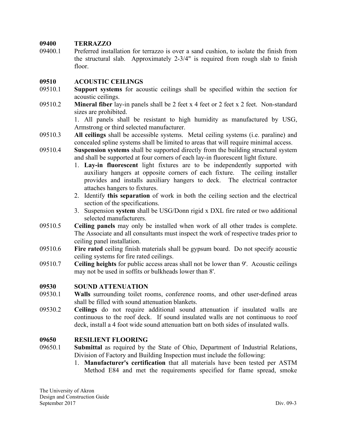### **09400 TERRAZZO**

09400.1 Preferred installation for terrazzo is over a sand cushion, to isolate the finish from the structural slab. Approximately 2-3/4" is required from rough slab to finish floor.

### **09510 ACOUSTIC CEILINGS**

- 09510.1 **Support systems** for acoustic ceilings shall be specified within the section for acoustic ceilings.
- 09510.2 **Mineral fiber** lay-in panels shall be 2 feet x 4 feet or 2 feet x 2 feet. Non-standard sizes are prohibited.

1. All panels shall be resistant to high humidity as manufactured by USG, Armstrong or third selected manufacturer.

- 09510.3 **All ceilings** shall be accessible systems. Metal ceiling systems (i.e. paraline) and concealed spline systems shall be limited to areas that will require minimal access.
- 09510.4 **Suspension systems** shall be supported directly from the building structural system and shall be supported at four corners of each lay-in fluorescent light fixture.
	- 1. **Lay-in fluorescent** light fixtures are to be independently supported with auxiliary hangers at opposite corners of each fixture. The ceiling installer provides and installs auxiliary hangers to deck. The electrical contractor attaches hangers to fixtures.
	- 2. Identify **this separation** of work in both the ceiling section and the electrical section of the specifications.
	- 3. Suspension **system** shall be USG/Donn rigid x DXL fire rated or two additional selected manufacturers.
- 09510.5 **Ceiling panels** may only be installed when work of all other trades is complete. The Associate and all consultants must inspect the work of respective trades prior to ceiling panel installation.
- 09510.6 **Fire rated** ceiling finish materials shall be gypsum board. Do not specify acoustic ceiling systems for fire rated ceilings.
- 09510.7 **Ceiling heights** for public access areas shall not be lower than 9'. Acoustic ceilings may not be used in soffits or bulkheads lower than 8'.

### **09530 SOUND ATTENUATION**

- 09530.1 **Walls** surrounding toilet rooms, conference rooms, and other user-defined areas shall be filled with sound attenuation blankets.
- 09530.2 **Ceilings** do not require additional sound attenuation if insulated walls are continuous to the roof deck. If sound insulated walls are not continuous to roof deck, install a 4 foot wide sound attenuation batt on both sides of insulated walls.

### **09650 RESILIENT FLOORING**

- 09650.1 **Submittal** as required by the State of Ohio, Department of Industrial Relations, Division of Factory and Building Inspection must include the following:
	- 1. **Manufacturer's certification** that all materials have been tested per ASTM Method E84 and met the requirements specified for flame spread, smoke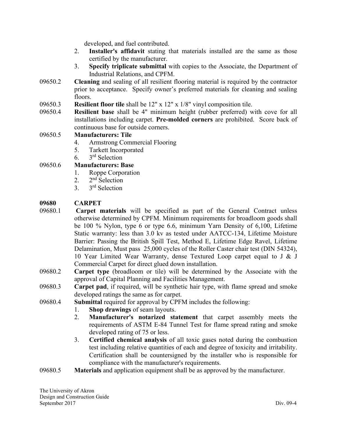developed, and fuel contributed.

- 2. **Installer's affidavit** stating that materials installed are the same as those certified by the manufacturer.
- 3. **Specify triplicate submittal** with copies to the Associate, the Department of Industrial Relations, and CPFM.
- 09650.2 **Cleaning** and sealing of all resilient flooring material is required by the contractor prior to acceptance. Specify owner's preferred materials for cleaning and sealing floors.
- 09650.3 **Resilient floor tile** shall be 12" x 12" x 1/8" vinyl composition tile.
- 09650.4 **Resilient base** shall be 4" minimum height (rubber preferred) with cove for all installations including carpet. **Pre-molded corners** are prohibited. Score back of continuous base for outside corners.

### 09650.5 **Manufacturers: Tile**

- 4. Armstrong Commercial Flooring
- 5. Tarkett Incorporated
- 6. 3rd Selection

09650.6 **Manufacturers: Base**

- 1. Roppe Corporation
- 2.  $2<sup>nd</sup> Selection$ 
	- 3. 3rd Selection

### **09680 CARPET**

- 09680.1 **Carpet materials** will be specified as part of the General Contract unless otherwise determined by CPFM. Minimum requirements for broadloom goods shall be 100 % Nylon, type 6 or type 6.6, minimum Yarn Density of 6,100, Lifetime Static warranty: less than 3.0 kv as tested under AATCC-134, Lifetime Moisture Barrier: Passing the British Spill Test, Method E, Lifetime Edge Ravel, Lifetime Delamination, Must pass 25,000 cycles of the Roller Caster chair test (DIN 54324), 10 Year Limited Wear Warranty, dense Textured Loop carpet equal to J & J Commercial Carpet for direct glued down installation.
- 09680.2 **Carpet type** (broadloom or tile) will be determined by the Associate with the approval of Capital Planning and Facilities Management.
- 09680.3 **Carpet pad**, if required, will be synthetic hair type, with flame spread and smoke developed ratings the same as for carpet.
- 09680.4 **Submittal** required for approval by CPFM includes the following:
	- 1. **Shop drawings** of seam layouts.
	- 2. **Manufacturer's notarized statement** that carpet assembly meets the requirements of ASTM E-84 Tunnel Test for flame spread rating and smoke developed rating of 75 or less.
	- 3. **Certified chemical analysis** of all toxic gases noted during the combustion test including relative quantities of each and degree of toxicity and irritability. Certification shall be countersigned by the installer who is responsible for compliance with the manufacturer's requirements.
- 09680.5 **Materials** and application equipment shall be as approved by the manufacturer.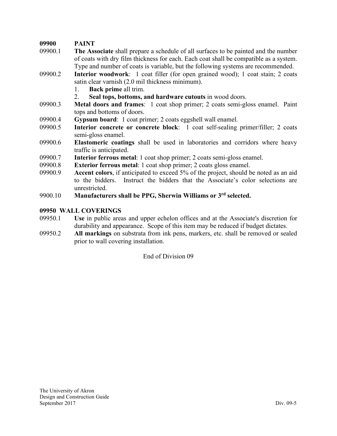# **09900 PAINT**

- 09900.1 **The Associate** shall prepare a schedule of all surfaces to be painted and the number of coats with dry film thickness for each. Each coat shall be compatible as a system. Type and number of coats is variable, but the following systems are recommended.
- 09900.2 **Interior woodwork**: 1 coat filler (for open grained wood); 1 coat stain; 2 coats satin clear varnish (2.0 mil thickness minimum).
	- 1. **Back prime** all trim.
	- 2. **Seal tops, bottoms, and hardware cutouts** in wood doors.
- 09900.3 **Metal doors and frames**: 1 coat shop primer; 2 coats semi-gloss enamel. Paint tops and bottoms of doors.
- 09900.4 **Gypsum board**: 1 coat primer; 2 coats eggshell wall enamel.
- 09900.5 **Interior concrete or concrete block**: 1 coat self-sealing primer/filler; 2 coats semi-gloss enamel.
- 09900.6 **Elastomeric coatings** shall be used in laboratories and corridors where heavy traffic is anticipated.
- 09900.7 **Interior ferrous metal**: 1 coat shop primer; 2 coats semi-gloss enamel.
- 09900.8 **Exterior ferrous metal**: 1 coat shop primer; 2 coats gloss enamel.
- 09900.9 **Accent colors**, if anticipated to exceed 5% of the project, should be noted as an aid to the bidders. Instruct the bidders that the Associate's color selections are unrestricted.
- 9900.10 **Manufacturers shall be PPG, Sherwin Williams or 3rd selected.**

### **09950 WALL COVERINGS**

- 09950.1 **Use** in public areas and upper echelon offices and at the Associate's discretion for durability and appearance. Scope of this item may be reduced if budget dictates.
- 09950.2 **All markings** on substrata from ink pens, markers, etc. shall be removed or sealed prior to wall covering installation.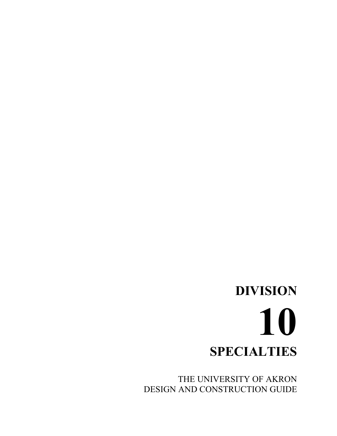# **DIVISION 10 SPECIALTIES**

THE UNIVERSITY OF AKRON DESIGN AND CONSTRUCTION GUIDE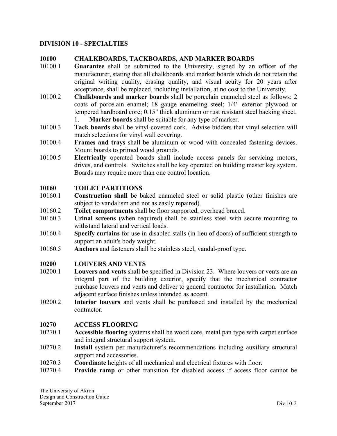### **DIVISION 10 - SPECIALTIES**

### **10100 CHALKBOARDS, TACKBOARDS, AND MARKER BOARDS**

- 10100.1 **Guarantee** shall be submitted to the University, signed by an officer of the manufacturer, stating that all chalkboards and marker boards which do not retain the original writing quality, erasing quality, and visual acuity for 20 years after acceptance, shall be replaced, including installation, at no cost to the University.
- 10100.2 **Chalkboards and marker boards** shall be porcelain enameled steel as follows: 2 coats of porcelain enamel; 18 gauge enameling steel; 1/4" exterior plywood or tempered hardboard core; 0.15" thick aluminum or rust resistant steel backing sheet. 1. **Marker boards** shall be suitable for any type of marker.
- 10100.3 **Tack boards** shall be vinyl-covered cork. Advise bidders that vinyl selection will match selections for vinyl wall covering.
- 10100.4 **Frames and trays** shall be aluminum or wood with concealed fastening devices. Mount boards to primed wood grounds.
- 10100.5 **Electrically** operated boards shall include access panels for servicing motors, drives, and controls. Switches shall be key operated on building master key system. Boards may require more than one control location.

### **10160 TOILET PARTITIONS**

- 10160.1 **Construction shall** be baked enameled steel or solid plastic (other finishes are subject to vandalism and not as easily repaired).
- 10160.2 **Toilet compartments** shall be floor supported, overhead braced.
- 10160.3 **Urinal screens** (when required) shall be stainless steel with secure mounting to withstand lateral and vertical loads.
- 10160.4 **Specify curtains** for use in disabled stalls (in lieu of doors) of sufficient strength to support an adult's body weight.
- 10160.5 **Anchors** and fasteners shall be stainless steel, vandal-proof type.

### **10200 LOUVERS AND VENTS**

- 10200.1 **Louvers and vents** shall be specified in Division 23. Where louvers or vents are an integral part of the building exterior, specify that the mechanical contractor purchase louvers and vents and deliver to general contractor for installation. Match adjacent surface finishes unless intended as accent.
- 10200.2 **Interior louvers** and vents shall be purchased and installed by the mechanical contractor.

### **10270 ACCESS FLOORING**

- 10270.1 **Accessible flooring** systems shall be wood core, metal pan type with carpet surface and integral structural support system.
- 10270.2 **Install** system per manufacturer's recommendations including auxiliary structural support and accessories.
- 10270.3 **Coordinate** heights of all mechanical and electrical fixtures with floor.
- 10270.4 **Provide ramp** or other transition for disabled access if access floor cannot be

The University of Akron Design and Construction Guide September 2017 Div.10-2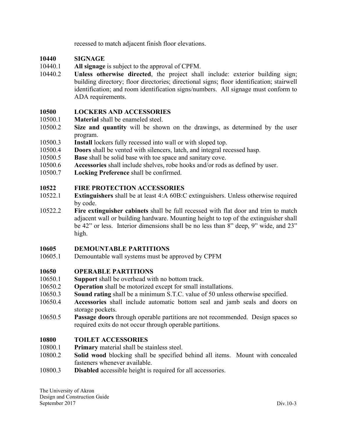recessed to match adjacent finish floor elevations.

### **10440 SIGNAGE**

- 10440.1 **All signage** is subject to the approval of CPFM.
- 10440.2 **Unless otherwise directed**, the project shall include: exterior building sign; building directory; floor directories; directional signs; floor identification; stairwell identification; and room identification signs/numbers. All signage must conform to ADA requirements.

### **10500 LOCKERS AND ACCESSORIES**

- 10500.1 **Material** shall be enameled steel.
- 10500.2 **Size and quantity** will be shown on the drawings, as determined by the user program.
- 10500.3 **Install** lockers fully recessed into wall or with sloped top.
- 10500.4 **Doors** shall be vented with silencers, latch, and integral recessed hasp.
- 10500.5 **Base** shall be solid base with toe space and sanitary cove.
- 10500.6 **Accessories** shall include shelves, robe hooks and/or rods as defined by user.
- 10500.7 **Locking Preference** shall be confirmed.

### **10522 FIRE PROTECTION ACCESSORIES**

- 10522.1 **Extinguishers** shall be at least 4:A 60B:C extinguishers. Unless otherwise required by code.
- 10522.2 **Fire extinguisher cabinets** shall be full recessed with flat door and trim to match adjacent wall or building hardware. Mounting height to top of the extinguisher shall be 42" or less. Interior dimensions shall be no less than 8" deep, 9" wide, and 23" high.

### **10605 DEMOUNTABLE PARTITIONS**

10605.1 Demountable wall systems must be approved by CPFM

### **10650 OPERABLE PARTITIONS**

- 10650.1 **Support** shall be overhead with no bottom track.
- 10650.2 **Operation** shall be motorized except for small installations.
- 10650.3 **Sound rating** shall be a minimum S.T.C. value of 50 unless otherwise specified.
- 10650.4 **Accessories** shall include automatic bottom seal and jamb seals and doors on storage pockets.
- 10650.5 **Passage doors** through operable partitions are not recommended. Design spaces so required exits do not occur through operable partitions.

### **10800 TOILET ACCESSORIES**

- 10800.1 **Primary** material shall be stainless steel.
- 10800.2 **Solid wood** blocking shall be specified behind all items. Mount with concealed fasteners whenever available.
- 10800.3 **Disabled** accessible height is required for all accessories.

The University of Akron Design and Construction Guide September 2017 Div.10-3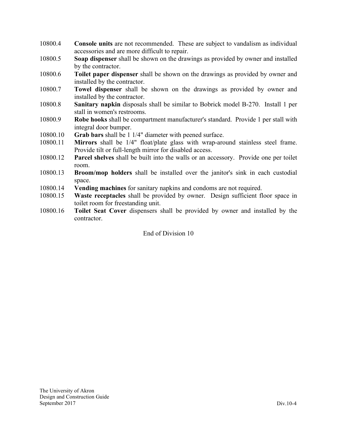- 10800.4 **Console units** are not recommended. These are subject to vandalism as individual accessories and are more difficult to repair.
- 10800.5 **Soap dispenser** shall be shown on the drawings as provided by owner and installed by the contractor.
- 10800.6 **Toilet paper dispenser** shall be shown on the drawings as provided by owner and installed by the contractor.
- 10800.7 **Towel dispenser** shall be shown on the drawings as provided by owner and installed by the contractor.
- 10800.8 **Sanitary napkin** disposals shall be similar to Bobrick model B-270. Install 1 per stall in women's restrooms.
- 10800.9 **Robe hooks** shall be compartment manufacturer's standard. Provide 1 per stall with integral door bumper.
- 10800.10 **Grab bars** shall be 1 1/4" diameter with peened surface.
- 10800.11 **Mirrors** shall be 1/4" float/plate glass with wrap-around stainless steel frame. Provide tilt or full-length mirror for disabled access.
- 10800.12 **Parcel shelves** shall be built into the walls or an accessory. Provide one per toilet room.
- 10800.13 **Broom/mop holders** shall be installed over the janitor's sink in each custodial space.
- 10800.14 **Vending machines** for sanitary napkins and condoms are not required.
- 10800.15 **Waste receptacles** shall be provided by owner. Design sufficient floor space in toilet room for freestanding unit.
- 10800.16 **Toilet Seat Cover** dispensers shall be provided by owner and installed by the contractor.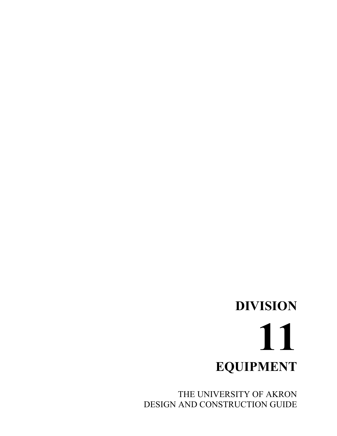THE UNIVERSITY OF AKRON DESIGN AND CONSTRUCTION GUIDE

# **DIVISION 11 EQUIPMENT**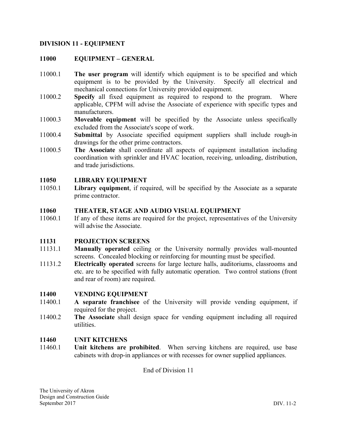### **DIVISION 11 - EQUIPMENT**

### **11000 EQUIPMENT – GENERAL**

- 11000.1 **The user program** will identify which equipment is to be specified and which equipment is to be provided by the University. Specify all electrical and mechanical connections for University provided equipment.
- 11000.2 **Specify** all fixed equipment as required to respond to the program. Where applicable, CPFM will advise the Associate of experience with specific types and manufacturers.
- 11000.3 **Moveable equipment** will be specified by the Associate unless specifically excluded from the Associate's scope of work.
- 11000.4 **Submittal** by Associate specified equipment suppliers shall include rough-in drawings for the other prime contractors.
- 11000.5 **The Associate** shall coordinate all aspects of equipment installation including coordination with sprinkler and HVAC location, receiving, unloading, distribution, and trade jurisdictions.

### **11050 LIBRARY EQUIPMENT**

11050.1 **Library equipment**, if required, will be specified by the Associate as a separate prime contractor.

### **11060 THEATER, STAGE AND AUDIO VISUAL EQUIPMENT**

11060.1 If any of these items are required for the project, representatives of the University will advise the Associate.

### **11131 PROJECTION SCREENS**

- 11131.1 **Manually operated** ceiling or the University normally provides wall-mounted screens. Concealed blocking or reinforcing for mounting must be specified.
- 11131.2 **Electrically operated** screens for large lecture halls, auditoriums, classrooms and etc. are to be specified with fully automatic operation. Two control stations (front and rear of room) are required.

#### **11400 VENDING EQUIPMENT**

- 11400.1 **A separate franchisee** of the University will provide vending equipment, if required for the project.
- 11400.2 **The Associate** shall design space for vending equipment including all required utilities.

#### **11460 UNIT KITCHENS**

11460.1 **Unit kitchens are prohibited**. When serving kitchens are required, use base cabinets with drop-in appliances or with recesses for owner supplied appliances.

End of Division 11

The University of Akron Design and Construction Guide September 2017 DIV. 11-2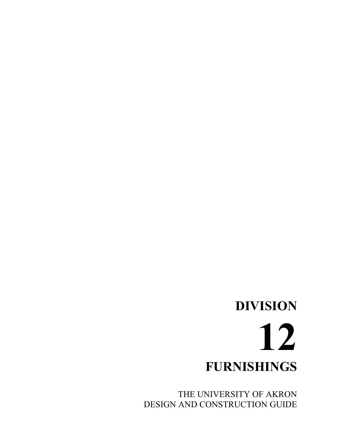# **DIVISION 12 FURNISHINGS**

THE UNIVERSITY OF AKRON DESIGN AND CONSTRUCTION GUIDE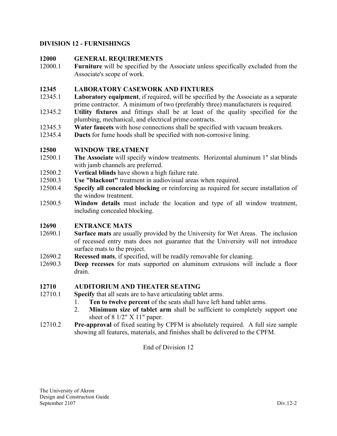# **DIVISION 12 - FURNISHINGS**

# **12000 GENERAL REQUIREMENTS**

12000.1 **Furniture** will be specified by the Associate unless specifically excluded from the Associate's scope of work.

### **12345 LABORATORY CASEWORK AND FIXTURES**

- 12345.1 **Laboratory equipment**, if required, will be specified by the Associate as a separate prime contractor. A minimum of two (preferably three) manufacturers is required.
- 12345.2 **Utility fixtures** and fittings shall be at least of the quality specified for the plumbing, mechanical, and electrical prime contracts.
- 12345.3 **Water faucets** with hose connections shall be specified with vacuum breakers.
- 12345.4 **Ducts** for fume hoods shall be specified with non-corrosive lining.

### **12500 WINDOW TREATMENT**

- 12500.1 **The Associate** will specify window treatments. Horizontal aluminum 1" slat blinds with jamb channels are preferred.
- 12500.2 **Vertical blinds** have shown a high failure rate.
- 12500.3 **Use "blackout"** treatment in audiovisual areas when required.
- 12500.4 **Specify all concealed blocking** or reinforcing as required for secure installation of the window treatment.
- 12500.5 **Window details** must include the location and type of all window treatment, including concealed blocking.

### **12690 ENTRANCE MATS**

- 12690.1 **Surface mats** are usually provided by the University for Wet Areas. The inclusion of recessed entry mats does not guarantee that the University will not introduce surface mats to the project.
- 12690.2 **Recessed mats**, if specified, will be readily removable for cleaning.
- 12690.3 **Deep recesses** for mats supported on aluminum extrusions will include a floor drain.

### **12710 AUDITORIUM AND THEATER SEATING**

- 12710.1 **Specify** that all seats are to have articulating tablet arms.
	- 1. **Ten to twelve percent** of the seats shall have left hand tablet arms.
	- 2. **Minimum size of tablet arm** shall be sufficient to completely support one sheet of 8 1/2" X 11" paper.
- 12710.2 **Pre-approval** of fixed seating by CPFM is absolutely required. A full size sample showing all features, materials, and finishes shall be delivered to the CPFM.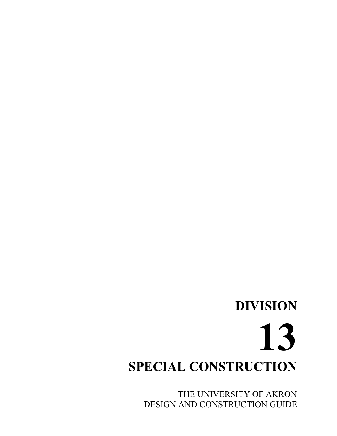# **DIVISION 13 SPECIAL CONSTRUCTION**

THE UNIVERSITY OF AKRON DESIGN AND CONSTRUCTION GUIDE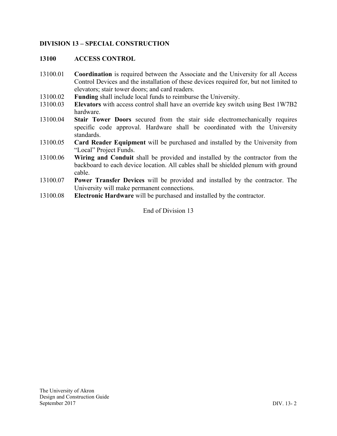# **DIVISION 13 – SPECIAL CONSTRUCTION**

### **13100 ACCESS CONTROL**

- 13100.01 **Coordination** is required between the Associate and the University for all Access Control Devices and the installation of these devices required for, but not limited to elevators; stair tower doors; and card readers.
- 13100.02 **Funding** shall include local funds to reimburse the University.
- 13100.03 **Elevators** with access control shall have an override key switch using Best 1W7B2 hardware.
- 13100.04 **Stair Tower Doors** secured from the stair side electromechanically requires specific code approval. Hardware shall be coordinated with the University standards.
- 13100.05 **Card Reader Equipment** will be purchased and installed by the University from "Local" Project Funds.
- 13100.06 **Wiring and Conduit** shall be provided and installed by the contractor from the backboard to each device location. All cables shall be shielded plenum with ground cable.
- 13100.07 **Power Transfer Devices** will be provided and installed by the contractor. The University will make permanent connections.
- 13100.08 **Electronic Hardware** will be purchased and installed by the contractor.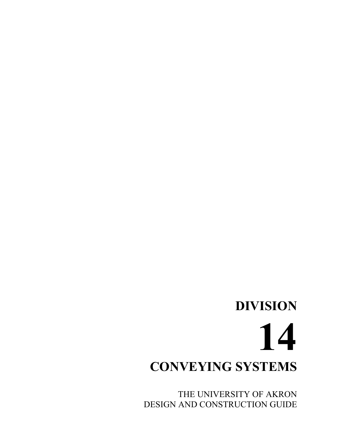THE UNIVERSITY OF AKRON DESIGN AND CONSTRUCTION GUIDE

# **CONVEYING SYSTEMS**

# **DIVISION 14**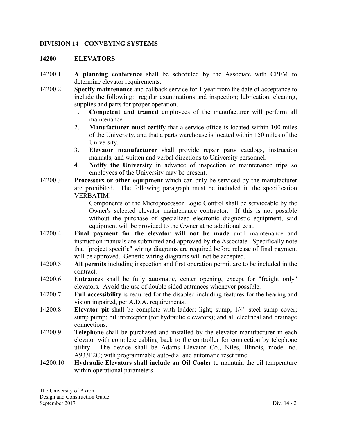#### **DIVISION 14 - CONVEYING SYSTEMS**

#### **14200 ELEVATORS**

- 14200.1 **A planning conference** shall be scheduled by the Associate with CPFM to determine elevator requirements.
- 14200.2 **Specify maintenance** and callback service for 1 year from the date of acceptance to include the following: regular examinations and inspection; lubrication, cleaning, supplies and parts for proper operation.
	- 1. **Competent and trained** employees of the manufacturer will perform all maintenance.
	- 2. **Manufacturer must certify** that a service office is located within 100 miles of the University, and that a parts warehouse is located within 150 miles of the University.
	- 3. **Elevator manufacturer** shall provide repair parts catalogs, instruction manuals, and written and verbal directions to University personnel.
	- 4. **Notify the University** in advance of inspection or maintenance trips so employees of the University may be present.
- 14200.3 **Processors or other equipment** which can only be serviced by the manufacturer are prohibited. The following paragraph must be included in the specification VERBATIM!

Components of the Microprocessor Logic Control shall be serviceable by the Owner's selected elevator maintenance contractor. If this is not possible without the purchase of specialized electronic diagnostic equipment, said equipment will be provided to the Owner at no additional cost.

- 14200.4 **Final payment for the elevator will not be made** until maintenance and instruction manuals are submitted and approved by the Associate. Specifically note that "project specific" wiring diagrams are required before release of final payment will be approved. Generic wiring diagrams will not be accepted.
- 14200.5 **All permits** including inspection and first operation permit are to be included in the contract.
- 14200.6 **Entrances** shall be fully automatic, center opening, except for "freight only" elevators. Avoid the use of double sided entrances whenever possible.
- 14200.7 **Full accessibility** is required for the disabled including features for the hearing and vision impaired, per A.D.A. requirements.
- 14200.8 **Elevator pit** shall be complete with ladder; light; sump; 1/4" steel sump cover; sump pump; oil interceptor (for hydraulic elevators); and all electrical and drainage connections.
- 14200.9 **Telephone** shall be purchased and installed by the elevator manufacturer in each elevator with complete cabling back to the controller for connection by telephone utility. The device shall be Adams Elevator Co., Niles, Illinois, model no. A933P2C; with programmable auto-dial and automatic reset time.
- 14200.10 **Hydraulic Elevators shall include an Oil Cooler** to maintain the oil temperature within operational parameters.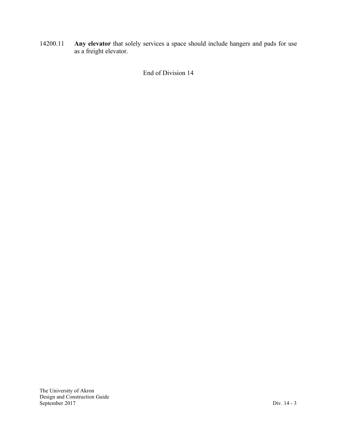14200.11 **Any elevator** that solely services a space should include hangers and pads for use as a freight elevator.

End of Division 14

The University of Akron Design and Construction Guide September 2017 Div. 14 - 3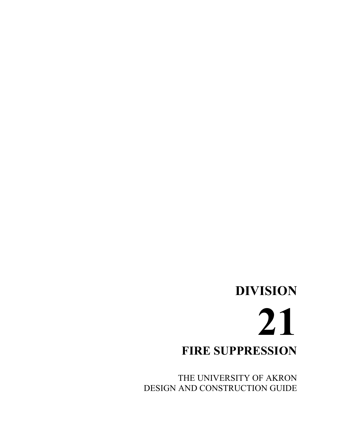# **DIVISION 21 FIRE SUPPRESSION**

THE UNIVERSITY OF AKRON DESIGN AND CONSTRUCTION GUIDE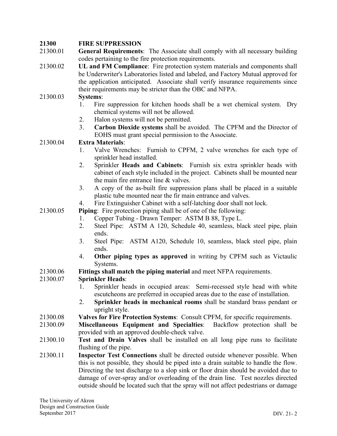## **21300 FIRE SUPPRESSION**

- 21300.01 **General Requirements**: The Associate shall comply with all necessary building codes pertaining to the fire protection requirements.
- 21300.02 **UL and FM Compliance**: Fire protection system materials and components shall be Underwriter's Laboratories listed and labeled, and Factory Mutual approved for the application anticipated. Associate shall verify insurance requirements since their requirements may be stricter than the OBC and NFPA.

#### 21300.03 **Systems**:

- 1. Fire suppression for kitchen hoods shall be a wet chemical system. Dry chemical systems will not be allowed.
- 2. Halon systems will not be permitted.
- 3. **Carbon Dioxide systems** shall be avoided. The CPFM and the Director of EOHS must grant special permission to the Associate.

#### 21300.04 **Extra Materials**:

- 1. Valve Wrenches: Furnish to CPFM, 2 valve wrenches for each type of sprinkler head installed.
- 2. Sprinkler **Heads and Cabinets**: Furnish six extra sprinkler heads with cabinet of each style included in the project. Cabinets shall be mounted near the main fire entrance line & valves.
- 3. A copy of the as-built fire suppression plans shall be placed in a suitable plastic tube mounted near the fir main entrance and valves.
- 4. Fire Extinguisher Cabinet with a self-latching door shall not lock.
- 21300.05 **Piping**: Fire protection piping shall be of one of the following:
	- 1. Copper Tubing Drawn Temper: ASTM B 88, Type L.
	- 2. Steel Pipe: ASTM A 120, Schedule 40, seamless, black steel pipe, plain ends.
	- 3. Steel Pipe: ASTM A120, Schedule 10, seamless, black steel pipe, plain ends.
	- 4. **Other piping types as approved** in writing by CPFM such as Victaulic Systems.
- 21300.06 **Fittings shall match the piping material** and meet NFPA requirements.

## 21300.07 **Sprinkler Heads**:

- 1. Sprinkler heads in occupied areas: Semi-recessed style head with white escutcheons are preferred in occupied areas due to the ease of installation.
- 2. **Sprinkler heads in mechanical rooms** shall be standard brass pendant or upright style.
- 21300.08 **Valves for Fire Protection Systems**: Consult CPFM, for specific requirements.
- 21300.09 **Miscellaneous Equipment and Specialties**: Backflow protection shall be provided with an approved double-check valve.
- 21300.10 **Test and Drain Valves** shall be installed on all long pipe runs to facilitate flushing of the pipe.
- 21300.11 **Inspector Test Connections** shall be directed outside whenever possible. When this is not possible, they should be piped into a drain suitable to handle the flow. Directing the test discharge to a slop sink or floor drain should be avoided due to damage of over-spray and/or overloading of the drain line. Test nozzles directed outside should be located such that the spray will not affect pedestrians or damage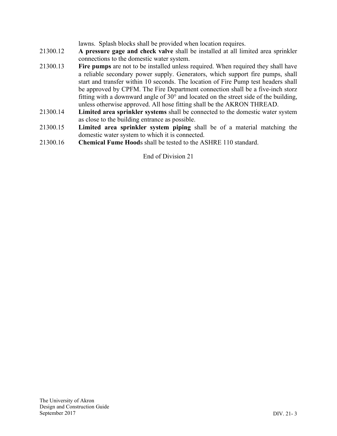lawns. Splash blocks shall be provided when location requires.

- 21300.12 **A pressure gage and check valve** shall be installed at all limited area sprinkler connections to the domestic water system.
- 21300.13 **Fire pumps** are not to be installed unless required. When required they shall have a reliable secondary power supply. Generators, which support fire pumps, shall start and transfer within 10 seconds. The location of Fire Pump test headers shall be approved by CPFM. The Fire Department connection shall be a five-inch storz fitting with a downward angle of 30° and located on the street side of the building, unless otherwise approved. All hose fitting shall be the AKRON THREAD.
- 21300.14 **Limited area sprinkler systems** shall be connected to the domestic water system as close to the building entrance as possible.
- 21300.15 **Limited area sprinkler system piping** shall be of a material matching the domestic water system to which it is connected.
- 21300.16 **Chemical Fume Hood**s shall be tested to the ASHRE 110 standard.

End of Division 21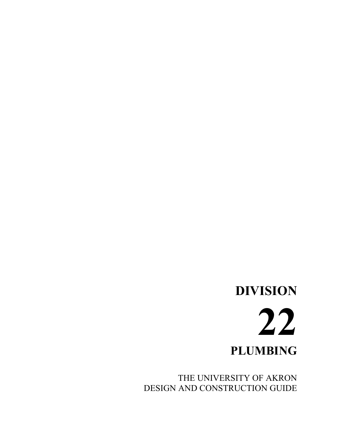# **DIVISION 22 PLUMBING**

THE UNIVERSITY OF AKRON DESIGN AND CONSTRUCTION GUIDE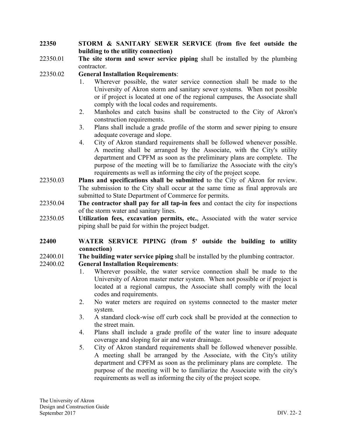#### **22350 STORM & SANITARY SEWER SERVICE (from five feet outside the building to the utility connection)**

- 22350.01 **The site storm and sewer service piping** shall be installed by the plumbing contractor.
- 22350.02 **General Installation Requirements**:
	- 1. Wherever possible, the water service connection shall be made to the University of Akron storm and sanitary sewer systems. When not possible or if project is located at one of the regional campuses, the Associate shall comply with the local codes and requirements.
	- 2. Manholes and catch basins shall be constructed to the City of Akron's construction requirements.
	- 3. Plans shall include a grade profile of the storm and sewer piping to ensure adequate coverage and slope.
	- 4. City of Akron standard requirements shall be followed whenever possible. A meeting shall be arranged by the Associate, with the City's utility department and CPFM as soon as the preliminary plans are complete. The purpose of the meeting will be to familiarize the Associate with the city's requirements as well as informing the city of the project scope.
- 22350.03 **Plans and specifications shall be submitted** to the City of Akron for review. The submission to the City shall occur at the same time as final approvals are submitted to State Department of Commerce for permits.
- 22350.04 **The contractor shall pay for all tap-in fees** and contact the city for inspections of the storm water and sanitary lines.
- 22350.05 **Utilization fees, excavation permits, etc.**, Associated with the water service piping shall be paid for within the project budget.

#### **22400 WATER SERVICE PIPING (from 5' outside the building to utility connection)**

- 22400.01 **The building water service piping** shall be installed by the plumbing contractor.
- 22400.02 **General Installation Requirements**:
	- 1. Wherever possible, the water service connection shall be made to the University of Akron master meter system. When not possible or if project is located at a regional campus, the Associate shall comply with the local codes and requirements.
	- 2. No water meters are required on systems connected to the master meter system.
	- 3. A standard clock-wise off curb cock shall be provided at the connection to the street main.
	- 4. Plans shall include a grade profile of the water line to insure adequate coverage and sloping for air and water drainage.
	- 5. City of Akron standard requirements shall be followed whenever possible. A meeting shall be arranged by the Associate, with the City's utility department and CPFM as soon as the preliminary plans are complete. The purpose of the meeting will be to familiarize the Associate with the city's requirements as well as informing the city of the project scope.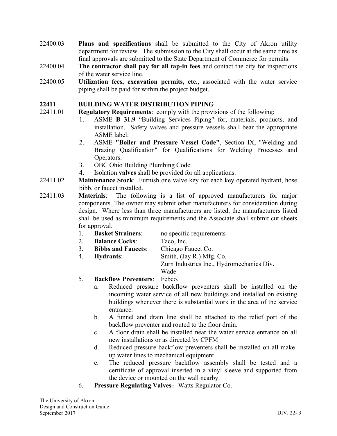- 22400.03 **Plans and specifications** shall be submitted to the City of Akron utility department for review. The submission to the City shall occur at the same time as final approvals are submitted to the State Department of Commerce for permits.
- 22400.04 **The contractor shall pay for all tap-in fees** and contact the city for inspections of the water service line.
- 22400.05 **Utilization fees, excavation permits, etc.**, associated with the water service piping shall be paid for within the project budget.

#### **22411 BUILDING WATER DISTRIBUTION PIPING**

- 22411.01 **Regulatory Requirements**: comply with the provisions of the following:
	- 1. ASME **B 31.9** "Building Services Piping" for, materials, products, and installation. Safety valves and pressure vessels shall bear the appropriate ASME label.
	- 2. ASME **"Boiler and Pressure Vessel Code"**, Section IX, "Welding and Brazing Qualification" for Qualifications for Welding Processes and Operators.
	- 3. OBC Ohio Building Plumbing Code.
	- 4. Isolation **valves** shall be provided for all applications.
- 22411.02 **Maintenance Stock**: Furnish one valve key for each key operated hydrant, hose bibb, or faucet installed.
- 22411.03 **Materials**: The following is a list of approved manufacturers for major components. The owner may submit other manufacturers for consideration during design. Where less than three manufacturers are listed, the manufacturers listed shall be used as minimum requirements and the Associate shall submit cut sheets for approval.
	- 1. **Basket Strainers**: no specific requirements
	- 2. **Balance Cocks**: Taco, Inc.
	- 3. **Bibbs and Faucets**: Chicago Faucet Co.
	- 4. **Hydrants**: Smith, (Jay R.) Mfg. Co.

Wade

Zurn Industries Inc., Hydromechanics Div.

- 5. **Backflow Preventers**: Febco.
	- a. Reduced pressure backflow preventers shall be installed on the incoming water service of all new buildings and installed on existing buildings whenever there is substantial work in the area of the service entrance.
	- b. A funnel and drain line shall be attached to the relief port of the backflow preventer and routed to the floor drain.
	- c. A floor drain shall be installed near the water service entrance on all new installations or as directed by CPFM
	- d. Reduced pressure backflow preventers shall be installed on all makeup water lines to mechanical equipment.
	- e. The reduced pressure backflow assembly shall be tested and a certificate of approval inserted in a vinyl sleeve and supported from the device or mounted on the wall nearby.
- 6. **Pressure Regulating Valves:** Watts Regulator Co.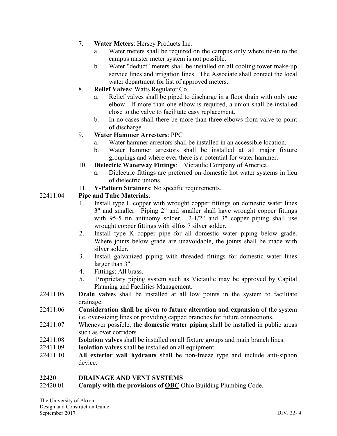- 7. **Water Meters**: Hersey Products Inc.
	- a. Water meters shall be required on the campus only where tie-in to the campus master meter system is not possible.
	- b. Water "deduct" meters shall be installed on all cooling tower make-up service lines and irrigation lines. The Associate shall contact the local water department for list of approved meters.
- 8. **Relief Valves**: Watts Regulator Co.
	- a. Relief valves shall be piped to discharge in a floor drain with only one elbow. If more than one elbow is required, a union shall be installed close to the valve to facilitate easy replacement.
	- b. In no cases shall there be more than three elbows from valve to point of discharge.

## 9. **Water Hammer Arresters**: PPC

- a. Water hammer arrestors shall be installed in an accessible location.
- b. Water hammer arrestors shall be installed at all major fixture groupings and where ever there is a potential for water hammer.
- 10. **Dielectric Waterway Fittings**: Victaulic Company of America
	- a. Dielectric fittings are preferred on domestic hot water systems in lieu of dielectric unions.
- 11. **Y-Pattern Strainers**: No specific requirements.

## 22411.04 **Pipe and Tube Materials**:

- 1. Install type L copper with wrought copper fittings on domestic water lines 3" and smaller. Piping 2" and smaller shall have wrought copper fittings with 95-5 tin antinomy solder. 2-1/2" and 3" copper piping shall use wrought copper fittings with silfos 7 silver solder.
- 2. Install type K copper pipe for all domestic water piping below grade. Where joints below grade are unavoidable, the joints shall be made with silver solder.
- 3. Install galvanized piping with threaded fittings for domestic water lines larger than 3".
- 4. Fittings: All brass.
- 5. Proprietary piping system such as Victaulic may be approved by Capital Planning and Facilities Management.
- 22411.05 **Drain valves** shall be installed at all low points in the system to facilitate drainage.
- 22411.06 **Consideration shall be given to future alteration and expansion** of the system i.e. over-sizing lines or providing capped branches for future connections.
- 22411.07 Whenever possible, **the domestic water piping** shall be installed in public areas such as over corridors.
- 22411.08 **Isolation valves** shall be installed on all fixture groups and main branch lines.
- 22411.09 **Isolation valves** shall be installed on all equipment.
- 22411.10 **All exterior wall hydrants** shall be non-freeze type and include anti-siphon device.

#### **22420 DRAINAGE AND VENT SYSTEMS**

22420.01 **Comply with the provisions of OBC** Ohio Building Plumbing Code.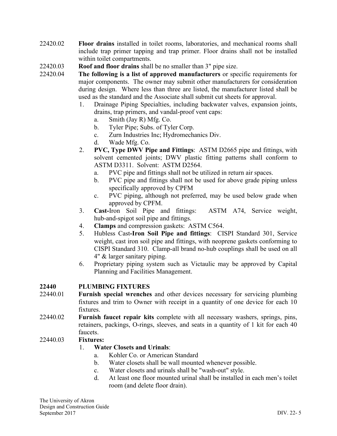- 22420.02 **Floor drains** installed in toilet rooms, laboratories, and mechanical rooms shall include trap primer tapping and trap primer. Floor drains shall not be installed within toilet compartments.
- 22420.03 **Roof and floor drains** shall be no smaller than 3" pipe size.
- 22420.04 **The following is a list of approved manufacturers** or specific requirements for major components. The owner may submit other manufacturers for consideration during design. Where less than three are listed, the manufacturer listed shall be used as the standard and the Associate shall submit cut sheets for approval.
	- 1. Drainage Piping Specialties, including backwater valves, expansion joints, drains, trap primers, and vandal-proof vent caps:
		- a. Smith (Jay R) Mfg. Co.
		- b. Tyler Pipe; Subs. of Tyler Corp.
		- c. Zurn Industries Inc; Hydromechanics Div.
		- d. Wade Mfg. Co.
	- 2. **PVC, Type DWV Pipe and Fittings**: ASTM D2665 pipe and fittings, with solvent cemented joints; DWV plastic fitting patterns shall conform to ASTM D3311. Solvent: ASTM D2564.
		- a. PVC pipe and fittings shall not be utilized in return air spaces.
		- b. PVC pipe and fittings shall not be used for above grade piping unless specifically approved by CPFM
		- c. PVC piping, although not preferred, may be used below grade when approved by CPFM.
	- 3. **Cast-**Iron Soil Pipe and fittings: ASTM A74, Service weight, hub-and-spigot soil pipe and fittings.
	- 4. **Clamps** and compression gaskets: ASTM C564.
	- 5. Hubless Cast**-Iron Soil Pipe and fittings**: CISPI Standard 301, Service weight, cast iron soil pipe and fittings, with neoprene gaskets conforming to CISPI Standard 310. Clamp-all brand no-hub couplings shall be used on all 4" & larger sanitary piping.
	- 6. Proprietary piping system such as Victaulic may be approved by Capital Planning and Facilities Management.

#### **22440 PLUMBING FIXTURES**

- 22440.01 **Furnish special wrenches** and other devices necessary for servicing plumbing fixtures and trim to Owner with receipt in a quantity of one device for each 10 fixtures.
- 22440.02 **Furnish faucet repair kits** complete with all necessary washers, springs, pins, retainers, packings, O-rings, sleeves, and seats in a quantity of 1 kit for each 40 faucets.

#### 22440.03 **Fixtures:**

#### 1. **Water Closets and Urinals**:

- a. Kohler Co. or American Standard
- b. Water closets shall be wall mounted whenever possible.
- c. Water closets and urinals shall be "wash-out" style.
- d. At least one floor mounted urinal shall be installed in each men's toilet room (and delete floor drain).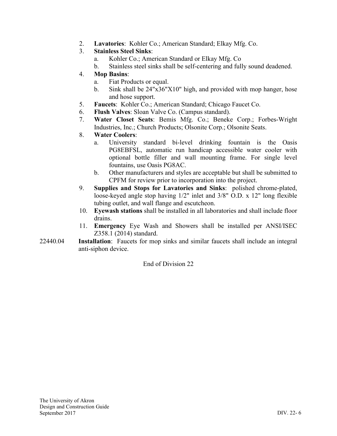2. **Lavatories**: Kohler Co.; American Standard; Elkay Mfg. Co.

## 3. **Stainless Steel Sinks**:

- a. Kohler Co.; American Standard or Elkay Mfg. Co
- b. Stainless steel sinks shall be self-centering and fully sound deadened.

## 4. **Mop Basins**:

- a. Fiat Products or equal.
- b. Sink shall be 24"x36"X10" high, and provided with mop hanger, hose and hose support.
- 5. **Faucets**: Kohler Co.; American Standard; Chicago Faucet Co.
- 6. **Flush Valves**: Sloan Valve Co. (Campus standard).
- 7. **Water Closet Seats**: Bemis Mfg. Co.; Beneke Corp.; Forbes-Wright Industries, Inc.; Church Products; Olsonite Corp.; Olsonite Seats.
- 8. **Water Coolers**:
	- a. University standard bi-level drinking fountain is the Oasis PG8EBFSL, automatic run handicap accessible water cooler with optional bottle filler and wall mounting frame. For single level fountains, use Oasis PG8AC.
	- b. Other manufacturers and styles are acceptable but shall be submitted to CPFM for review prior to incorporation into the project.
- 9. **Supplies and Stops for Lavatories and Sinks**: polished chrome-plated, loose-keyed angle stop having 1/2" inlet and 3/8" O.D. x 12" long flexible tubing outlet, and wall flange and escutcheon.
- 10. **Eyewash stations** shall be installed in all laboratories and shall include floor drains.
- 11. **Emergency** Eye Wash and Showers shall be installed per ANSI/ISEC Z358.1 (2014) standard.
- 22440.04 **Installation**: Faucets for mop sinks and similar faucets shall include an integral anti-siphon device.

End of Division 22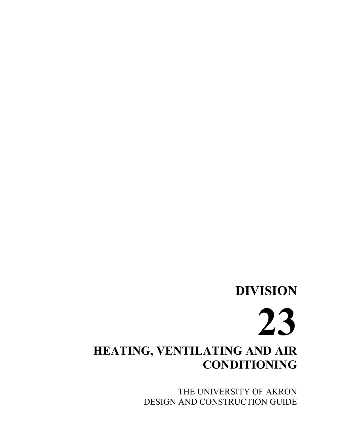## **DIVISION 23 HEATING, VENTILATING AND AIR CONDITIONING**

THE UNIVERSITY OF AKRON DESIGN AND CONSTRUCTION GUIDE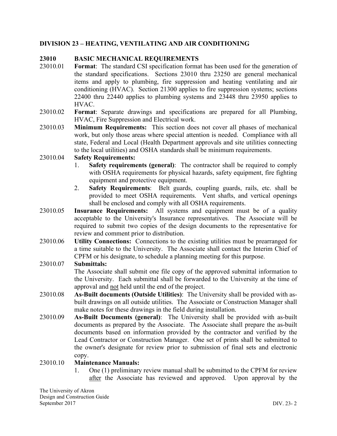#### **DIVISION 23 – HEATING, VENTILATING AND AIR CONDITIONING**

#### **23010 BASIC MECHANICAL REQUIREMENTS**

- 23010.01 **Format**: The standard CSI specification format has been used for the generation of the standard specifications. Sections 23010 thru 23250 are general mechanical items and apply to plumbing, fire suppression and heating ventilating and air conditioning (HVAC). Section 21300 applies to fire suppression systems; sections 22400 thru 22440 applies to plumbing systems and 23448 thru 23950 applies to HVAC.
- 23010.02 **Format**: Separate drawings and specifications are prepared for all Plumbing, HVAC, Fire Suppression and Electrical work.
- 23010.03 **Minimum Requirements:** This section does not cover all phases of mechanical work, but only those areas where special attention is needed. Compliance with all state, Federal and Local (Health Department approvals and site utilities connecting to the local utilities) and OSHA standards shall be minimum requirements.
- 23010.04 **Safety Requirements:**
	- 1. **Safety requirements (general)**: The contractor shall be required to comply with OSHA requirements for physical hazards, safety equipment, fire fighting equipment and protective equipment.
	- 2. **Safety Requirements**: Belt guards, coupling guards, rails, etc. shall be provided to meet OSHA requirements. Vent shafts, and vertical openings shall be enclosed and comply with all OSHA requirements.
- 23010.05 **Insurance Requirements:** All systems and equipment must be of a quality acceptable to the University's Insurance representatives. The Associate will be required to submit two copies of the design documents to the representative for review and comment prior to distribution.
- 23010.06 **Utility Connections:** Connections to the existing utilities must be prearranged for a time suitable to the University. The Associate shall contact the Interim Chief of CPFM or his designate, to schedule a planning meeting for this purpose.

#### 23010.07 **Submittals:**

The Associate shall submit one file copy of the approved submittal information to the University. Each submittal shall be forwarded to the University at the time of approval and not held until the end of the project.

- 23010.08 **As-Built documents (Outside Utilities)**: The University shall be provided with asbuilt drawings on all outside utilities. The Associate or Construction Manager shall make notes for these drawings in the field during installation.
- 23010.09 **As-Built Documents (general)**: The University shall be provided with as-built documents as prepared by the Associate. The Associate shall prepare the as-built documents based on information provided by the contractor and verified by the Lead Contractor or Construction Manager. One set of prints shall be submitted to the owner's designate for review prior to submission of final sets and electronic copy.

#### 23010.10 **Maintenance Manuals:**

1. One (1) preliminary review manual shall be submitted to the CPFM for review after the Associate has reviewed and approved. Upon approval by the

The University of Akron Design and Construction Guide September 2017 DIV. 23- 2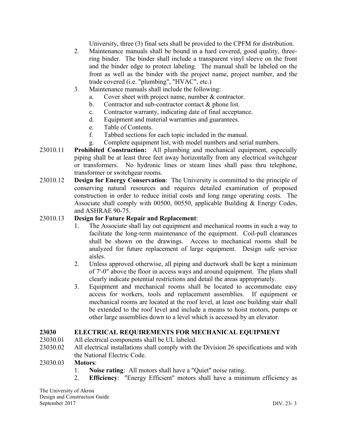University, three (3) final sets shall be provided to the CPFM for distribution.

- 2. Maintenance manuals shall be bound in a hard covered, good quality, threering binder. The binder shall include a transparent vinyl sleeve on the front and the binder edge to protect labeling. The manual shall be labeled on the front as well as the binder with the project name, project number, and the trade covered (i.e. "plumbing", "HVAC", etc.)
- 3. Maintenance manuals shall include the following:
	- a. Cover sheet with project name, number & contractor.
	- b. Contractor and sub-contractor contact & phone list.
	- c. Contractor warranty, indicating date of final acceptance.
	- d. Equipment and material warranties and guarantees.
	- e. Table of Contents.
	- f. Tabbed sections for each topic included in the manual.
	- g. Complete equipment list, with model numbers and serial numbers.
- 23010.11 **Prohibited Construction:** All plumbing and mechanical equipment, especially piping shall be at least three feet away horizontally from any electrical switchgear or transformers. No hydronic lines or steam lines shall pass thru telephone, transformer or switchgear rooms.
- 23010.12 **Design for Energy Conservation**: The University is committed to the principle of conserving natural resources and requires detailed examination of proposed construction in order to reduce initial costs and long range operating costs. The Associate shall comply with 00500, 00550, applicable Building & Energy Codes, and ASHRAE 90-75.

#### 23010.13 **Design for Future Repair and Replacement**:

- 1. The Associate shall lay out equipment and mechanical rooms in such a way to facilitate the long-term maintenance of the equipment. Coil-pull clearances shall be shown on the drawings. Access to mechanical rooms shall be analyzed for future replacement of large equipment. Design safe service aisles.
- 2. Unless approved otherwise, all piping and ductwork shall be kept a minimum of 7'-0" above the floor in access ways and around equipment. The plans shall clearly indicate potential restrictions and detail the areas appropriately.
- 3. Equipment and mechanical rooms shall be located to accommodate easy access for workers, tools and replacement assemblies. If equipment or mechanical rooms are located at the roof level, at least one building stair shall be extended to the roof level and include a means to hoist motors, pumps or other large assemblies down to a level which is accessed by an elevator.

#### **23030 ELECTRICAL REQUIREMENTS FOR MECHANICAL EQUIPMENT**

- 23030.01 All electrical components shall be UL labeled.
- 23030.02 All electrical installations shall comply with the Division 26 specifications and with the National Electric Code.

#### 23030.03 **Motors**:

- 1. **Noise rating**: All motors shall have a "Quiet" noise rating.
- 2. **Efficiency**: "Energy Efficient" motors shall have a minimum efficiency as

The University of Akron Design and Construction Guide September 2017 DIV. 23- 3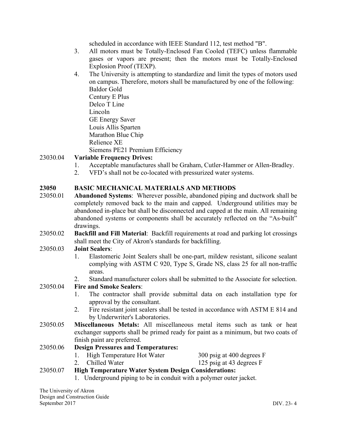scheduled in accordance with IEEE Standard 112, test method "B".

- 3. All motors must be Totally-Enclosed Fan Cooled (TEFC) unless flammable gases or vapors are present; then the motors must be Totally-Enclosed Explosion Proof (TEXP).
- 4. The University is attempting to standardize and limit the types of motors used on campus. Therefore, motors shall be manufactured by one of the following: Baldor Gold Century E Plus Delco T Line Lincoln GE Energy Saver Louis Allis Sparten Marathon Blue Chip Relience XE Siemens PE21 Premium Efficiency

## 23030.04 **Variable Frequency Drives:**

- 1. Acceptable manufactures shall be Graham, Cutler-Hammer or Allen-Bradley.
- 2. VFD's shall not be co-located with pressurized water systems.

#### **23050 BASIC MECHANICAL MATERIALS AND METHODS**

- 23050.01 **Abandoned Systems**: Wherever possible, abandoned piping and ductwork shall be completely removed back to the main and capped. Underground utilities may be abandoned in-place but shall be disconnected and capped at the main. All remaining abandoned systems or components shall be accurately reflected on the "As-built" drawings.
- 23050.02 **Backfill and Fill Material**: Backfill requirements at road and parking lot crossings shall meet the City of Akron's standards for backfilling.

#### 23050.03 **Joint Sealers**:

- 1. Elastomeric Joint Sealers shall be one-part, mildew resistant, silicone sealant complying with ASTM C 920, Type S, Grade NS, class 25 for all non-traffic areas.
- 2. Standard manufacturer colors shall be submitted to the Associate for selection.

#### 23050.04 **Fire and Smoke Sealers**:

- 1. The contractor shall provide submittal data on each installation type for approval by the consultant.
- 2. Fire resistant joint sealers shall be tested in accordance with ASTM E 814 and by Underwriter's Laboratories.
- 23050.05 **Miscellaneous Metals:** All miscellaneous metal items such as tank or heat exchanger supports shall be primed ready for paint as a minimum, but two coats of finish paint are preferred.

## 23050.06 **Design Pressures and Temperatures:**

- 1. High Temperature Hot Water 300 psig at 400 degrees F
- 2. Chilled Water 125 psig at 43 degrees F

## 23050.07 **High Temperature Water System Design Considerations:**

1. Underground piping to be in conduit with a polymer outer jacket.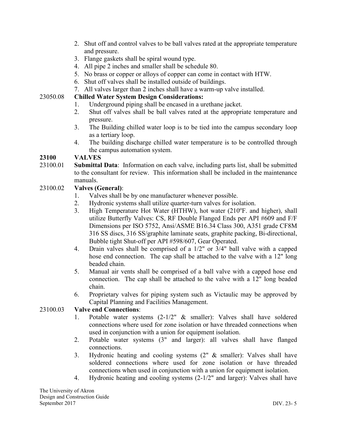- 2. Shut off and control valves to be ball valves rated at the appropriate temperature and pressure.
- 3. Flange gaskets shall be spiral wound type.
- 4. All pipe 2 inches and smaller shall be schedule 80.
- 5. No brass or copper or alloys of copper can come in contact with HTW.
- 6. Shut off valves shall be installed outside of buildings.
- 7. All valves larger than 2 inches shall have a warm-up valve installed.

## 23050.08 **Chilled Water System Design Considerations:**

- 1. Underground piping shall be encased in a urethane jacket.
- 2. Shut off valves shall be ball valves rated at the appropriate temperature and pressure.
- 3. The Building chilled water loop is to be tied into the campus secondary loop as a tertiary loop.
- 4. The building discharge chilled water temperature is to be controlled through the campus automation system.

## **23100 VALVES**

23100.01 **Submittal Data**: Information on each valve, including parts list, shall be submitted to the consultant for review. This information shall be included in the maintenance manuals.

## 23100.02 **Valves (General)**:

- 1. Valves shall be by one manufacturer whenever possible.
- 2. Hydronic systems shall utilize quarter-turn valves for isolation.
- 3. High Temperature Hot Water (HTHW), hot water (210°F. and higher), shall utilize Butterfly Valves: CS, RF Double Flanged Ends per API #609 and F/F Dimensions per ISO 5752, Ansi/ASME B16.34 Class 300, A351 grade CF8M 316 SS discs, 316 SS/graphite laminate seats, graphite packing, Bi-directional, Bubble tight Shut-off per API #598/607, Gear Operated.
- 4. Drain valves shall be comprised of a 1/2" or 3/4" ball valve with a capped hose end connection. The cap shall be attached to the valve with a 12" long beaded chain.
- 5. Manual air vents shall be comprised of a ball valve with a capped hose end connection. The cap shall be attached to the valve with a 12" long beaded chain.
- 6. Proprietary valves for piping system such as Victaulic may be approved by Capital Planning and Facilities Management.

#### 23100.03 **Valve end Connections**:

- 1. Potable water systems (2-1/2" & smaller): Valves shall have soldered connections where used for zone isolation or have threaded connections when used in conjunction with a union for equipment isolation.
- 2. Potable water systems (3" and larger): all valves shall have flanged connections.
- 3. Hydronic heating and cooling systems (2" & smaller): Valves shall have soldered connections where used for zone isolation or have threaded connections when used in conjunction with a union for equipment isolation.
- 4. Hydronic heating and cooling systems (2-1/2" and larger): Valves shall have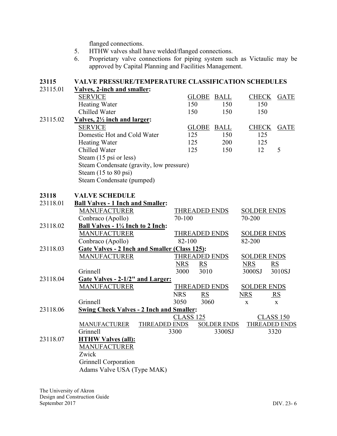flanged connections.

- 5. HTHW valves shall have welded/flanged connections.
- 6. Proprietary valve connections for piping system such as Victaulic may be approved by Capital Planning and Facilities Management.

## **23115 VALVE PRESSURE/TEMPERATURE CLASSIFICATION SCHEDULES** 23115.01 **Valves, 2-inch and smaller:** SERVICE GLOBE BALL CHECK GATE Heating Water 150 150 150 150 Chilled Water 150 150 150 150 23115.02 **Valves, 2½ inch and larger:** SERVICE GLOBE BALL CHECK GATE Domestic Hot and Cold Water 125 150 125 Heating Water 125 200 125 Chilled Water 125 150 12 5 Steam (15 psi or less) Steam Condensate (gravity, low pressure) Steam (15 to 80 psi) Steam Condensate (pumped) **23118 VALVE SCHEDULE** 23118.01 **Ball Valves - 1 Inch and Smaller:** MANUFACTURER THREADED ENDS SOLDER ENDS Conbraco (Apollo) 70-100 70-200 23118.02 **Ball Valves - 1¼ Inch to 2 Inch:** MANUFACTURER THREADED ENDS SOLDER ENDS Conbraco (Apollo) 82-100 82-200 23118.03 **Gate Valves - 2 Inch and Smaller (Class 125):** MANUFACTURER THREADED ENDS SOLDER ENDS NRS RS NRS RS Grinnell 3000 3010 3000SJ 3010SJ 23118.04 **Gate Valves - 2-1/2" and Larger:** MANUFACTURER THREADED ENDS SOLDER ENDS NRS RS NRS RS Grinnell 3050 3060 x x 23118.06 **Swing Check Valves - 2 Inch and Smaller:** CLASS 125 CLASS 150 MANUFACTURER THREADED ENDS SOLDER ENDS THREADED ENDS Grinnell 3300 3300SJ 3320 23118.07 **HTHW Valves (all):** MANUFACTURER Zwick Grinnell Corporation Adams Valve USA (Type MAK)

The University of Akron Design and Construction Guide September 2017 DIV. 23- 6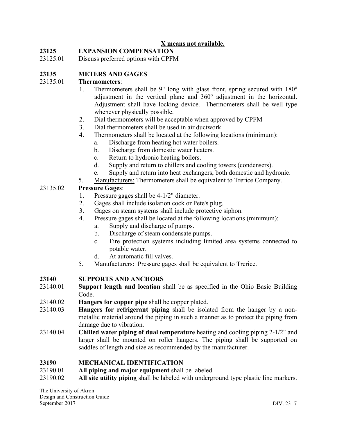## **X means not available.**

## **23125 EXPANSION COMPENSATION**

23125.01 Discuss preferred options with CPFM

## **23135 METERS AND GAGES**

#### 23135.01 **Thermometers**:

- 1. Thermometers shall be 9" long with glass front, spring secured with  $180^\circ$ adjustment in the vertical plane and  $360^\circ$  adjustment in the horizontal. Adjustment shall have locking device. Thermometers shall be well type whenever physically possible.
- 2. Dial thermometers will be acceptable when approved by CPFM
- 3. Dial thermometers shall be used in air ductwork.
- 4. Thermometers shall be located at the following locations (minimum): a. Discharge from heating hot water boilers.
	- b. Discharge from domestic water heaters.
	- c. Return to hydronic heating boilers.
	- d. Supply and return to chillers and cooling towers (condensers).
	- e. Supply and return into heat exchangers, both domestic and hydronic.
- 5. Manufacturers: Thermometers shall be equivalent to Trerice Company.

#### 23135.02 **Pressure Gages**:

- 1. Pressure gages shall be 4-1/2" diameter.
- 2. Gages shall include isolation cock or Pete's plug.
- 3. Gages on steam systems shall include protective siphon.
- 4. Pressure gages shall be located at the following locations (minimum):
	- a. Supply and discharge of pumps.
	- b. Discharge of steam condensate pumps.
	- c. Fire protection systems including limited area systems connected to potable water.
	- d. At automatic fill valves.
- 5. Manufacturers: Pressure gages shall be equivalent to Trerice.

#### **23140 SUPPORTS AND ANCHORS**

- 23140.01 **Support length and location** shall be as specified in the Ohio Basic Building Code.
- 23140.02 **Hangers for copper pipe** shall be copper plated.
- 23140.03 **Hangers for refrigerant piping** shall be isolated from the hanger by a nonmetallic material around the piping in such a manner as to protect the piping from damage due to vibration.
- 23140.04 **Chilled water piping of dual temperature** heating and cooling piping 2-1/2" and larger shall be mounted on roller hangers. The piping shall be supported on saddles of length and size as recommended by the manufacturer.

#### **23190 MECHANICAL IDENTIFICATION**

- 23190.01 **All piping and major equipment** shall be labeled.
- 23190.02 **All site utility piping** shall be labeled with underground type plastic line markers.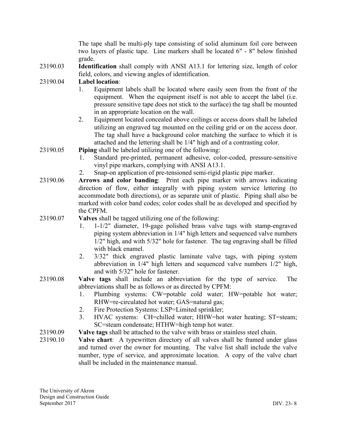The tape shall be multi-ply tape consisting of solid aluminum foil core between two layers of plastic tape. Line markers shall be located 6" - 8" below finished grade.

23190.03 **Identification** shall comply with ANSI A13.1 for lettering size, length of color field, colors, and viewing angles of identification.

#### 23190.04 **Label location**:

- 1. Equipment labels shall be located where easily seen from the front of the equipment. When the equipment itself is not able to accept the label (i.e. pressure sensitive tape does not stick to the surface) the tag shall be mounted in an appropriate location on the wall.
- 2. Equipment located concealed above ceilings or access doors shall be labeled utilizing an engraved tag mounted on the ceiling grid or on the access door. The tag shall have a background color matching the surface to which it is attached and the lettering shall be 1/4" high and of a contrasting color.

#### 23190.05 **Piping** shall be labeled utilizing one of the following:

- 1. Standard pre-printed, permanent adhesive, color-coded, pressure-sensitive vinyl pipe markers, complying with ANSI A13.1.
- 2. Snap-on application of pre-tensioned semi-rigid plastic pipe marker.
- 23190.06 **Arrows and color banding**: Print each pipe marker with arrows indicating direction of flow, either integrally with piping system service lettering (to accommodate both directions), or as separate unit of plastic. Piping shall also be marked with color band codes; color codes shall be as developed and specified by the CPFM.
- 23190.07 **Valves** shall be tagged utilizing one of the following:
	- 1. 1-1/2" diameter, 19-gage polished brass valve tags with stamp-engraved piping system abbreviation in 1/4" high letters and sequenced valve numbers 1/2" high, and with 5/32" hole for fastener. The tag engraving shall be filled with black enamel.
	- 2. 3/32" thick engraved plastic laminate valve tags, with piping system abbreviation in 1/4" high letters and sequenced valve numbers 1/2" high, and with 5/32" hole for fastener.
- 23190.08 **Valve tags** shall include an abbreviation for the type of service. The abbreviations shall be as follows or as directed by CPFM:
	- 1. Plumbing systems: CW=potable cold water; HW=potable hot water; RHW=re-circulated hot water; GAS=natural gas;
	- 2. Fire Protection Systems: LSP=Limited sprinkler;
	- 3. HVAC systems: CH=chilled water; HHW=hot water heating; ST=steam; SC=steam condensate; HTHW=high temp hot water.
- 23190.09 **Valve tags** shall be attached to the valve with brass or stainless steel chain.
- 23190.10 **Valve chart**: A typewritten directory of all valves shall be framed under glass and turned over the owner for mounting. The valve list shall include the valve number, type of service, and approximate location. A copy of the valve chart shall be included in the maintenance manual.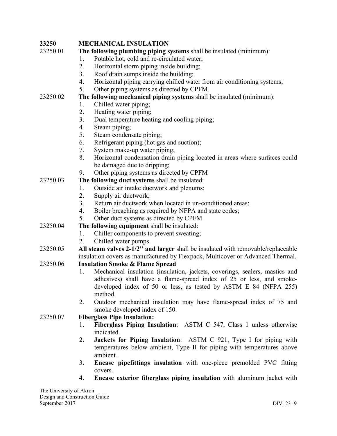| 23250                   | <b>MECHANICAL INSULATION</b>                                                      |
|-------------------------|-----------------------------------------------------------------------------------|
| 23250.01                | The following plumbing piping systems shall be insulated (minimum):               |
|                         | Potable hot, cold and re-circulated water;<br>1.                                  |
|                         | Horizontal storm piping inside building;<br>2.                                    |
|                         | Roof drain sumps inside the building;<br>3.                                       |
|                         | Horizontal piping carrying chilled water from air conditioning systems;<br>4.     |
|                         | Other piping systems as directed by CPFM.<br>5.                                   |
| 23250.02                | The following mechanical piping systems shall be insulated (minimum):             |
|                         | Chilled water piping;<br>1.                                                       |
|                         | 2.<br>Heating water piping;                                                       |
|                         | 3.<br>Dual temperature heating and cooling piping;                                |
|                         | Steam piping;<br>4.                                                               |
|                         | 5.<br>Steam condensate piping;                                                    |
|                         | Refrigerant piping (hot gas and suction);<br>6.                                   |
|                         | System make-up water piping;<br>7.                                                |
|                         | Horizontal condensation drain piping located in areas where surfaces could<br>8.  |
|                         | be damaged due to dripping;                                                       |
|                         | Other piping systems as directed by CPFM<br>9.                                    |
| 23250.03                | The following duct systems shall be insulated:                                    |
|                         | Outside air intake ductwork and plenums;<br>1.                                    |
|                         | Supply air ductwork;<br>2.                                                        |
|                         | Return air ductwork when located in un-conditioned areas;<br>3.                   |
|                         | Boiler breaching as required by NFPA and state codes;<br>4.                       |
|                         | Other duct systems as directed by CPFM.<br>5.                                     |
| 23250.04                | The following equipment shall be insulated:                                       |
|                         | Chiller components to prevent sweating;<br>1.                                     |
|                         | Chilled water pumps.<br>2.                                                        |
| 23250.05                | All steam valves 2-1/2" and larger shall be insulated with removable/replaceable  |
|                         | insulation covers as manufactured by Flexpack, Multicover or Advanced Thermal.    |
| 23250.06                | <b>Insulation Smoke &amp; Flame Spread</b>                                        |
|                         | Mechanical insulation (insulation, jackets, coverings, sealers, mastics and<br>1. |
|                         | adhesives) shall have a flame-spread index of 25 or less, and smoke-              |
|                         | developed index of 50 or less, as tested by ASTM E 84 (NFPA 255)                  |
|                         | method.                                                                           |
|                         | 2.<br>Outdoor mechanical insulation may have flame-spread index of 75 and         |
|                         | smoke developed index of 150.                                                     |
| 23250.07                | <b>Fiberglass Pipe Insulation:</b>                                                |
|                         | Fiberglass Piping Insulation: ASTM C 547, Class 1 unless otherwise<br>1.          |
|                         | indicated.                                                                        |
|                         | Jackets for Piping Insulation: ASTM C 921, Type I for piping with<br>2.           |
|                         | temperatures below ambient, Type II for piping with temperatures above            |
|                         | ambient.                                                                          |
|                         | Encase pipefittings insulation with one-piece premolded PVC fitting<br>3.         |
|                         | covers.                                                                           |
|                         | Encase exterior fiberglass piping insulation with aluminum jacket with<br>4.      |
| The University of Akron |                                                                                   |
|                         |                                                                                   |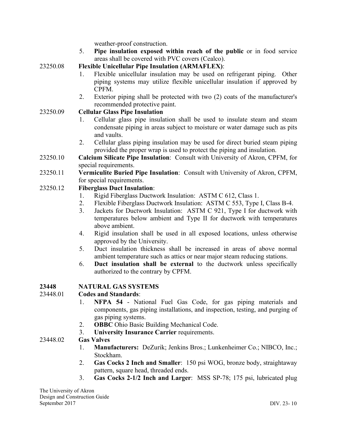weather-proof construction.

5. **Pipe insulation exposed within reach of the public** or in food service areas shall be covered with PVC covers (Cealco).

23250.08 **Flexible Unicellular Pipe Insulation (ARMAFLEX)**:

- 1. Flexible unicellular insulation may be used on refrigerant piping. Other piping systems may utilize flexible unicellular insulation if approved by CPFM.
- 2. Exterior piping shall be protected with two (2) coats of the manufacturer's recommended protective paint.

#### 23250.09 **Cellular Glass Pipe Insulation**

- 1. Cellular glass pipe insulation shall be used to insulate steam and steam condensate piping in areas subject to moisture or water damage such as pits and vaults.
- 2. Cellular glass piping insulation may be used for direct buried steam piping provided the proper wrap is used to protect the piping and insulation.
- 23250.10 **Calcium Silicate Pipe Insulation**: Consult with University of Akron, CPFM, for special requirements.
- 23250.11 **Vermiculite Buried Pipe Insulation**: Consult with University of Akron, CPFM, for special requirements.

#### 23250.12 **Fiberglass Duct Insulation**:

- 1. Rigid Fiberglass Ductwork Insulation: ASTM C 612, Class 1.
- 2. Flexible Fiberglass Ductwork Insulation: ASTM C 553, Type I, Class B-4.
- 3. Jackets for Ductwork Insulation: ASTM C 921, Type I for ductwork with temperatures below ambient and Type II for ductwork with temperatures above ambient.
- 4. Rigid insulation shall be used in all exposed locations, unless otherwise approved by the University.
- 5. Duct insulation thickness shall be increased in areas of above normal ambient temperature such as attics or near major steam reducing stations.
- 6. **Duct insulation shall be external** to the ductwork unless specifically authorized to the contrary by CPFM.

#### **23448 NATURAL GAS SYSTEMS**

#### 23448.01 **Codes and Standards**:

- 1. **NFPA 54** National Fuel Gas Code, for gas piping materials and components, gas piping installations, and inspection, testing, and purging of gas piping systems.
- 2. **OBBC** Ohio Basic Building Mechanical Code.
- 3. **University Insurance Carrier** requirements.

#### 23448.02 **Gas Valves**

- 1. **Manufacturers:** DeZurik; Jenkins Bros.; Lunkenheimer Co.; NIBCO, Inc.; Stockham.
- 2. **Gas Cocks 2 Inch and Smaller**: 150 psi WOG, bronze body, straightaway pattern, square head, threaded ends.
- 3. **Gas Cocks 2-1/2 Inch and Larger**: MSS SP-78; 175 psi, lubricated plug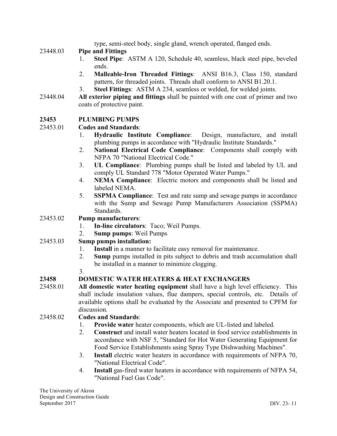type, semi-steel body, single gland, wrench operated, flanged ends.

## 23448.03 **Pipe and Fittings**

- 1. **Steel Pipe**: ASTM A 120, Schedule 40, seamless, black steel pipe, beveled ends.
- 2. **Malleable-Iron Threaded Fittings**: ANSI B16.3, Class 150, standard pattern, for threaded joints. Threads shall conform to ANSI B1.20.1.
- 3. **Steel Fittings**: ASTM A 234, seamless or welded, for welded joints.
- 23448.04 **All exterior piping and fittings** shall be painted with one coat of primer and two coats of protective paint.

## **23453 PLUMBING PUMPS**

## 23453.01 **Codes and Standards**:

- 1. **Hydraulic Institute Compliance**: Design, manufacture, and install plumbing pumps in accordance with "Hydraulic Institute Standards."
- 2. **National Electrical Code Compliance**: Components shall comply with NFPA 70 "National Electrical Code."
- 3. **UL Compliance**: Plumbing pumps shall be listed and labeled by UL and comply UL Standard 778 "Motor Operated Water Pumps."
- 4. **NEMA Compliance**: Electric motors and components shall be listed and labeled NEMA.
- 5. **SSPMA Compliance**: Test and rate sump and sewage pumps in accordance with the Sump and Sewage Pump Manufacturers Association (SSPMA) Standards.

#### 23453.02 **Pump manufacturers**:

- 1. **In-line circulators**: Taco; Weil Pumps.
- 2. **Sump pumps**: Weil Pumps

#### 23453.03 **Sump pumps installation:**

- 1. **Install** in a manner to facilitate easy removal for maintenance.
- 2. **Sump** pumps installed in pits subject to debris and trash accumulation shall be installed in a manner to minimize clogging.
- 

3.

## **23458 DOMESTIC WATER HEATERS & HEAT EXCHANGERS**

23458.01 **All domestic water heating equipment** shall have a high level efficiency. This shall include insulation values, flue dampers, special controls, etc. Details of available options shall be evaluated by the Associate and presented to CPFM for discussion.

#### 23458.02 **Codes and Standards**:

- 1. **Provide water** heater components, which are UL-listed and labeled.
- 2. **Construct** and install water heaters located in food service establishments in accordance with NSF 5, "Standard for Hot Water Generating Equipment for Food Service Establishments using Spray Type Dishwashing Machines".
- 3. **Install** electric water heaters in accordance with requirements of NFPA 70, "National Electrical Code".
- 4. **Install** gas-fired water heaters in accordance with requirements of NFPA 54, "National Fuel Gas Code".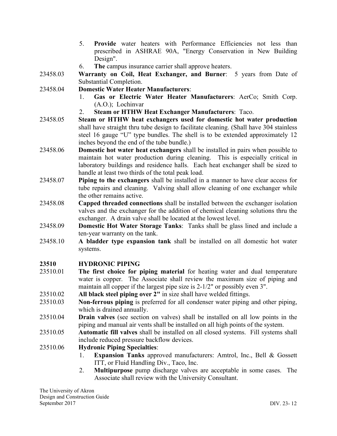- 5. **Provide** water heaters with Performance Efficiencies not less than prescribed in ASHRAE 90A, "Energy Conservation in New Building Design".
- 6. **The** campus insurance carrier shall approve heaters.
- 23458.03 **Warranty on Coil, Heat Exchanger, and Burner**: 5 years from Date of Substantial Completion.
- 23458.04 **Domestic Water Heater Manufacturers**:
	- 1. **Gas or Electric Water Heater Manufacturers**: AerCo; Smith Corp. (A.O.); Lochinvar
	- 2. **Steam or HTHW Heat Exchanger Manufacturers**: Taco.
- 23458.05 **Steam or HTHW heat exchangers used for domestic hot water production** shall have straight thru tube design to facilitate cleaning. (Shall have 304 stainless steel 16 gauge "U" type bundles. The shell is to be extended approximately 12 inches beyond the end of the tube bundle.)
- 23458.06 **Domestic hot water heat exchangers** shall be installed in pairs when possible to maintain hot water production during cleaning. This is especially critical in laboratory buildings and residence halls. Each heat exchanger shall be sized to handle at least two thirds of the total peak load.
- 23458.07 **Piping to the exchangers** shall be installed in a manner to have clear access for tube repairs and cleaning. Valving shall allow cleaning of one exchanger while the other remains active.
- 23458.08 **Capped threaded connections** shall be installed between the exchanger isolation valves and the exchanger for the addition of chemical cleaning solutions thru the exchanger. A drain valve shall be located at the lowest level.
- 23458.09 **Domestic Hot Water Storage Tanks**: Tanks shall be glass lined and include a ten-year warranty on the tank.
- 23458.10 **A bladder type expansion tank** shall be installed on all domestic hot water systems.

## **23510 HYDRONIC PIPING**

- 23510.01 **The first choice for piping material** for heating water and dual temperature water is copper. The Associate shall review the maximum size of piping and maintain all copper if the largest pipe size is 2-1/2" or possibly even 3".
- 23510.02 **All black steel piping over 2"** in size shall have welded fittings.
- 23510.03 **Non-ferrous piping** is preferred for all condenser water piping and other piping, which is drained annually.
- 23510.04 **Drain valves** (see section on valves) shall be installed on all low points in the piping and manual air vents shall be installed on all high points of the system.
- 23510.05 **Automatic fill valves** shall be installed on all closed systems. Fill systems shall include reduced pressure backflow devices.
- 23510.06 **Hydronic Piping Specialties**:
	- 1. **Expansion Tanks** approved manufacturers: Amtrol, Inc., Bell & Gossett ITT, or Fluid Handling Div., Taco, Inc.
	- 2. **Multipurpose** pump discharge valves are acceptable in some cases. The Associate shall review with the University Consultant.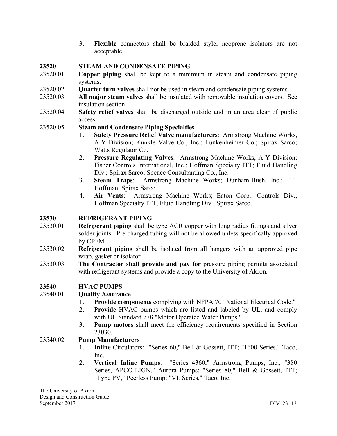3. **Flexible** connectors shall be braided style; neoprene isolators are not acceptable.

#### **23520 STEAM AND CONDENSATE PIPING**

- 23520.01 **Copper piping** shall be kept to a minimum in steam and condensate piping systems.
- 23520.02 **Quarter turn valves** shall not be used in steam and condensate piping systems.
- 23520.03 **All major steam valves** shall be insulated with removable insulation covers. See insulation section.
- 23520.04 **Safety relief valves** shall be discharged outside and in an area clear of public access.

#### 23520.05 **Steam and Condensate Piping Specialties**

- 1. **Safety Pressure Relief Valve manufacturers**: Armstrong Machine Works, A-Y Division; Kunkle Valve Co., Inc.; Lunkenheimer Co.; Spirax Sarco; Watts Regulator Co.
- 2. **Pressure Regulating Valves**: Armstrong Machine Works, A-Y Division; Fisher Controls International, Inc.; Hoffman Specialty ITT; Fluid Handling Div.; Spirax Sarco; Spence Consultanting Co., Inc.
- 3. **Steam Traps**: Armstrong Machine Works; Dunham-Bush, Inc.; ITT Hoffman; Spirax Sarco.
- 4. **Air Vents**: Armstrong Machine Works; Eaton Corp.; Controls Div.; Hoffman Specialty ITT; Fluid Handling Div.; Spirax Sarco.

#### **23530 REFRIGERANT PIPING**

- 23530.01 **Refrigerant piping** shall be type ACR copper with long radius fittings and silver solder joints. Pre-charged tubing will not be allowed unless specifically approved by CPFM.
- 23530.02 **Refrigerant piping** shall be isolated from all hangers with an approved pipe wrap, gasket or isolator.
- 23530.03 **The Contractor shall provide and pay for** pressure piping permits associated with refrigerant systems and provide a copy to the University of Akron.

#### **23540 HVAC PUMPS**

#### 23540.01 **Quality Assurance**

- 1. **Provide components** complying with NFPA 70 "National Electrical Code."
- 2. **Provide** HVAC pumps which are listed and labeled by UL, and comply with UL Standard 778 "Motor Operated Water Pumps."
- 3. **Pump motors** shall meet the efficiency requirements specified in Section 23030.

#### 23540.02 **Pump Manufacturers**

- 1. **Inline** Circulators: "Series 60," Bell & Gossett, ITT; "1600 Series," Taco, Inc.
- 2. **Vertical Inline Pumps**: "Series 4360," Armstrong Pumps, Inc.; "380 Series, APCO-LIGN," Aurora Pumps; "Series 80," Bell & Gossett, ITT; "Type PV," Peerless Pump; "VL Series," Taco, Inc.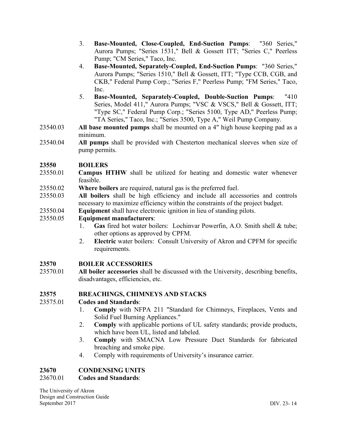- 3. **Base-Mounted, Close-Coupled, End-Suction Pumps**: "360 Series," Aurora Pumps; "Series 1531," Bell & Gossett ITT; "Series C," Peerless Pump; "CM Series," Taco, Inc.
- 4. **Base-Mounted, Separately-Coupled, End-Suction Pumps**: "360 Series," Aurora Pumps; "Series 1510," Bell & Gossett, ITT; "Type CCB, CGB, and CKB," Federal Pump Corp.; "Series F," Peerless Pump; "FM Series," Taco, Inc.
- 5. **Base-Mounted, Separately-Coupled, Double-Suction Pumps**: "410 Series, Model 411," Aurora Pumps; "VSC & VSCS," Bell & Gossett, ITT; "Type SC," Federal Pump Corp.; "Series 5100, Type AD," Peerless Pump; "TA Series," Taco, Inc.; "Series 3500, Type A," Weil Pump Company.
- 23540.03 **All base mounted pumps** shall be mounted on a 4" high house keeping pad as a minimum.
- 23540.04 **All pumps** shall be provided with Chesterton mechanical sleeves when size of pump permits.

## **23550 BOILERS**

- 23550.01 **Campus HTHW** shall be utilized for heating and domestic water whenever feasible.
- 23550.02 **Where boilers** are required, natural gas is the preferred fuel.
- 23550.03 **All boilers** shall be high efficiency and include all accessories and controls necessary to maximize efficiency within the constraints of the project budget.
- 23550.04 **Equipment** shall have electronic ignition in lieu of standing pilots.

#### 23550.05 **Equipment manufacturers**:

- 1. **Gas** fired hot water boilers: Lochinvar Powerfin, A.O. Smith shell & tube; other options as approved by CPFM.
- 2. **Electric** water boilers: Consult University of Akron and CPFM for specific requirements.

#### **23570 BOILER ACCESSORIES**

23570.01 **All boiler accessories** shall be discussed with the University, describing benefits, disadvantages, efficiencies, etc.

#### **23575 BREACHINGS, CHIMNEYS AND STACKS**

#### 23575.01 **Codes and Standards**:

- 1. **Comply** with NFPA 211 "Standard for Chimneys, Fireplaces, Vents and Solid Fuel Burning Appliances."
- 2. **Comply** with applicable portions of UL safety standards; provide products, which have been UL, listed and labeled.
- 3. **Comply** with SMACNA Low Pressure Duct Standards for fabricated breaching and smoke pipe.
- 4. Comply with requirements of University's insurance carrier.

#### **23670 CONDENSING UNITS**

#### 23670.01 **Codes and Standards**:

The University of Akron Design and Construction Guide September 2017 DIV. 23- 14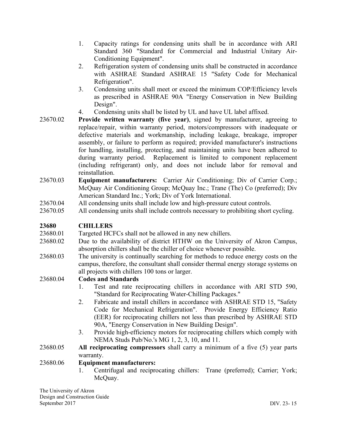- 1. Capacity ratings for condensing units shall be in accordance with ARI Standard 360 "Standard for Commercial and Industrial Unitary Air-Conditioning Equipment".
- 2. Refrigeration system of condensing units shall be constructed in accordance with ASHRAE Standard ASHRAE 15 "Safety Code for Mechanical Refrigeration".
- 3. Condensing units shall meet or exceed the minimum COP/Efficiency levels as prescribed in ASHRAE 90A "Energy Conservation in New Building Design".
- 4. Condensing units shall be listed by UL and have UL label affixed.
- 23670.02 **Provide written warranty (five year)**, signed by manufacturer, agreeing to replace/repair, within warranty period, motors/compressors with inadequate or defective materials and workmanship, including leakage, breakage, improper assembly, or failure to perform as required; provided manufacturer's instructions for handling, installing, protecting, and maintaining units have been adhered to during warranty period. Replacement is limited to component replacement (including refrigerant) only, and does not include labor for removal and reinstallation.
- 23670.03 **Equipment manufacturers:** Carrier Air Conditioning; Div of Carrier Corp.; McQuay Air Conditioning Group; McQuay Inc.; Trane (The) Co (preferred); Div American Standard Inc.; York; Div of York International.
- 23670.04 All condensing units shall include low and high-pressure cutout controls.
- 23670.05 All condensing units shall include controls necessary to prohibiting short cycling.

#### **23680 CHILLERS**

23680.01 Targeted HCFCs shall not be allowed in any new chillers.

- 23680.02 Due to the availability of district HTHW on the University of Akron Campus, absorption chillers shall be the chiller of choice whenever possible.
- 23680.03 The university is continually searching for methods to reduce energy costs on the campus, therefore, the consultant shall consider thermal energy storage systems on all projects with chillers 100 tons or larger.

#### 23680.04 **Codes and Standards**

- 1. Test and rate reciprocating chillers in accordance with ARI STD 590, "Standard for Reciprocating Water-Chilling Packages."
- 2. Fabricate and install chillers in accordance with ASHRAE STD 15, "Safety Code for Mechanical Refrigeration". Provide Energy Efficiency Ratio (EER) for reciprocating chillers not less than prescribed by ASHRAE STD 90A, "Energy Conservation in New Building Design".
- 3. Provide high-efficiency motors for reciprocating chillers which comply with NEMA Studs Pub/No.'s MG 1, 2, 3, 10, and 11.
- 23680.05 **All reciprocating compressors** shall carry a minimum of a five (5) year parts warranty.

#### 23680.06 **Equipment manufacturers:**

1. Centrifugal and reciprocating chillers: Trane (preferred); Carrier; York; McOuay.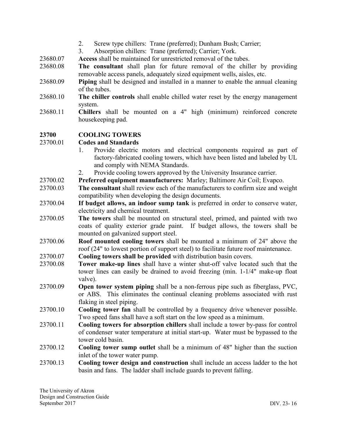- 2. Screw type chillers: Trane (preferred); Dunham Bush; Carrier;
- 3. Absorption chillers: Trane (preferred); Carrier; York.
- 23680.07 **Access** shall be maintained for unrestricted removal of the tubes.
- 23680.08 **The consultant** shall plan for future removal of the chiller by providing removable access panels, adequately sized equipment wells, aisles, etc.
- 23680.09 **Piping** shall be designed and installed in a manner to enable the annual cleaning of the tubes.
- 23680.10 **The chiller controls** shall enable chilled water reset by the energy management system.
- 23680.11 **Chillers** shall be mounted on a 4" high (minimum) reinforced concrete housekeeping pad.

#### **23700 COOLING TOWERS**

#### 23700.01 **Codes and Standards**

- 1. Provide electric motors and electrical components required as part of factory-fabricated cooling towers, which have been listed and labeled by UL and comply with NEMA Standards.
- 2. Provide cooling towers approved by the University Insurance carrier.
- 23700.02 **Preferred equipment manufacturers:** Marley; Baltimore Air Coil; Evapco.
- 23700.03 **The consultant** shall review each of the manufacturers to confirm size and weight compatibility when developing the design documents.
- 23700.04 **If budget allows, an indoor sump tank** is preferred in order to conserve water, electricity and chemical treatment.
- 23700.05 **The towers** shall be mounted on structural steel, primed, and painted with two coats of quality exterior grade paint. If budget allows, the towers shall be mounted on galvanized support steel.
- 23700.06 **Roof mounted cooling towers** shall be mounted a minimum of 24" above the roof (24" to lowest portion of support steel) to facilitate future roof maintenance.
- 23700.07 **Cooling towers shall be provided** with distribution basin covers.
- 23700.08 **Tower make-up lines** shall have a winter shut-off valve located such that the tower lines can easily be drained to avoid freezing (min. 1-1/4" make-up float valve).
- 23700.09 **Open tower system piping** shall be a non-ferrous pipe such as fiberglass, PVC, or ABS. This eliminates the continual cleaning problems associated with rust flaking in steel piping.
- 23700.10 **Cooling tower fan** shall be controlled by a frequency drive whenever possible. Two speed fans shall have a soft start on the low speed as a minimum.
- 23700.11 **Cooling towers for absorption chillers** shall include a tower by-pass for control of condenser water temperature at initial start-up. Water must be bypassed to the tower cold basin.
- 23700.12 **Cooling tower sump outlet** shall be a minimum of 48" higher than the suction inlet of the tower water pump.
- 23700.13 **Cooling tower design and construction** shall include an access ladder to the hot basin and fans. The ladder shall include guards to prevent falling.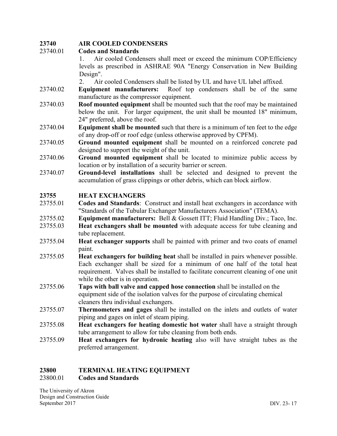## **23740 AIR COOLED CONDENSERS**

#### 23740.01 **Codes and Standards**

1. Air cooled Condensers shall meet or exceed the minimum COP/Efficiency levels as prescribed in ASHRAE 90A "Energy Conservation in New Building Design".

2. Air cooled Condensers shall be listed by UL and have UL label affixed.

- 23740.02 **Equipment manufacturers:** Roof top condensers shall be of the same manufacture as the compressor equipment.
- 23740.03 **Roof mounted equipment** shall be mounted such that the roof may be maintained below the unit. For larger equipment, the unit shall be mounted 18" minimum, 24" preferred, above the roof.
- 23740.04 **Equipment shall be mounted** such that there is a minimum of ten feet to the edge of any drop-off or roof edge (unless otherwise approved by CPFM).
- 23740.05 **Ground mounted equipment** shall be mounted on a reinforced concrete pad designed to support the weight of the unit.
- 23740.06 **Ground mounted equipment** shall be located to minimize public access by location or by installation of a security barrier or screen.
- 23740.07 **Ground-level installations** shall be selected and designed to prevent the accumulation of grass clippings or other debris, which can block airflow.

#### **23755 HEAT EXCHANGERS**

- 23755.01 **Codes and Standards**: Construct and install heat exchangers in accordance with "Standards of the Tubular Exchanger Manufacturers Association" (TEMA).
- 23755.02 **Equipment manufacturers:** Bell & Gossett ITT; Fluid Handling Div.; Taco, Inc.
- 23755.03 **Heat exchangers shall be mounted** with adequate access for tube cleaning and tube replacement.
- 23755.04 **Heat exchanger supports** shall be painted with primer and two coats of enamel paint.
- 23755.05 **Heat exchangers for building heat** shall be installed in pairs whenever possible. Each exchanger shall be sized for a minimum of one half of the total heat requirement. Valves shall be installed to facilitate concurrent cleaning of one unit while the other is in operation.
- 23755.06 **Taps with ball valve and capped hose connection** shall be installed on the equipment side of the isolation valves for the purpose of circulating chemical cleaners thru individual exchangers.
- 23755.07 **Thermometers and gages** shall be installed on the inlets and outlets of water piping and gages on inlet of steam piping.
- 23755.08 **Heat exchangers for heating domestic hot water** shall have a straight through tube arrangement to allow for tube cleaning from both ends.
- 23755.09 **Heat exchangers for hydronic heating** also will have straight tubes as the preferred arrangement.

#### **23800 TERMINAL HEATING EQUIPMENT** 23800.01 **Codes and Standards**

The University of Akron Design and Construction Guide September 2017 DIV. 23- 17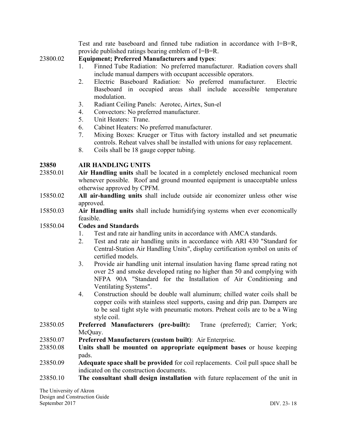Test and rate baseboard and finned tube radiation in accordance with I=B=R, provide published ratings bearing emblem of I=B=R.

#### 23800.02 **Equipment; Preferred Manufacturers and types**:

- 1. Finned Tube Radiation: No preferred manufacturer. Radiation covers shall include manual dampers with occupant accessible operators.
- 2. Electric Baseboard Radiation: No preferred manufacturer. Electric Baseboard in occupied areas shall include accessible temperature modulation.
- 3. Radiant Ceiling Panels: Aerotec, Airtex, Sun-el
- 4. Convectors: No preferred manufacturer.
- 5. Unit Heaters: Trane.
- 6. Cabinet Heaters: No preferred manufacturer.
- 7. Mixing Boxes: Krueger or Titus with factory installed and set pneumatic controls. Reheat valves shall be installed with unions for easy replacement.
- 8. Coils shall be 18 gauge copper tubing.

#### **23850 AIR HANDLING UNITS**

- 23850.01 **Air Handling units** shall be located in a completely enclosed mechanical room whenever possible. Roof and ground mounted equipment is unacceptable unless otherwise approved by CPFM.
- 15850.02 **All air-handling units** shall include outside air economizer unless other wise approved.
- 15850.03 **Air Handling units** shall include humidifying systems when ever economically feasible.

#### 15850.04 **Codes and Standards**

- 1. Test and rate air handling units in accordance with AMCA standards.
- 2. Test and rate air handling units in accordance with ARI 430 "Standard for Central-Station Air Handling Units", display certification symbol on units of certified models.
- 3. Provide air handling unit internal insulation having flame spread rating not over 25 and smoke developed rating no higher than 50 and complying with NFPA 90A "Standard for the Installation of Air Conditioning and Ventilating Systems".
- 4. Construction should be double wall aluminum; chilled water coils shall be copper coils with stainless steel supports, casing and drip pan. Dampers are to be seal tight style with pneumatic motors. Preheat coils are to be a Wing style coil.
- 23850.05 **Preferred Manufacturers (pre-built):** Trane (preferred); Carrier; York; McOuav.
- 23850.07 **Preferred Manufacturers (custom built)**: Air Enterprise.
- 23850.08 **Units shall be mounted on appropriate equipment bases** or house keeping pads.
- 23850.09 **Adequate space shall be provided** for coil replacements. Coil pull space shall be indicated on the construction documents.
- 23850.10 **The consultant shall design installation** with future replacement of the unit in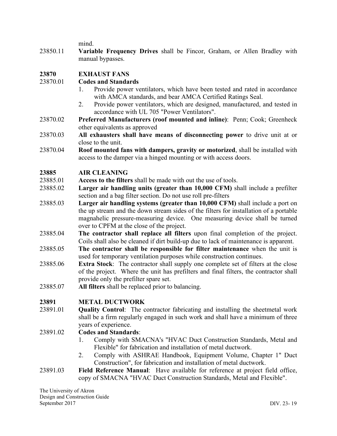mind.

23850.11 **Variable Frequency Drives** shall be Fincor, Graham, or Allen Bradley with manual bypasses.

## **23870 EXHAUST FANS**

## 23870.01 **Codes and Standards**

- 1. Provide power ventilators, which have been tested and rated in accordance with AMCA standards, and bear AMCA Certified Ratings Seal.
- 2. Provide power ventilators, which are designed, manufactured, and tested in accordance with UL 705 "Power Ventilators".
- 23870.02 **Preferred Manufacturers (roof mounted and inline)**: Penn; Cook; Greenheck other equivalents as approved
- 23870.03 **All exhausters shall have means of disconnecting power** to drive unit at or close to the unit.
- 23870.04 **Roof mounted fans with dampers, gravity or motorized**, shall be installed with access to the damper via a hinged mounting or with access doors.

## **23885 AIR CLEANING**

- 23885.01 **Access to the filters** shall be made with out the use of tools.
- 23885.02 **Larger air handling units (greater than 10,000 CFM)** shall include a prefilter section and a bag filter section. Do not use roll pre-filters
- 23885.03 **Larger air handling systems (greater than 10,000 CFM)** shall include a port on the up stream and the down stream sides of the filters for installation of a portable magnahelic pressure-measuring device. One measuring device shall be turned over to CPFM at the close of the project.
- 23885.04 **The contractor shall replace all filters** upon final completion of the project. Coils shall also be cleaned if dirt build-up due to lack of maintenance is apparent.
- 23885.05 **The contractor shall be responsible for filter maintenance** when the unit is used for temporary ventilation purposes while construction continues.
- 23885.06 **Extra Stock**: The contractor shall supply one complete set of filters at the close of the project. Where the unit has prefilters and final filters, the contractor shall provide only the prefilter spare set.
- 23885.07 **All filters** shall be replaced prior to balancing.

#### **23891 METAL DUCTWORK**

23891.01 **Quality Control**: The contractor fabricating and installing the sheetmetal work shall be a firm regularly engaged in such work and shall have a minimum of three years of experience.

## 23891.02 **Codes and Standards**:

- 1. Comply with SMACNA's "HVAC Duct Construction Standards, Metal and Flexible" for fabrication and installation of metal ductwork.
- 2. Comply with ASHRAE Handbook, Equipment Volume, Chapter 1" Duct Construction", for fabrication and installation of metal ductwork.
- 23891.03 **Field Reference Manual**: Have available for reference at project field office, copy of SMACNA "HVAC Duct Construction Standards, Metal and Flexible".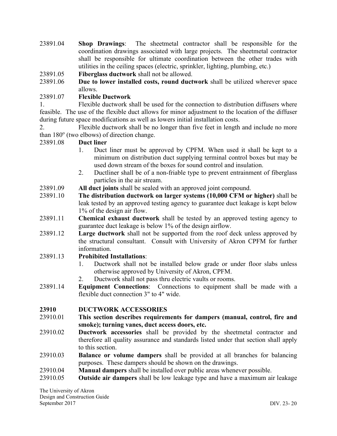- 23891.04 **Shop Drawings**: The sheetmetal contractor shall be responsible for the coordination drawings associated with large projects. The sheetmetal contractor shall be responsible for ultimate coordination between the other trades with utilities in the ceiling spaces (electric, sprinkler, lighting, plumbing, etc.)
- 23891.05 **Fiberglass ductwork** shall not be allowed.
- 23891.06 **Due to lower installed costs, round ductwork** shall be utilized wherever space allows.

## 23891.07 **Flexible Ductwork**

1. Flexible ductwork shall be used for the connection to distribution diffusers where feasible. The use of the flexible duct allows for minor adjustment to the location of the diffuser during future space modifications as well as lowers initial installation costs.

2. Flexible ductwork shall be no longer than five feet in length and include no more than  $180^\circ$  (two elbows) of direction change.

23891.08 **Duct liner**

- 1. Duct liner must be approved by CPFM. When used it shall be kept to a minimum on distribution duct supplying terminal control boxes but may be used down stream of the boxes for sound control and insulation.
- 2. Ductliner shall be of a non-friable type to prevent entrainment of fiberglass particles in the air stream.
- 23891.09 **All duct joints** shall be sealed with an approved joint compound.
- 23891.10 **The distribution ductwork on larger systems (10,000 CFM or higher)** shall be leak tested by an approved testing agency to guarantee duct leakage is kept below 1% of the design air flow.
- 23891.11 **Chemical exhaust ductwork** shall be tested by an approved testing agency to guarantee duct leakage is below 1% of the design airflow.
- 23891.12 **Large ductwork** shall not be supported from the roof deck unless approved by the structural consultant. Consult with University of Akron CPFM for further information.
- 23891.13 **Prohibited Installations**:
	- 1. Ductwork shall not be installed below grade or under floor slabs unless otherwise approved by University of Akron, CPFM.
	- 2. Ductwork shall not pass thru electric vaults or rooms.
- 23891.14 **Equipment Connections**: Connections to equipment shall be made with a flexible duct connection 3" to 4" wide.

#### **23910 DUCTWORK ACCESSORIES**

- 23910.01 **This section describes requirements for dampers (manual, control, fire and smoke); turning vanes, duct access doors, etc.**
- 23910.02 **Ductwork accessories** shall be provided by the sheetmetal contractor and therefore all quality assurance and standards listed under that section shall apply to this section.
- 23910.03 **Balance or volume dampers** shall be provided at all branches for balancing purposes. These dampers should be shown on the drawings.
- 23910.04 **Manual dampers** shall be installed over public areas whenever possible.
- 23910.05 **Outside air dampers** shall be low leakage type and have a maximum air leakage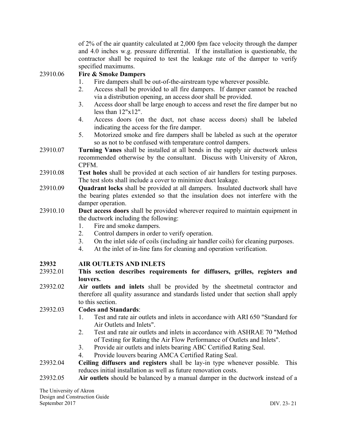of 2% of the air quantity calculated at 2,000 fpm face velocity through the damper and 4.0 inches w.g. pressure differential. If the installation is questionable, the contractor shall be required to test the leakage rate of the damper to verify specified maximums.

## 23910.06 **Fire & Smoke Dampers**

- 1. Fire dampers shall be out-of-the-airstream type wherever possible.
- 2. Access shall be provided to all fire dampers. If damper cannot be reached via a distribution opening, an access door shall be provided.
- 3. Access door shall be large enough to access and reset the fire damper but no less than 12"x12".
- 4. Access doors (on the duct, not chase access doors) shall be labeled indicating the access for the fire damper.
- 5. Motorized smoke and fire dampers shall be labeled as such at the operator so as not to be confused with temperature control dampers.
- 23910.07 **Turning Vanes** shall be installed at all bends in the supply air ductwork unless recommended otherwise by the consultant. Discuss with University of Akron, CPFM.
- 23910.08 **Test holes** shall be provided at each section of air handlers for testing purposes. The test slots shall include a cover to minimize duct leakage.
- 23910.09 **Quadrant locks** shall be provided at all dampers. Insulated ductwork shall have the bearing plates extended so that the insulation does not interfere with the damper operation.
- 23910.10 **Duct access doors** shall be provided wherever required to maintain equipment in the ductwork including the following:
	- 1. Fire and smoke dampers.
	- 2. Control dampers in order to verify operation.
	- 3. On the inlet side of coils (including air handler coils) for cleaning purposes.
	- 4. At the inlet of in-line fans for cleaning and operation verification.

#### **23932 AIR OUTLETS AND INLETS**

- 23932.01 **This section describes requirements for diffusers, grilles, registers and louvers.**
- 23932.02 **Air outlets and inlets** shall be provided by the sheetmetal contractor and therefore all quality assurance and standards listed under that section shall apply to this section.

#### 23932.03 **Codes and Standards**:

- 1. Test and rate air outlets and inlets in accordance with ARI 650 "Standard for Air Outlets and Inlets".
- 2. Test and rate air outlets and inlets in accordance with ASHRAE 70 "Method of Testing for Rating the Air Flow Performance of Outlets and Inlets".
- 3. Provide air outlets and inlets bearing ABC Certified Rating Seal.
- 4. Provide louvers bearing AMCA Certified Rating Seal.
- 23932.04 **Ceiling diffusers and registers** shall be lay-in type whenever possible. This reduces initial installation as well as future renovation costs.
- 23932.05 **Air outlets** should be balanced by a manual damper in the ductwork instead of a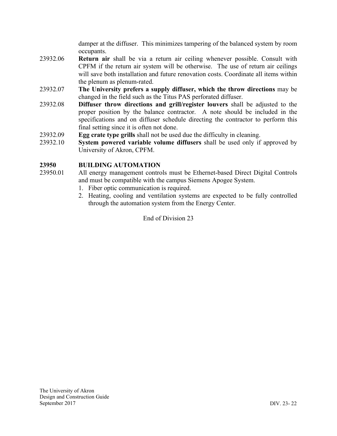damper at the diffuser. This minimizes tampering of the balanced system by room occupants.

- 23932.06 **Return air** shall be via a return air ceiling whenever possible. Consult with CPFM if the return air system will be otherwise. The use of return air ceilings will save both installation and future renovation costs. Coordinate all items within the plenum as plenum-rated.
- 23932.07 **The University prefers a supply diffuser, which the throw directions** may be changed in the field such as the Titus PAS perforated diffuser.
- 23932.08 **Diffuser throw directions and grill/register louvers** shall be adjusted to the proper position by the balance contractor. A note should be included in the specifications and on diffuser schedule directing the contractor to perform this final setting since it is often not done.
- 23932.09 **Egg crate type grills** shall not be used due the difficulty in cleaning.
- 23932.10 **System powered variable volume diffusers** shall be used only if approved by University of Akron, CPFM.

#### **23950 BUILDING AUTOMATION**

- 23950.01 All energy management controls must be Ethernet-based Direct Digital Controls and must be compatible with the campus Siemens Apogee System.
	- 1. Fiber optic communication is required.
	- 2. Heating, cooling and ventilation systems are expected to be fully controlled through the automation system from the Energy Center.

End of Division 23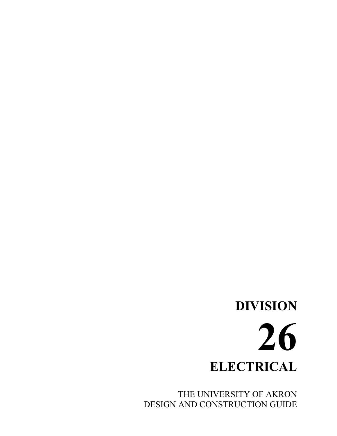# **DIVISION 26 ELECTRICAL**

THE UNIVERSITY OF AKRON DESIGN AND CONSTRUCTION GUIDE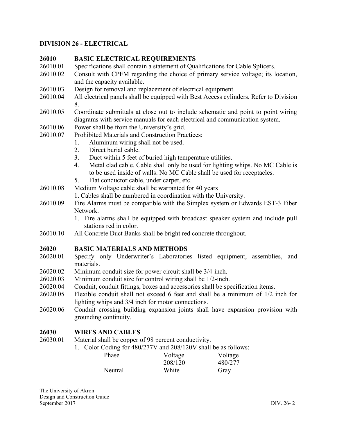#### **DIVISION 26 - ELECTRICAL**

#### **26010 BASIC ELECTRICAL REQUIREMENTS**

- 26010.01 Specifications shall contain a statement of Qualifications for Cable Splicers.
- 26010.02 Consult with CPFM regarding the choice of primary service voltage; its location, and the capacity available.
- 26010.03 Design for removal and replacement of electrical equipment.
- 26010.04 All electrical panels shall be equipped with Best Access cylinders. Refer to Division 8.
- 26010.05 Coordinate submittals at close out to include schematic and point to point wiring diagrams with service manuals for each electrical and communication system.
- 26010.06 Power shall be from the University's grid.
- 26010.07 Prohibited Materials and Construction Practices:
	- 1. Aluminum wiring shall not be used.
		- 2. Direct burial cable.
		- 3. Duct within 5 feet of buried high temperature utilities.
		- 4. Metal clad cable. Cable shall only be used for lighting whips. No MC Cable is to be used inside of walls. No MC Cable shall be used for receptacles.
	- 5. Flat conductor cable, under carpet, etc.
- 26010.08 Medium Voltage cable shall be warranted for 40 years
	- 1. Cables shall be numbered in coordination with the University.
- 26010.09 Fire Alarms must be compatible with the Simplex system or Edwards EST-3 Fiber Network.
	- 1. Fire alarms shall be equipped with broadcast speaker system and include pull stations red in color.
- 26010.10 All Concrete Duct Banks shall be bright red concrete throughout.

#### **26020 BASIC MATERIALS AND METHODS**

- 26020.01 Specify only Underwriter's Laboratories listed equipment, assemblies, and materials.
- 26020.02 Minimum conduit size for power circuit shall be 3/4-inch.
- 26020.03 Minimum conduit size for control wiring shall be 1/2-inch.
- 26020.04 Conduit, conduit fittings, boxes and accessories shall be specification items.
- 26020.05 Flexible conduit shall not exceed 6 feet and shall be a minimum of 1/2 inch for lighting whips and 3/4 inch for motor connections.
- 26020.06 Conduit crossing building expansion joints shall have expansion provision with grounding continuity.

#### **26030 WIRES AND CABLES**

- 26030.01 Material shall be copper of 98 percent conductivity.
	- 1. Color Coding for 480/277V and 208/120V shall be as follows:

| Phase   | Voltage | Voltage |
|---------|---------|---------|
|         | 208/120 | 480/277 |
| Neutral | White   | Gray    |

The University of Akron Design and Construction Guide September 2017 DIV. 26- 2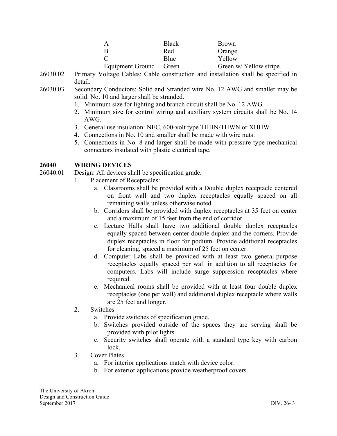| A                      | <b>Black</b> | <b>Brown</b>           |
|------------------------|--------------|------------------------|
| B                      | Red          | Orange                 |
| $\Gamma$               | Blue         | Yellow                 |
| Equipment Ground Green |              | Green w/ Yellow stripe |

- 26030.02 Primary Voltage Cables: Cable construction and installation shall be specified in detail.
- 26030.03 Secondary Conductors: Solid and Stranded wire No. 12 AWG and smaller may be solid. No. 10 and larger shall be stranded.
	- 1. Minimum size for lighting and branch circuit shall be No. 12 AWG.
	- 2. Minimum size for control wiring and auxiliary system circuits shall be No. 14 AWG.
	- 3. General use insulation: NEC, 600-volt type THHN/THWN or XHHW.
	- 4. Connections in No. 10 and smaller shall be made with wire nuts.
	- 5. Connections in No. 8 and larger shall be made with pressure type mechanical connectors insulated with plastic electrical tape.

#### **26040 WIRING DEVICES**

26040.01 Design: All devices shall be specification grade.

- 1. Placement of Receptacles:
	- a. Classrooms shall be provided with a Double duplex receptacle centered on front wall and two duplex receptacles equally spaced on all remaining walls unless otherwise noted.
	- b. Corridors shall be provided with duplex receptacles at 35 feet on center and a maximum of 15 feet from the end of corridor.
	- c. Lecture Halls shall have two additional double duplex receptacles equally spaced between center double duplex and the corners. Provide duplex receptacles in floor for podium. Provide additional receptacles for cleaning, spaced a maximum of 25 feet on center.
	- d. Computer Labs shall be provided with at least two general-purpose receptacles equally spaced per wall in addition to all receptacles for computers. Labs will include surge suppression receptacles where required.
	- e. Mechanical rooms shall be provided with at least four double duplex receptacles (one per wall) and additional duplex receptacle where walls are 25 feet and longer.
- 2. Switches
	- a. Provide switches of specification grade.
	- b. Switches provided outside of the spaces they are serving shall be provided with pilot lights.
	- c. Security switches shall operate with a standard type key with carbon lock.
- 3. Cover Plates
	- a. For interior applications match with device color.
	- b. For exterior applications provide weatherproof covers.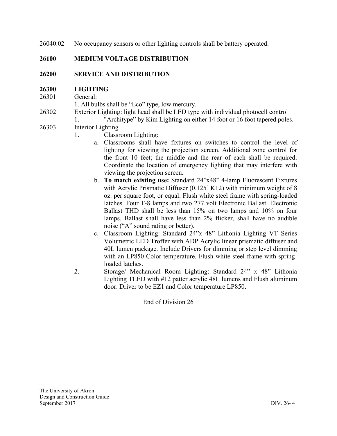26040.02 No occupancy sensors or other lighting controls shall be battery operated.

# **26100 MEDIUM VOLTAGE DISTRIBUTION**

### **26200 SERVICE AND DISTRIBUTION**

#### **26300 LIGHTING**

26301 General:

1. All bulbs shall be "Eco" type, low mercury.

26302 Exterior Lighting: light head shall be LED type with individual photocell control

1. "Architype" by Kim Lighting on either 14 foot or 16 foot tapered poles.

- 26303 Interior Lighting
	- 1. Classroom Lighting:
		- a. Classrooms shall have fixtures on switches to control the level of lighting for viewing the projection screen. Additional zone control for the front 10 feet; the middle and the rear of each shall be required. Coordinate the location of emergency lighting that may interfere with viewing the projection screen.
		- b. **To match existing use:** Standard 24"x48" 4-lamp Fluorescent Fixtures with Acrylic Prismatic Diffuser (0.125' K12) with minimum weight of 8 oz. per square foot, or equal. Flush white steel frame with spring-loaded latches. Four T-8 lamps and two 277 volt Electronic Ballast. Electronic Ballast THD shall be less than 15% on two lamps and 10% on four lamps. Ballast shall have less than 2% flicker, shall have no audible noise ("A" sound rating or better).
		- c. Classroom Lighting: Standard 24"x 48" Lithonia Lighting VT Series Volumetric LED Troffer with ADP Acrylic linear prismatic diffuser and 40L lumen package. Include Drivers for dimming or step level dimming with an LP850 Color temperature. Flush white steel frame with springloaded latches.
	- 2. Storage/ Mechanical Room Lighting: Standard 24" x 48" Lithonia Lighting TLED with #12 patter acrylic 48L lumens and Flush aluminum door. Driver to be EZ1 and Color temperature LP850.

End of Division 26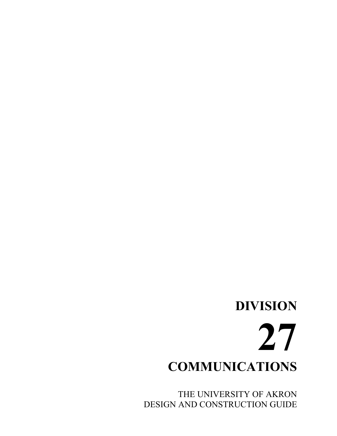# **DIVISION 27 COMMUNICATIONS**

THE UNIVERSITY OF AKRON DESIGN AND CONSTRUCTION GUIDE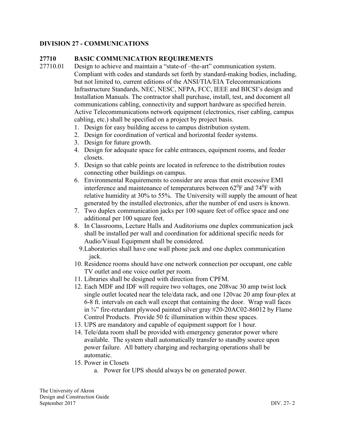# **DIVISION 27 - COMMUNICATIONS**

### **27710 BASIC COMMUNICATION REQUIREMENTS**

27710.01 Design to achieve and maintain a "state-of –the-art" communication system. Compliant with codes and standards set forth by standard-making bodies, including, but not limited to, current editions of the ANSI/TIA/EIA Telecommunications Infrastructure Standards, NEC, NESC, NFPA, FCC, IEEE and BICSI's design and Installation Manuals. The contractor shall purchase, install, test, and document all communications cabling, connectivity and support hardware as specified herein. Active Telecommunications network equipment (electronics, riser cabling, campus cabling, etc.) shall be specified on a project by project basis.

- 1. Design for easy building access to campus distribution system.
- 2. Design for coordination of vertical and horizontal feeder systems.
- 3. Design for future growth.
- 4. Design for adequate space for cable entrances, equipment rooms, and feeder closets.
- 5. Design so that cable points are located in reference to the distribution routes connecting other buildings on campus.
- 6. Environmental Requirements to consider are areas that emit excessive EMI interference and maintenance of temperatures between  $62^0$ F and  $74^0$ F with relative humidity at 30% to 55%. The University will supply the amount of heat generated by the installed electronics, after the number of end users is known.
- 7. Two duplex communication jacks per 100 square feet of office space and one additional per 100 square feet.
- 8. In Classrooms, Lecture Halls and Auditoriums one duplex communication jack shall be installed per wall and coordination for additional specific needs for Audio/Visual Equipment shall be considered.
	- 9.Laboratories shall have one wall phone jack and one duplex communication jack.
- 10. Residence rooms should have one network connection per occupant, one cable TV outlet and one voice outlet per room.
- 11. Libraries shall be designed with direction from CPFM.
- 12. Each MDF and IDF will require two voltages, one 208vac 30 amp twist lock single outlet located near the tele/data rack, and one 120vac 20 amp four-plex at 6-8 ft. intervals on each wall except that containing the door. Wrap wall faces in  $\frac{3}{4}$ " fire-retardant plywood painted silver gray #20-20AC02-86012 by Flame Control Products. Provide 50 fc illumination within these spaces.
- 13. UPS are mandatory and capable of equipment support for 1 hour.
- 14. Tele/data room shall be provided with emergency generator power where available. The system shall automatically transfer to standby source upon power failure. All battery charging and recharging operations shall be automatic.
- 15. Power in Closets
	- a. Power for UPS should always be on generated power.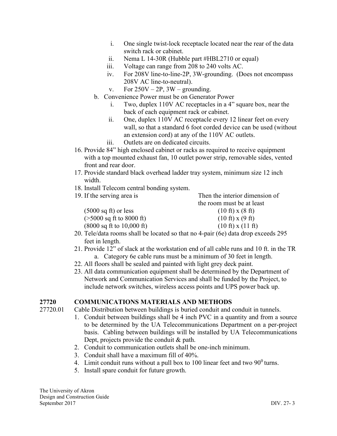- i. One single twist-lock receptacle located near the rear of the data switch rack or cabinet.
- ii. Nema L 14-30R (Hubble part #HBL2710 or equal)
- iii. Voltage can range from 208 to 240 volts AC.
- iv. For 208V line-to-line-2P, 3W-grounding. (Does not encompass 208V AC line-to-neutral).
- v. For  $250V 2P$ ,  $3W$  grounding.
- b. Convenience Power must be on Generator Power
	- i. Two, duplex 110V AC receptacles in a 4" square box, near the back of each equipment rack or cabinet.
	- ii. One, duplex 110V AC receptacle every 12 linear feet on every wall, so that a standard 6 foot corded device can be used (without an extension cord) at any of the 110V AC outlets.
	- iii. Outlets are on dedicated circuits.
- 16. Provide 84" high enclosed cabinet or racks as required to receive equipment with a top mounted exhaust fan, 10 outlet power strip, removable sides, vented front and rear door.
- 17. Provide standard black overhead ladder tray system, minimum size 12 inch width.
- 18. Install Telecom central bonding system.

| 19. If the serving area is                   | Then the interior dimension of           |
|----------------------------------------------|------------------------------------------|
|                                              | the room must be at least                |
| $(5000 \text{ sq ft})$ or less               | $(10 \text{ ft}) \times (8 \text{ ft})$  |
| $($ >5000 sq ft to 8000 ft)                  | $(10 \text{ ft}) \times (9 \text{ ft})$  |
| $(8000 \text{ sq ft to } 10,000 \text{ ft})$ | $(10 \text{ ft}) \times (11 \text{ ft})$ |

- 20. Tele/data rooms shall be located so that no 4-pair (6e) data drop exceeds 295 feet in length.
- 21. Provide 12" of slack at the workstation end of all cable runs and 10 ft. in the TR a. Category 6e cable runs must be a minimum of 30 feet in length.
- 22. All floors shall be sealed and painted with light grey deck paint.
- 23. All data communication equipment shall be determined by the Department of Network and Communication Services and shall be funded by the Project, to include network switches, wireless access points and UPS power back up.

# **27720 COMMUNICATIONS MATERIALS AND METHODS**

- 27720.01 Cable Distribution between buildings is buried conduit and conduit in tunnels.
	- 1. Conduit between buildings shall be 4 inch PVC in a quantity and from a source to be determined by the UA Telecommunications Department on a per-project basis. Cabling between buildings will be installed by UA Telecommunications Dept, projects provide the conduit & path.
	- 2. Conduit to communication outlets shall be one-inch minimum.
	- 3. Conduit shall have a maximum fill of 40%.
	- 4. Limit conduit runs without a pull box to 100 linear feet and two  $90^{\circ}$  turns.
	- 5. Install spare conduit for future growth.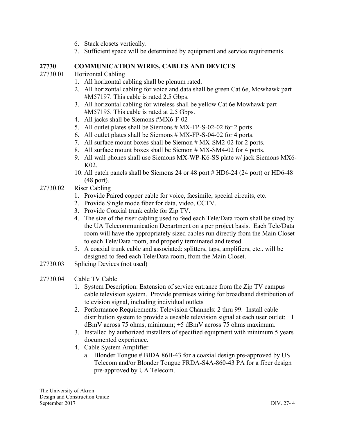- 6. Stack closets vertically.
- 7. Sufficient space will be determined by equipment and service requirements.

#### **27730 COMMUNICATION WIRES, CABLES AND DEVICES**

- 27730.01 Horizontal Cabling
	- 1. All horizontal cabling shall be plenum rated.
	- 2. All horizontal cabling for voice and data shall be green Cat 6e, Mowhawk part #M57197. This cable is rated 2.5 Gbps.
	- 3. All horizontal cabling for wireless shall be yellow Cat 6e Mowhawk part #M57195. This cable is rated at 2.5 Gbps.
	- 4. All jacks shall be Siemons #MX6-F-02
	- 5. All outlet plates shall be Siemons # MX-FP-S-02-02 for 2 ports.
	- 6. All outlet plates shall be Siemons # MX-FP-S-04-02 for 4 ports.
	- 7. All surface mount boxes shall be Siemon # MX-SM2-02 for 2 ports.
	- 8. All surface mount boxes shall be Siemon # MX-SM4-02 for 4 ports.
	- 9. All wall phones shall use Siemons MX-WP-K6-SS plate w/ jack Siemons MX6- K02.
	- 10. All patch panels shall be Siemons 24 or 48 port # HD6-24 (24 port) or HD6-48 (48 port).
- 27730.02 Riser Cabling
	- 1. Provide Paired copper cable for voice, facsimile, special circuits, etc.
	- 2. Provide Single mode fiber for data, video, CCTV.
	- 3. Provide Coaxial trunk cable for Zip TV.
	- 4. The size of the riser cabling used to feed each Tele/Data room shall be sized by the UA Telecommunication Department on a per project basis. Each Tele/Data room will have the appropriately sized cables run directly from the Main Closet to each Tele/Data room, and properly terminated and tested.
	- 5. A coaxial trunk cable and associated: splitters, taps, amplifiers, etc.. will be designed to feed each Tele/Data room, from the Main Closet.
- 27730.03 Splicing Devices (not used)
- 27730.04 Cable TV Cable
	- 1. System Description: Extension of service entrance from the Zip TV campus cable television system. Provide premises wiring for broadband distribution of television signal, including individual outlets
	- 2. Performance Requirements: Television Channels: 2 thru 99. Install cable distribution system to provide a useable television signal at each user outlet: +1 dBmV across 75 ohms, minimum; +5 dBmV across 75 ohms maximum.
	- 3. Installed by authorized installers of specified equipment with minimum 5 years documented experience.
	- 4. Cable System Amplifier
		- a. Blonder Tongue # BIDA 86B-43 for a coaxial design pre-approved by US Telecom and/or Blonder Tongue FRDA-S4A-860-43 PA for a fiber design pre-approved by UA Telecom.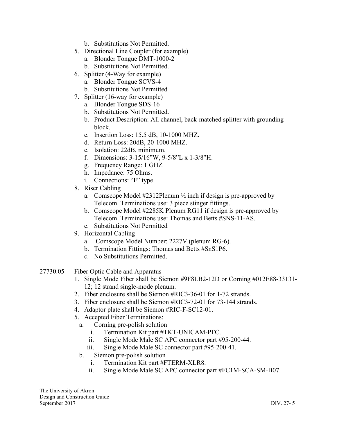- b. Substitutions Not Permitted.
- 5. Directional Line Coupler (for example)
	- a. Blonder Tongue DMT-1000-2
	- b. Substitutions Not Permitted.
- 6. Splitter (4-Way for example)
	- a. Blonder Tongue SCVS-4
	- b. Substitutions Not Permitted
- 7. Splitter (16-way for example)
	- a. Blonder Tongue SDS-16
	- b. Substitutions Not Permitted.
	- b. Product Description: All channel, back-matched splitter with grounding block.
	- c. Insertion Loss: 15.5 dB, 10-1000 MHZ.
	- d. Return Loss: 20dB, 20-1000 MHZ.
	- e. Isolation: 22dB, minimum.
	- f. Dimensions: 3-15/16"W, 9-5/8"L x 1-3/8"H.
	- g. Frequency Range: 1 GHZ
	- h. Impedance: 75 Ohms.
	- i. Connections: "F" type.
- 8. Riser Cabling
	- a. Comscope Model  $#2312$ Plenum  $\frac{1}{2}$  inch if design is pre-approved by Telecom. Terminations use: 3 piece stinger fittings.
	- b. Comscope Model #2285K Plenum RG11 if design is pre-approved by Telecom. Terminations use: Thomas and Betts #SNS-11-AS.
	- c. Substitutions Not Permitted
- 9. Horizontal Cabling
	- a. Comscope Model Number: 2227V (plenum RG-6).
	- b. Termination Fittings: Thomas and Betts #SnS1P6.
	- c. No Substitutions Permitted.
- 27730.05 Fiber Optic Cable and Apparatus
	- 1. Single Mode Fiber shall be Siemon #9F8LB2-12D or Corning #012E88-33131- 12; 12 strand single-mode plenum.
	- 2. Fiber enclosure shall be Siemon #RIC3-36-01 for 1-72 strands.
	- 3. Fiber enclosure shall be Siemon #RIC3-72-01 for 73-144 strands.
	- 4. Adaptor plate shall be Siemon #RIC-F-SC12-01.
	- 5. Accepted Fiber Terminations:
		- a. Corning pre-polish solution
			- i. Termination Kit part #TKT-UNICAM-PFC.
			- ii. Single Mode Male SC APC connector part #95-200-44.
			- iii. Single Mode Male SC connector part #95-200-41.
		- b. Siemon pre-polish solution
			- i. Termination Kit part #FTERM-XLR8.
			- ii. Single Mode Male SC APC connector part #FC1M-SCA-SM-B07.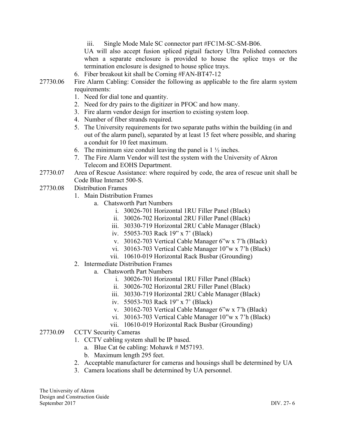iii. Single Mode Male SC connector part #FC1M-SC-SM-B06. UA will also accept fusion spliced pigtail factory Ultra Polished connectors when a separate enclosure is provided to house the splice trays or the termination enclosure is designed to house splice trays. 6. Fiber breakout kit shall be Corning #FAN-BT47-12

- 27730.06 Fire Alarm Cabling: Consider the following as applicable to the fire alarm system requirements:
	- 1. Need for dial tone and quantity.
	- 2. Need for dry pairs to the digitizer in PFOC and how many.
	- 3. Fire alarm vendor design for insertion to existing system loop.
	- 4. Number of fiber strands required.
	- 5. The University requirements for two separate paths within the building (in and out of the alarm panel), separated by at least 15 feet where possible, and sharing a conduit for 10 feet maximum.
	- 6. The minimum size conduit leaving the panel is  $1\frac{1}{2}$  inches.
	- 7. The Fire Alarm Vendor will test the system with the University of Akron Telecom and EOHS Department.
- 27730.07 Area of Rescue Assistance: where required by code, the area of rescue unit shall be Code Blue Interact 500-S.
- 27730.08 Distribution Frames
	- 1. Main Distribution Frames
		- a. Chatsworth Part Numbers
			- i. 30026-701 Horizontal 1RU Filler Panel (Black)
			- ii. 30026-702 Horizontal 2RU Filler Panel (Black)
			- iii. 30330-719 Horizontal 2RU Cable Manager (Black)
			- iv. 55053-703 Rack 19" x 7' (Black)
			- v. 30162-703 Vertical Cable Manager 6"w x 7'h (Black)
			- vi. 30163-703 Vertical Cable Manager 10"w x 7'h (Black)
			- vii. 10610-019 Horizontal Rack Busbar (Grounding)
	- 2. Intermediate Distribution Frames
		- a. Chatsworth Part Numbers
			- i. 30026-701 Horizontal 1RU Filler Panel (Black)
			- ii. 30026-702 Horizontal 2RU Filler Panel (Black)
			- iii. 30330-719 Horizontal 2RU Cable Manager (Black)
			- iv. 55053-703 Rack 19" x 7' (Black)
			- v. 30162-703 Vertical Cable Manager 6"w x 7'h (Black)
			- vi. 30163-703 Vertical Cable Manager 10"w x 7'h (Black)
			- vii. 10610-019 Horizontal Rack Busbar (Grounding)
- 27730.09 CCTV Security Cameras
	- 1. CCTV cabling system shall be IP based.
		- a. Blue Cat 6e cabling: Mohawk  $# M57193$ .
		- b. Maximum length 295 feet.
	- 2. Acceptable manufacturer for cameras and housings shall be determined by UA
	- 3. Camera locations shall be determined by UA personnel.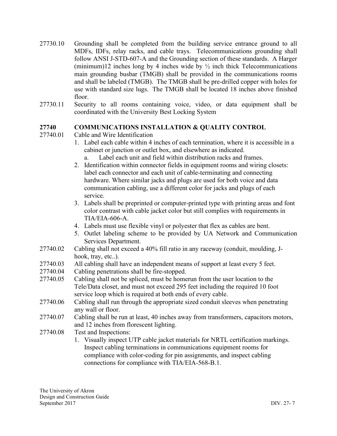- 27730.10 Grounding shall be completed from the building service entrance ground to all MDFs, IDFs, relay racks, and cable trays. Telecommunications grounding shall follow ANSI J-STD-607-A and the Grounding section of these standards. A Harger (minimum)12 inches long by 4 inches wide by  $\frac{1}{2}$  inch thick Telecommunications main grounding busbar (TMGB) shall be provided in the communications rooms and shall be labeled (TMGB). The TMGB shall be pre-drilled copper with holes for use with standard size lugs. The TMGB shall be located 18 inches above finished floor.
- 27730.11 Security to all rooms containing voice, video, or data equipment shall be coordinated with the University Best Locking System

#### **27740 COMMUNICATIONS INSTALLATION & QUALITY CONTROL**

- 27740.01 Cable and Wire Identification
	- 1. Label each cable within 4 inches of each termination, where it is accessible in a cabinet or junction or outlet box, and elsewhere as indicated.
		- a. Label each unit and field within distribution racks and frames.
	- 2. Identification within connector fields in equipment rooms and wiring closets: label each connector and each unit of cable-terminating and connecting hardware. Where similar jacks and plugs are used for both voice and data communication cabling, use a different color for jacks and plugs of each service.
	- 3. Labels shall be preprinted or computer-printed type with printing areas and font color contrast with cable jacket color but still complies with requirements in TIA/EIA-606-A.
	- 4. Labels must use flexible vinyl or polyester that flex as cables are bent.
	- 5. Outlet labeling scheme to be provided by UA Network and Communication Services Department.
- 27740.02 Cabling shall not exceed a 40% fill ratio in any raceway (conduit, moulding, Jhook, tray, etc..).
- 27740.03 All cabling shall have an independent means of support at least every 5 feet.
- 27740.04 Cabling penetrations shall be fire-stopped.
- 27740.05 Cabling shall not be spliced, must be homerun from the user location to the Tele/Data closet, and must not exceed 295 feet including the required 10 foot service loop which is required at both ends of every cable.
- 27740.06 Cabling shall run through the appropriate sized conduit sleeves when penetrating any wall or floor.
- 27740.07 Cabling shall be run at least, 40 inches away from transformers, capacitors motors, and 12 inches from florescent lighting.
- 27740.08 Test and Inspections:
	- 1. Visually inspect UTP cable jacket materials for NRTL certification markings. Inspect cabling terminations in communications equipment rooms for compliance with color-coding for pin assignments, and inspect cabling connections for compliance with TIA/EIA-568-B.1.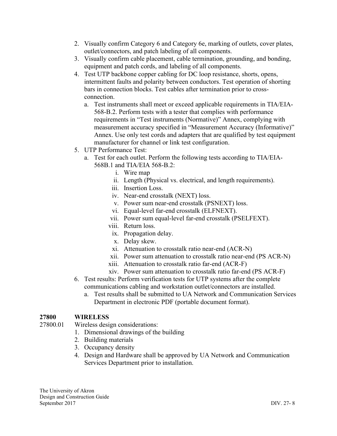- 2. Visually confirm Category 6 and Category 6e, marking of outlets, cover plates, outlet/connectors, and patch labeling of all components.
- 3. Visually confirm cable placement, cable termination, grounding, and bonding, equipment and patch cords, and labeling of all components.
- 4. Test UTP backbone copper cabling for DC loop resistance, shorts, opens, intermittent faults and polarity between conductors. Test operation of shorting bars in connection blocks. Test cables after termination prior to crossconnection.
	- a. Test instruments shall meet or exceed applicable requirements in TIA/EIA-568-B.2. Perform tests with a tester that complies with performance requirements in "Test instruments (Normative)" Annex, complying with measurement accuracy specified in "Measurement Accuracy (Informative)" Annex. Use only test cords and adapters that are qualified by test equipment manufacturer for channel or link test configuration.
- 5. UTP Performance Test:
	- a. Test for each outlet. Perform the following tests according to TIA/EIA-568B.1 and TIA/EIA 568-B.2:
		- i. Wire map
		- ii. Length (Physical vs. electrical, and length requirements).
		- iii. Insertion Loss.
		- iv. Near-end crosstalk (NEXT) loss.
		- v. Power sum near-end crosstalk (PSNEXT) loss.
		- vi. Equal-level far-end crosstalk (ELFNEXT).
		- vii. Power sum equal-level far-end crosstalk (PSELFEXT).
		- viii. Return loss.
		- ix. Propagation delay.
		- x. Delay skew.
		- xi. Attenuation to crosstalk ratio near-end (ACR-N)
		- xii. Power sum attenuation to crosstalk ratio near-end (PS ACR-N)
		- xiii. Attenuation to crosstalk ratio far-end (ACR-F)
		- xiv. Power sum attenuation to crosstalk ratio far-end (PS ACR-F)
- 6. Test results: Perform verification tests for UTP systems after the complete communications cabling and workstation outlet/connectors are installed.
	- a. Test results shall be submitted to UA Network and Communication Services Department in electronic PDF (portable document format).

# **27800 WIRELESS**

- 
- 27800.01 Wireless design considerations:
	- 1. Dimensional drawings of the building
	- 2. Building materials
	- 3. Occupancy density
	- 4. Design and Hardware shall be approved by UA Network and Communication Services Department prior to installation.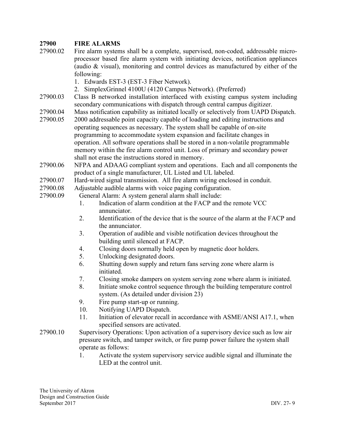### **27900 FIRE ALARMS**

- 27900.02 Fire alarm systems shall be a complete, supervised, non-coded, addressable microprocessor based fire alarm system with initiating devices, notification appliances (audio & visual), monitoring and control devices as manufactured by either of the following:
	- 1. Edwards EST-3 (EST-3 Fiber Network).
	- 2. SimplexGrinnel 4100U (4120 Campus Network). (Preferred)
- 27900.03 Class B networked installation interfaced with existing campus system including secondary communications with dispatch through central campus digitizer.
- 27900.04 Mass notification capability as initiated locally or selectively from UAPD Dispatch.
- 27900.05 2000 addressable point capacity capable of loading and editing instructions and operating sequences as necessary. The system shall be capable of on-site programming to accommodate system expansion and facilitate changes in operation. All software operations shall be stored in a non-volatile programmable memory within the fire alarm control unit. Loss of primary and secondary power shall not erase the instructions stored in memory.
- 27900.06 NFPA and ADAAG compliant system and operations. Each and all components the product of a single manufacturer, UL Listed and UL labeled.
- 27900.07 Hard-wired signal transmission. All fire alarm wiring enclosed in conduit.
- 27900.08 Adjustable audible alarms with voice paging configuration.
- 27900.09 General Alarm: A system general alarm shall include:
	- 1. Indication of alarm condition at the FACP and the remote VCC annunciator.
	- 2. Identification of the device that is the source of the alarm at the FACP and the annunciator.
	- 3. Operation of audible and visible notification devices throughout the building until silenced at FACP.
	- 4. Closing doors normally held open by magnetic door holders.
	- 5. Unlocking designated doors.
	- 6. Shutting down supply and return fans serving zone where alarm is initiated.
	- 7. Closing smoke dampers on system serving zone where alarm is initiated.
	- 8. Initiate smoke control sequence through the building temperature control system. (As detailed under division 23)
	- 9. Fire pump start-up or running.
	- 10. Notifying UAPD Dispatch.
	- 11. Initiation of elevator recall in accordance with ASME/ANSI A17.1, when specified sensors are activated.
- 27900.10 Supervisory Operations: Upon activation of a supervisory device such as low air pressure switch, and tamper switch, or fire pump power failure the system shall operate as follows:
	- 1. Activate the system supervisory service audible signal and illuminate the LED at the control unit.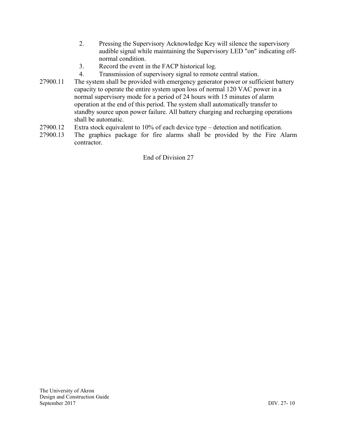- 2. Pressing the Supervisory Acknowledge Key will silence the supervisory audible signal while maintaining the Supervisory LED "on" indicating offnormal condition.
- 3. Record the event in the FACP historical log.
- 4. Transmission of supervisory signal to remote central station.
- 27900.11 The system shall be provided with emergency generator power or sufficient battery capacity to operate the entire system upon loss of normal 120 VAC power in a normal supervisory mode for a period of 24 hours with 15 minutes of alarm operation at the end of this period. The system shall automatically transfer to standby source upon power failure. All battery charging and recharging operations shall be automatic.
- 27900.12 Extra stock equivalent to 10% of each device type detection and notification.
- 27900.13 The graphics package for fire alarms shall be provided by the Fire Alarm contractor.

End of Division 27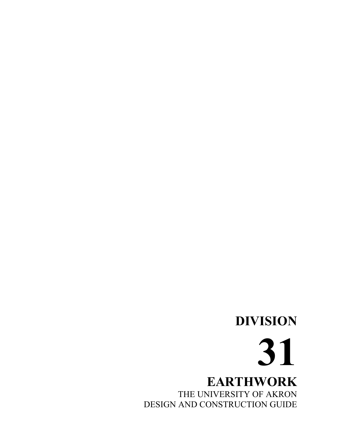# **DIVISION 31 EARTHWORK** THE UNIVERSITY OF AKRON DESIGN AND CONSTRUCTION GUIDE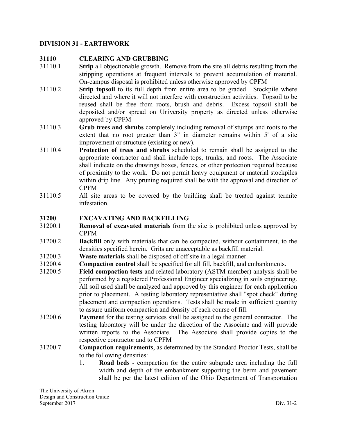# **DIVISION 31 - EARTHWORK**

#### **31110 CLEARING AND GRUBBING**

- 31110.1 **Strip** all objectionable growth. Remove from the site all debris resulting from the stripping operations at frequent intervals to prevent accumulation of material. On-campus disposal is prohibited unless otherwise approved by CPFM
- 31110.2 **Strip topsoil** to its full depth from entire area to be graded. Stockpile where directed and where it will not interfere with construction activities. Topsoil to be reused shall be free from roots, brush and debris. Excess topsoil shall be deposited and/or spread on University property as directed unless otherwise approved by CPFM
- 31110.3 **Grub trees and shrubs** completely including removal of stumps and roots to the extent that no root greater than 3" in diameter remains within 5' of a site improvement or structure (existing or new).
- 31110.4 **Protection of trees and shrubs** scheduled to remain shall be assigned to the appropriate contractor and shall include tops, trunks, and roots. The Associate shall indicate on the drawings boxes, fences, or other protection required because of proximity to the work. Do not permit heavy equipment or material stockpiles within drip line. Any pruning required shall be with the approval and direction of CPFM
- 31110.5 All site areas to be covered by the building shall be treated against termite infestation.

#### **31200 EXCAVATING AND BACKFILLING**

- 31200.1 **Removal of excavated materials** from the site is prohibited unless approved by CPFM
- 31200.2 **Backfill** only with materials that can be compacted, without containment, to the densities specified herein. Grits are unacceptable as backfill material.
- 31200.3 **Waste materials** shall be disposed of off site in a legal manner.
- 31200.4 **Compaction control** shall be specified for all fill, backfill, and embankments.
- 31200.5 **Field compaction tests** and related laboratory (ASTM member) analysis shall be performed by a registered Professional Engineer specializing in soils engineering. All soil used shall be analyzed and approved by this engineer for each application prior to placement. A testing laboratory representative shall "spot check" during placement and compaction operations. Tests shall be made in sufficient quantity to assure uniform compaction and density of each course of fill.
- 31200.6 **Payment** for the testing services shall be assigned to the general contractor. The testing laboratory will be under the direction of the Associate and will provide written reports to the Associate. The Associate shall provide copies to the respective contractor and to CPFM
- 31200.7 **Compaction requirements**, as determined by the Standard Proctor Tests, shall be to the following densities:
	- 1. **Road beds** compaction for the entire subgrade area including the full width and depth of the embankment supporting the berm and pavement shall be per the latest edition of the Ohio Department of Transportation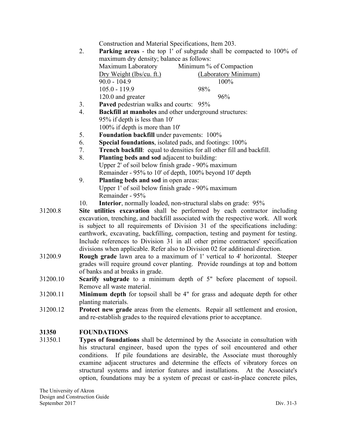Construction and Material Specifications, Item 203.

2. **Parking areas** - the top 1' of subgrade shall be compacted to 100% of maximum dry density; balance as follows:

| Maximum Laboratory       | Minimum % of Compaction |
|--------------------------|-------------------------|
| Dry Weight (lbs/cu. ft.) | (Laboratory Minimum)    |
| $90.0 - 104.9$           | $100\%$                 |
| $105.0 - 119.9$          | 98%                     |
| 120.0 and greater        | 96%                     |

- 3. **Paved** pedestrian walks and courts: 95%
- 4. **Backfill at manholes** and other underground structures: 95% if depth is less than 10' 100% if depth is more than 10'
- 5. **Foundation backfill** under pavements: 100%
- 6. **Special foundations**, isolated pads, and footings: 100%
- 7. **Trench backfill**: equal to densities for all other fill and backfill.
- 8. **Planting beds and sod** adjacent to building: Upper 2' of soil below finish grade - 90% maximum Remainder - 95% to 10' of depth, 100% beyond 10' depth
- 9. **Planting beds and sod** in open areas: Upper 1' of soil below finish grade - 90% maximum Remainder - 95%
- 10. **Interior**, normally loaded, non-structural slabs on grade: 95%
- 31200.8 **Site utilities excavation** shall be performed by each contractor including excavation, trenching, and backfill associated with the respective work. All work is subject to all requirements of Division 31 of the specifications including: earthwork, excavating, backfilling, compaction, testing and payment for testing. Include references to Division 31 in all other prime contractors' specification divisions when applicable. Refer also to Division 02 for additional direction.
- 31200.9 **Rough grade** lawn area to a maximum of 1' vertical to 4' horizontal. Steeper grades will require ground cover planting. Provide roundings at top and bottom of banks and at breaks in grade.
- 31200.10 **Scarify subgrade** to a minimum depth of 5" before placement of topsoil. Remove all waste material.
- 31200.11 **Minimum depth** for topsoil shall be 4" for grass and adequate depth for other planting materials.
- 31200.12 **Protect new grade** areas from the elements. Repair all settlement and erosion, and re-establish grades to the required elevations prior to acceptance.

#### **31350 FOUNDATIONS**

31350.1 **Types of foundations** shall be determined by the Associate in consultation with his structural engineer, based upon the types of soil encountered and other conditions. If pile foundations are desirable, the Associate must thoroughly examine adjacent structures and determine the effects of vibratory forces on structural systems and interior features and installations. At the Associate's option, foundations may be a system of precast or cast-in-place concrete piles,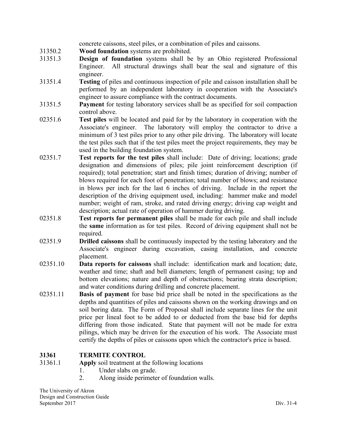concrete caissons, steel piles, or a combination of piles and caissons.

- 31350.2 **Wood foundation** systems are prohibited.
- 31351.3 **Design of foundation** systems shall be by an Ohio registered Professional Engineer. All structural drawings shall bear the seal and signature of this engineer.
- 31351.4 **Testing** of piles and continuous inspection of pile and caisson installation shall be performed by an independent laboratory in cooperation with the Associate's engineer to assure compliance with the contract documents.
- 31351.5 **Payment** for testing laboratory services shall be as specified for soil compaction control above.
- 02351.6 **Test piles** will be located and paid for by the laboratory in cooperation with the Associate's engineer. The laboratory will employ the contractor to drive a minimum of 3 test piles prior to any other pile driving. The laboratory will locate the test piles such that if the test piles meet the project requirements, they may be used in the building foundation system.
- 02351.7 **Test reports for the test piles** shall include: Date of driving; locations; grade designation and dimensions of piles; pile joint reinforcement description (if required); total penetration; start and finish times; duration of driving; number of blows required for each foot of penetration; total number of blows; and resistance in blows per inch for the last 6 inches of driving. Include in the report the description of the driving equipment used, including: hammer make and model number; weight of ram, stroke, and rated driving energy; driving cap weight and description; actual rate of operation of hammer during driving.
- 02351.8 **Test reports for permanent piles** shall be made for each pile and shall include the **same** information as for test piles. Record of driving equipment shall not be required.
- 02351.9 **Drilled caissons** shall be continuously inspected by the testing laboratory and the Associate's engineer during excavation, casing installation, and concrete placement.
- 02351.10 **Data reports for caissons** shall include: identification mark and location; date, weather and time; shaft and bell diameters; length of permanent casing; top and bottom elevations; nature and depth of obstructions; bearing strata description; and water conditions during drilling and concrete placement.
- 02351.11 **Basis of payment** for base bid price shall be noted in the specifications as the depths and quantities of piles and caissons shown on the working drawings and on soil boring data. The Form of Proposal shall include separate lines for the unit price per lineal foot to be added to or deducted from the base bid for depths differing from those indicated. State that payment will not be made for extra pilings, which may be driven for the execution of his work. The Associate must certify the depths of piles or caissons upon which the contractor's price is based.

# **31361 TERMITE CONTROL**

31361.1 **Apply** soil treatment at the following locations

- 1. Under slabs on grade.
- 2. Along inside perimeter of foundation walls.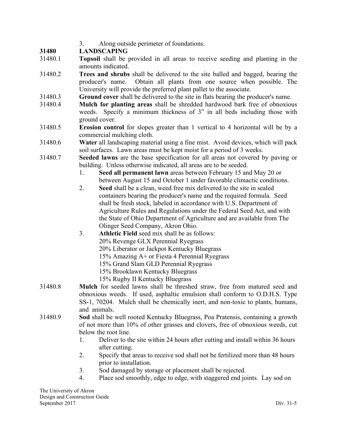# 3. Along outside perimeter of foundations.

# **31480 LANDSCAPING**

- 31480.1 **Topsoil** shall be provided in all areas to receive seeding and planting in the amounts indicated.
- 31480.2 **Trees and shrubs** shall be delivered to the site balled and bagged, bearing the producer's name. Obtain all plants from one source when possible. The University will provide the preferred plant pallet to the associate.
- 31480.3 **Ground cover** shall be delivered to the site in flats bearing the producer's name.
- 31480.4 **Mulch for planting areas** shall be shredded hardwood bark free of obnoxious weeds. Specify a minimum thickness of 3" in all beds including those with ground cover.
- 31480.5 **Erosion control** for slopes greater than 1 vertical to 4 horizontal will be by a commercial mulching cloth.
- 31480.6 **Water** all landscaping material using a fine mist. Avoid devices, which will pack soil surfaces. Lawn areas must be kept moist for a period of 3 weeks.
- 31480.7 **Seeded lawns** are the base specification for all areas not covered by paving or building. Unless otherwise indicated, all areas are to be seeded.
	- 1. **Seed all permanent lawn** areas between February 15 and May 20 or between August 15 and October 1 under favorable climactic conditions.
	- 2. **Seed** shall be a clean, weed free mix delivered to the site in sealed containers bearing the producer's name and the required formula. Seed shall be fresh stock, labeled in accordance with U.S. Department of Agriculture Rules and Regulations under the Federal Seed Act, and with the State of Ohio Department of Agriculture and are available from The Olinger Seed Company, Akron Ohio.
	- 3. **Athletic Field** seed mix shall be as follows: 20% Revenge GLX Perennial Ryegrass 20% Liberator or Jackpot Kentucky Bluegrass 15% Amazing A+ or Fiesta 4 Perennial Ryegrass 15% Grand Slam GLD Perennial Ryegrass 15% Brooklawn Kentucky Bluegrass 15% Rugby II Kentucky Bluegrass
- 31480.8 **Mulch** for seeded lawns shall be threshed straw, free from matured seed and obnoxious weeds. If used, asphaltic emulsion shall conform to O.D.H.S. Type SS-1, 70204. Mulch shall be chemically inert, and non-toxic to plants, humans, and animals.
- 31480.9 **Sod** shall be well rooted Kentucky Bluegrass, Poa Pratensis, containing a growth of not more than 10% of other grasses and clovers, free of obnoxious weeds, cut below the root line.
	- 1. Deliver to the site within 24 hours after cutting and install within 36 hours after cutting.
	- 2. Specify that areas to receive sod shall not be fertilized more than 48 hours prior to installation.
	- 3. Sod damaged by storage or placement shall be rejected.
	- 4. Place sod smoothly, edge to edge, with staggered end joints. Lay sod on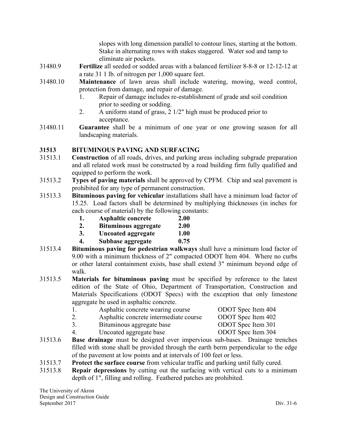slopes with long dimension parallel to contour lines, starting at the bottom. Stake in alternating rows with stakes staggered. Water sod and tamp to eliminate air pockets.

- 31480.9 **Fertilize** all seeded or sodded areas with a balanced fertilizer 8-8-8 or 12-12-12 at a rate 31 1 lb. of nitrogen per 1,000 square feet.
- 31480.10 **Maintenance** of lawn areas shall include watering, mowing, weed control, protection from damage, and repair of damage.
	- 1. Repair of damage includes re-establishment of grade and soil condition prior to seeding or sodding.
	- 2. A uniform stand of grass, 2 1/2" high must be produced prior to acceptance.
- 31480.11 **Guarantee** shall be a minimum of one year or one growing season for all landscaping materials.

# **31513 BITUMINOUS PAVING AND SURFACING**

- 31513.1 **Construction** of all roads, drives, and parking areas including subgrade preparation and all related work must be constructed by a road building firm fully qualified and equipped to perform the work.
- 31513.2 **Types of paving materials** shall be approved by CPFM. Chip and seal pavement is prohibited for any type of permanent construction.
- 31513.3 **Bituminous paving for vehicular** installations shall have a minimum load factor of 15.25. Load factors shall be determined by multiplying thicknesses (in inches for each course of material) by the following constants:
	- **1. Asphaltic concrete 2.00**
	- **2. Bituminous aggregate 2.00**
	- **3. Uncoated aggregate 1.00**
	- **4. Subbase aggregate 0.75**
- 31513.4 **Bituminous paving for pedestrian walkways** shall have a minimum load factor of 9.00 with a minimum thickness of 2" compacted ODOT Item 404. Where no curbs or other lateral containment exists, base shall extend 3" minimum beyond edge of walk.
- 31513.5 **Materials for bituminous paving** must be specified by reference to the latest edition of the State of Ohio, Department of Transportation, Construction and Materials Specifications (ODOT Specs) with the exception that only limestone aggregate be used in asphaltic concrete.
	- 1. Asphaltic concrete wearing course ODOT Spec Item 404 2. Asphaltic concrete intermediate course ODOT Spec Item 402
		- 3. Bituminous aggregate base ODOT Spec Item 301
- - 4. Uncoated aggregate base ODOT Spec Item 304
- 31513.6 **Base drainage** must be designed over impervious sub-bases. Drainage trenches filled with stone shall be provided through the earth berm perpendicular to the edge of the pavement at low points and at intervals of 100 feet or less.
- 31513.7 **Protect the surface course** from vehicular traffic and parking until fully cured.
- 31513.8 **Repair depressions** by cutting out the surfacing with vertical cuts to a minimum depth of 1", filling and rolling. Feathered patches are prohibited.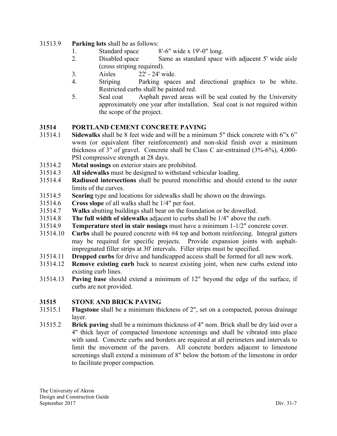- 31513.9 **Parking lots** shall be as follows:
	- 1. Standard space 8'-6" wide x 19'-0" long.
	- 2. Disabled space Same as standard space with adjacent 5' wide aisle (cross striping required).
	- 3. Aisles 22' 24' wide.
	- 4. Striping Parking spaces and directional graphics to be white. Restricted curbs shall be painted red.
	- 5. Seal coat Asphalt paved areas will be seal coated by the University approximately one year after installation. Seal coat is not required within the scope of the project.

# **31514 PORTLAND CEMENT CONCRETE PAVING**

- 31514.1 **Sidewalks** shall be 8 feet wide and will be a minimum 5" thick concrete with 6"x 6" wwm (or equivalent fiber reinforcement) and non-skid finish over a minimum thickness of 3" of gravel. Concrete shall be Class C air-entrained (3%-6%), 4,000- PSI compressive strength at 28 days.
- 31514.2 **Metal nosings** on exterior stairs are prohibited.
- 31514.3 **All sidewalks** must be designed to withstand vehicular loading.
- 31514.4 **Radiused intersections** shall be poured monolithic and should extend to the outer limits of the curves.
- 31514.5 **Scoring** type and locations for sidewalks shall be shown on the drawings.
- 31514.6 **Cross slope** of all walks shall be 1/4" per foot.
- 31514.7 **Walks** abutting buildings shall bear on the foundation or be dowelled.
- 31514.8 **The full width of sidewalks** adjacent to curbs shall be 1/4" above the curb.
- 31514.9 **Temperature steel in stair nosings** must have a minimum 1-1/2" concrete cover.
- 31514.10 **Curbs** shall be poured concrete with #4 top and bottom reinforcing. Integral gutters may be required for specific projects. Provide expansion joints with asphaltimpregnated filler strips at 30' intervals. Filler strips must be specified.
- 31514.11 **Dropped curbs** for drive and handicapped access shall be formed for all new work.
- 31514.12 **Remove existing curb** back to nearest existing joint, when new curbs extend into existing curb lines.
- 31514.13 **Paving base** should extend a minimum of 12" beyond the edge of the surface, if curbs are not provided.

# **31515 STONE AND BRICK PAVING**

- 31515.1 **Flagstone** shall be a minimum thickness of 2", set on a compacted, porous drainage layer.
- 31515.2 **Brick paving** shall be a minimum thickness of 4" nom. Brick shall be dry laid over a 4" thick layer of compacted limestone screenings and shall be vibrated into place with sand. Concrete curbs and borders are required at all perimeters and intervals to limit the movement of the pavers. All concrete borders adjacent to limestone screenings shall extend a minimum of 8" below the bottom of the limestone in order to facilitate proper compaction.